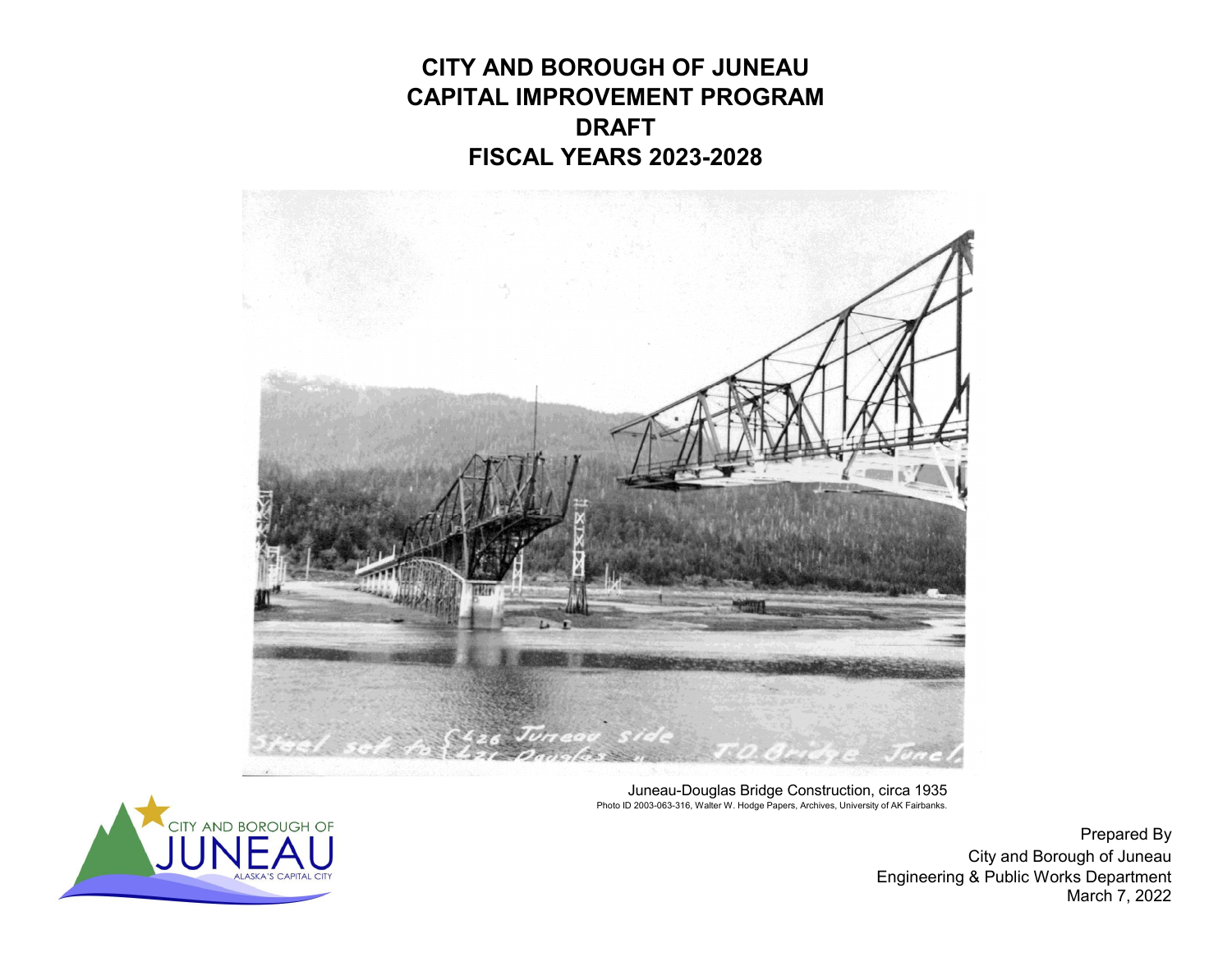**CITY AND BOROUGH OF JUNEAUCAPITAL IMPROVEMENT PROGRAM DRAFTFISCAL YEARS 2023-2028**



Juneau-Douglas Bridge Construction, circa 1935 Photo ID 2003-063-316, Walter W. Hodge Papers, Archives, University of AK Fairbanks.



Prepared By City and Borough of Juneau Engineering & Public Works Department March 7, 2022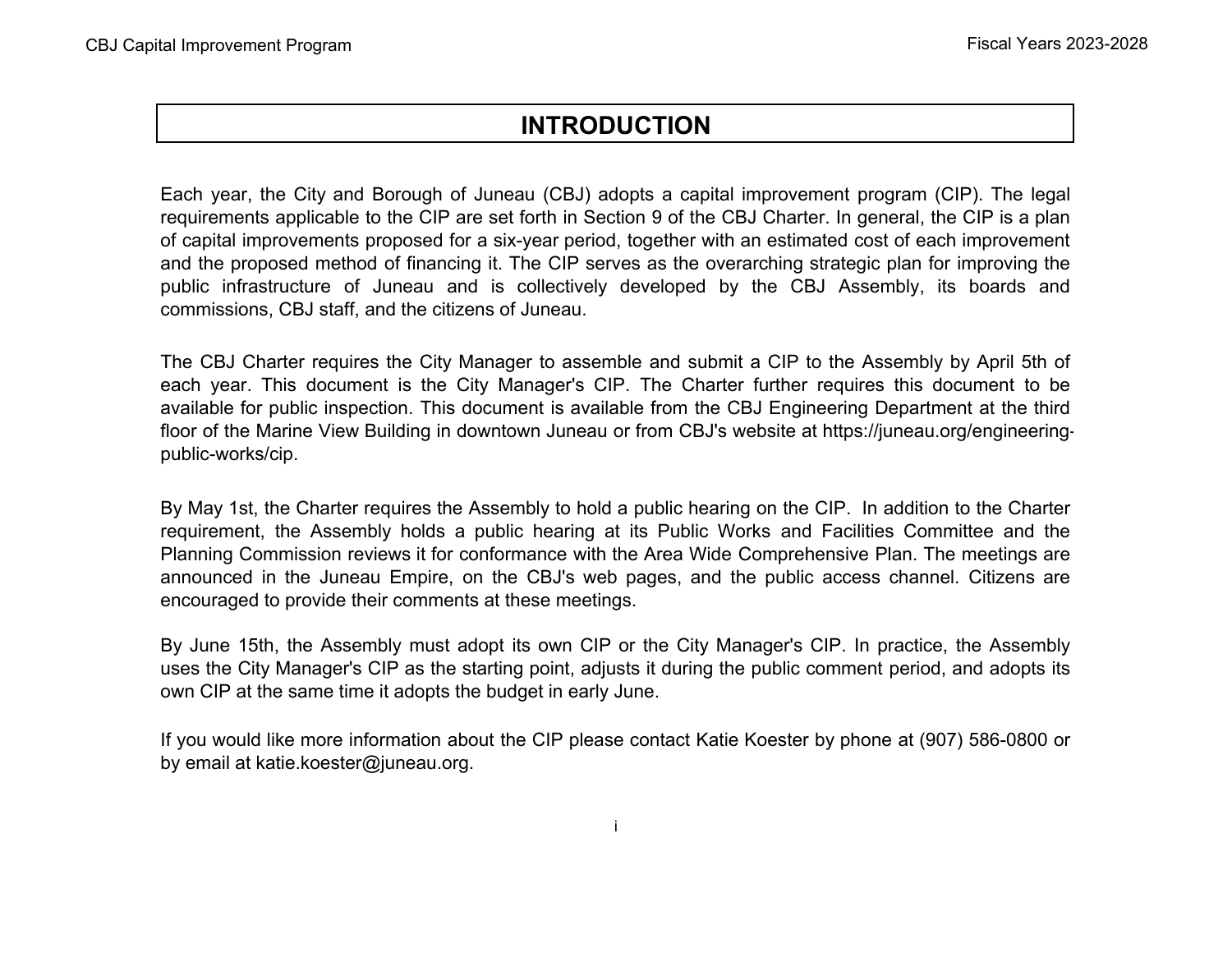# **INTRODUCTION**

Each year, the City and Borough of Juneau (CBJ) adopts <sup>a</sup> capital improvement program (CIP). The legal requirements applicable to the CIP are set forth in Section 9 of the CBJ Charter. In general, the CIP is <sup>a</sup> plan of capital improvements proposed for <sup>a</sup> six-year period, together with an estimated cost of each improvement and the proposed method of financing it. The CIP serves as the overarching strategic plan for improving the public infrastructure of Juneau and is collectively developed by the CBJ Assembly, its boards and commissions, CBJ staff, and the citizens of Juneau.

The CBJ Charter requires the City Manager to assemble and submit <sup>a</sup> CIP to the Assembly by April 5th of each year. This document is the City Manager's CIP. The Charter further requires this document to be available for public inspection. This document is available from the CBJ Engineering Department at the third floor of the Marine View Building in downtown Juneau or from CBJ's website at https://juneau.org/engineeringpublic-works/cip.

By May 1st, the Charter requires the Assembly to hold <sup>a</sup> public hearing on the CIP. In addition to the Charter requirement, the Assembly holds <sup>a</sup> public hearing at its Public Works and Facilities Committee and the Planning Commission reviews it for conformance with the Area Wide Comprehensive Plan. The meetings are announced in the Juneau Empire, on the CBJ's web pages, and the public access channel. Citizens are encouraged to provide their comments at these meetings.

By June 15th, the Assembly must adopt its own CIP or the City Manager's CIP. In practice, the Assembly uses the City Manager's CIP as the starting point, adjusts it during the public comment period, and adopts its own CIP at the same time it adopts the budget in early June.

If you would like more information about the CIP please contact Katie Koester by phone at (907) 586-0800 or by email at katie.koester@juneau.org.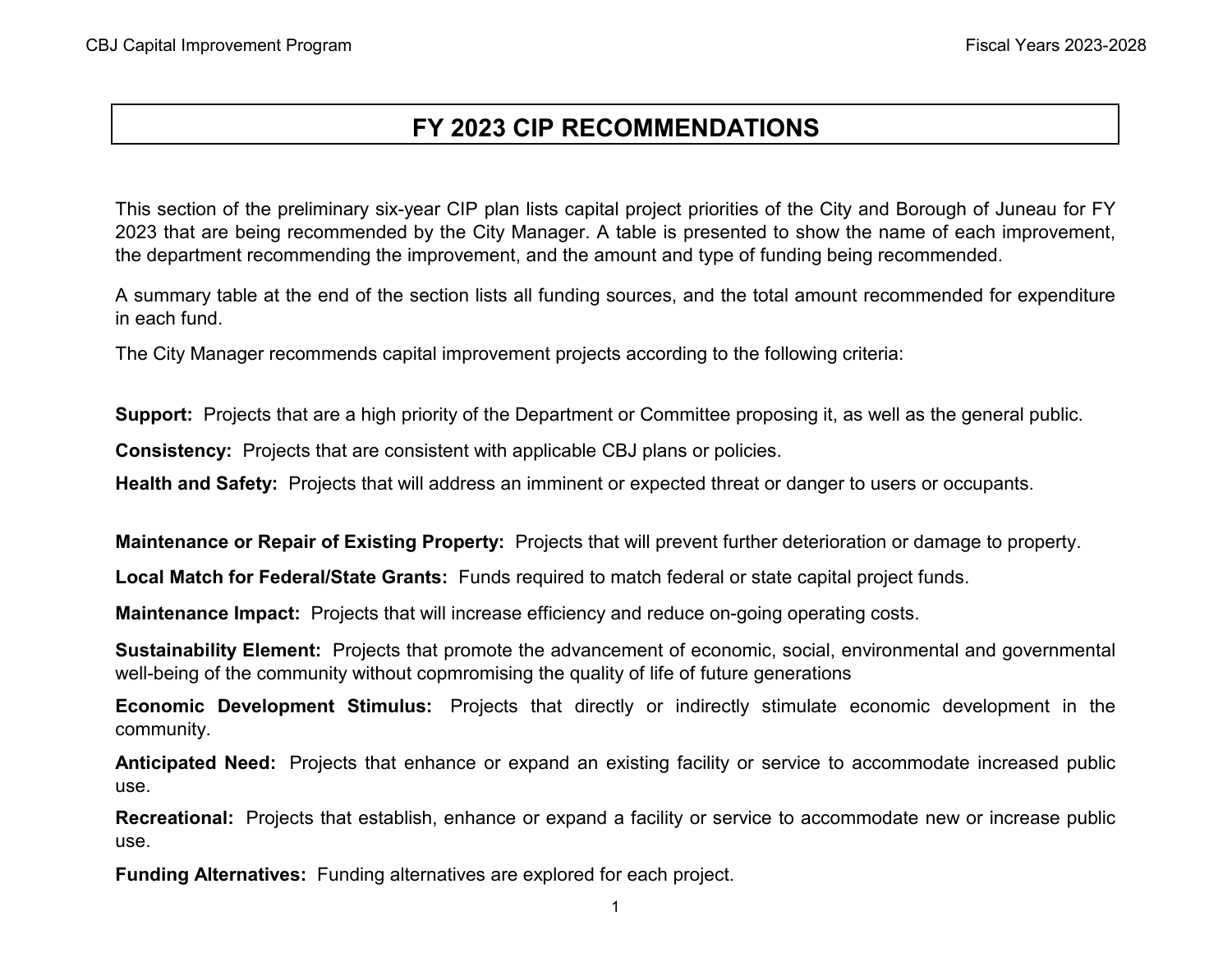# **FY 2023 CIP RECOMMENDATIONS**

This section of the preliminary six-year CIP plan lists capital project priorities of the City and Borough of Juneau for FY 2023 that are being recommended by the City Manager. A table is presented to show the name of each improvement, the department recommending the improvement, and the amount and type of funding being recommended.

A summary table at the end of the section lists all funding sources, and the total amount recommended for expenditure in each fund.

The City Manager recommends capital improvement projects according to the following criteria:

**Support:** Projects that are a high priority of the Department or Committee proposing it, as well as the general public.

**Consistency:** Projects that are consistent with applicable CBJ plans or policies.

**Health and Safety:** Projects that will address an imminent or expected threat or danger to users or occupants.

**Maintenance or Repair of Existing Property:** Projects that will prevent further deterioration or damage to property.

**Local Match for Federal/State Grants:** Funds required to match federal or state capital project funds.

**Maintenance Impact:** Projects that will increase efficiency and reduce on-going operating costs.

**Sustainability Element:** Projects that promote the advancement of economic, social, environmental and governmental well-being of the community without copmromising the quality of life of future generations

**Economic Development Stimulus:** Projects that directly or indirectly stimulate economic development in the community.

**Anticipated Need:** Projects that enhance or expand an existing facility or service to accommodate increased public use.

**Recreational:** Projects that establish, enhance or expand <sup>a</sup> facility or service to accommodate new or increase public use.

**Funding Alternatives:** Funding alternatives are explored for each project.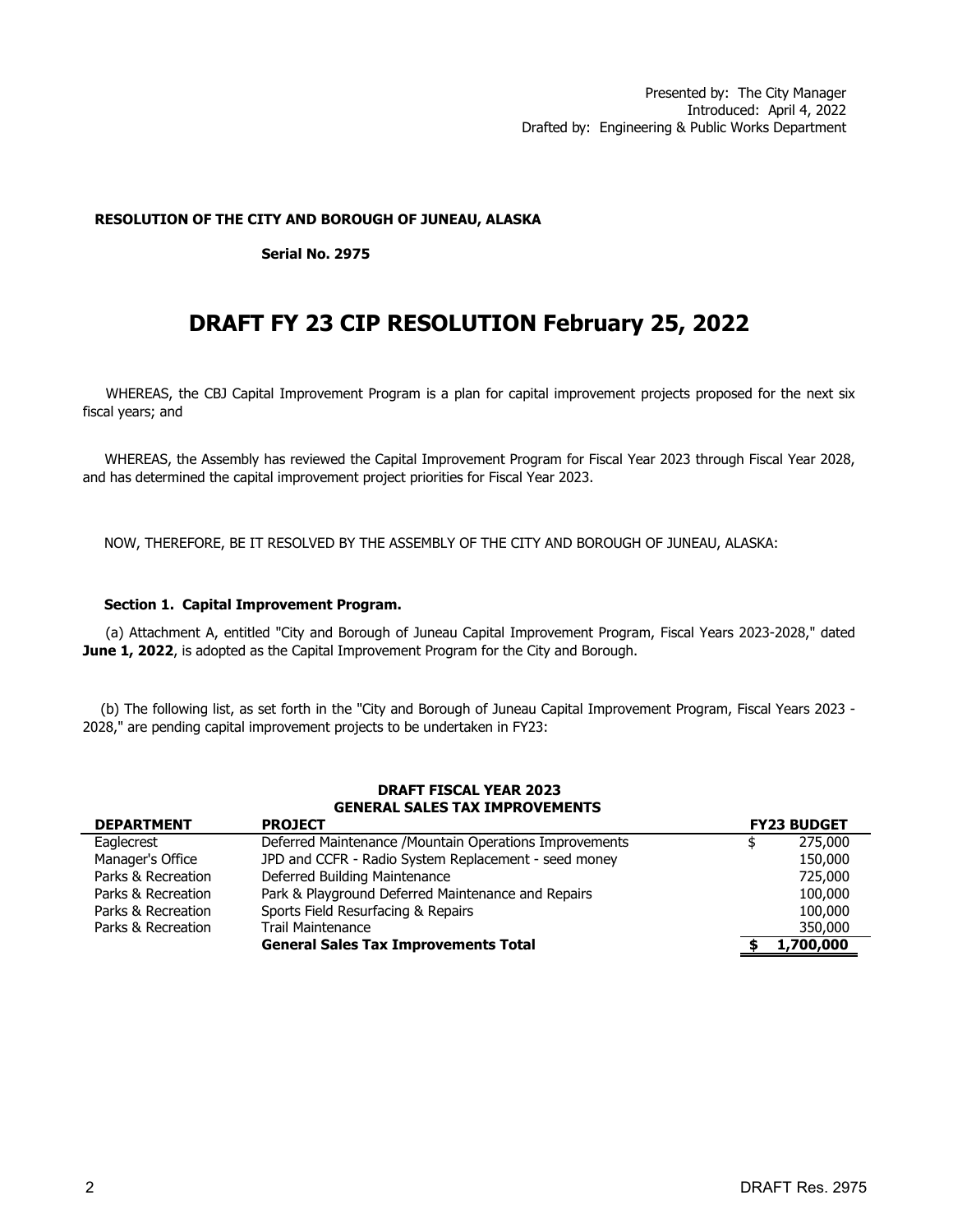### **RESOLUTION OF THE CITY AND BOROUGH OF JUNEAU, ALASKA**

### **Serial No. 2975**

# **DRAFT FY 23 CIP RESOLUTION February 25, 2022**

WHEREAS, the CBJ Capital Improvement Program is a plan for capital improvement projects proposed for the next six fiscal years; and

WHEREAS, the Assembly has reviewed the Capital Improvement Program for Fiscal Year 2023 through Fiscal Year 2028, and has determined the capital improvement project priorities for Fiscal Year 2023.

NOW, THEREFORE, BE IT RESOLVED BY THE ASSEMBLY OF THE CITY AND BOROUGH OF JUNEAU, ALASKA:

### **Section 1. Capital Improvement Program.**

(a) Attachment A, entitled "City and Borough of Juneau Capital Improvement Program, Fiscal Years 2023-2028," dated **June 1, 2022**, is adopted as the Capital Improvement Program for the City and Borough.

(b) The following list, as set forth in the "City and Borough of Juneau Capital Improvement Program, Fiscal Years 2023 - 2028," are pending capital improvement projects to be undertaken in FY23:

### **GENERAL SALES TAX IMPROVEMENTS DRAFT FISCAL YEAR 2023**

| <b>DEPARTMENT</b>  | <b>PROJECT</b>                                                  |         | <b>FY23 BUDGET</b> |  |  |
|--------------------|-----------------------------------------------------------------|---------|--------------------|--|--|
| Eaglecrest         | Deferred Maintenance / Mountain Operations Improvements         |         | 275,000            |  |  |
| Manager's Office   | JPD and CCFR - Radio System Replacement - seed money<br>150,000 |         |                    |  |  |
| Parks & Recreation | Deferred Building Maintenance                                   | 725,000 |                    |  |  |
| Parks & Recreation | Park & Playground Deferred Maintenance and Repairs              |         | 100,000            |  |  |
| Parks & Recreation | Sports Field Resurfacing & Repairs                              |         | 100,000            |  |  |
| Parks & Recreation | Trail Maintenance                                               |         | 350,000            |  |  |
|                    | <b>General Sales Tax Improvements Total</b>                     |         | 1,700,000          |  |  |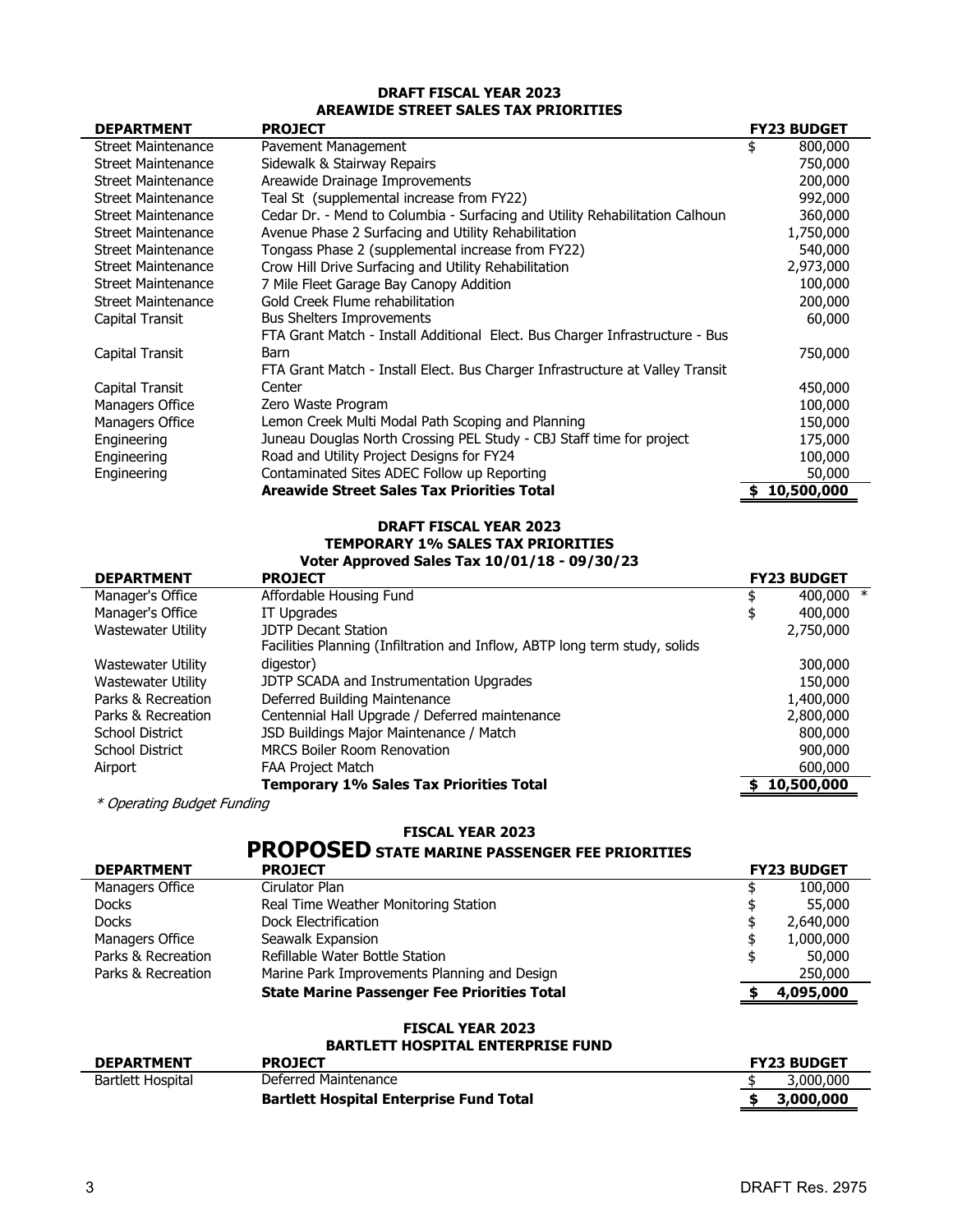# **DRAFT FISCAL YEAR 2023 AREAWIDE STREET SALES TAX PRIORITIES**

| <b>DEPARTMENT</b>         | <b>PROJECT</b>                                                                | <b>FY23 BUDGET</b> |
|---------------------------|-------------------------------------------------------------------------------|--------------------|
| <b>Street Maintenance</b> | Pavement Management                                                           | \$<br>800,000      |
| <b>Street Maintenance</b> | Sidewalk & Stairway Repairs                                                   | 750,000            |
| Street Maintenance        | Areawide Drainage Improvements                                                | 200,000            |
| <b>Street Maintenance</b> | Teal St (supplemental increase from FY22)                                     | 992,000            |
| <b>Street Maintenance</b> | Cedar Dr. - Mend to Columbia - Surfacing and Utility Rehabilitation Calhoun   | 360,000            |
| <b>Street Maintenance</b> | Avenue Phase 2 Surfacing and Utility Rehabilitation                           | 1,750,000          |
| <b>Street Maintenance</b> | Tongass Phase 2 (supplemental increase from FY22)                             | 540,000            |
| <b>Street Maintenance</b> | Crow Hill Drive Surfacing and Utility Rehabilitation                          | 2,973,000          |
| <b>Street Maintenance</b> | 7 Mile Fleet Garage Bay Canopy Addition                                       | 100,000            |
| <b>Street Maintenance</b> | Gold Creek Flume rehabilitation                                               | 200,000            |
| Capital Transit           | <b>Bus Shelters Improvements</b>                                              | 60,000             |
|                           | FTA Grant Match - Install Additional Elect. Bus Charger Infrastructure - Bus  |                    |
| Capital Transit           | Barn                                                                          | 750,000            |
|                           | FTA Grant Match - Install Elect. Bus Charger Infrastructure at Valley Transit |                    |
| Capital Transit           | Center                                                                        | 450,000            |
| Managers Office           | Zero Waste Program                                                            | 100,000            |
| Managers Office           | Lemon Creek Multi Modal Path Scoping and Planning                             | 150,000            |
| Engineering               | Juneau Douglas North Crossing PEL Study - CBJ Staff time for project          | 175,000            |
| Engineering               | Road and Utility Project Designs for FY24                                     | 100,000            |
| Engineering               | Contaminated Sites ADEC Follow up Reporting                                   | 50,000             |
|                           | Areawide Street Sales Tax Priorities Total                                    | 10,500,000<br>S    |

# **DRAFT FISCAL YEAR 2023**

#### **TEMPORARY 1% SALES TAX PRIORITIES Voter Approved Sales Tax 10/01/18 - 09/30/23**

| VOLEI ADDIOVEU SAIES TAX 10/01/10 - 05/30/23 |                                                                            |                    |              |  |  |  |
|----------------------------------------------|----------------------------------------------------------------------------|--------------------|--------------|--|--|--|
| <b>DEPARTMENT</b>                            |                                                                            | <b>FY23 BUDGET</b> |              |  |  |  |
| Manager's Office                             | Affordable Housing Fund                                                    |                    | 400,000 $*$  |  |  |  |
| Manager's Office                             | IT Upgrades                                                                |                    | 400,000      |  |  |  |
| Wastewater Utility                           | <b>JDTP Decant Station</b>                                                 |                    | 2,750,000    |  |  |  |
|                                              | Facilities Planning (Infiltration and Inflow, ABTP long term study, solids |                    |              |  |  |  |
| Wastewater Utility                           | digestor)                                                                  |                    | 300,000      |  |  |  |
| Wastewater Utility                           | JDTP SCADA and Instrumentation Upgrades                                    |                    | 150,000      |  |  |  |
| Parks & Recreation                           | Deferred Building Maintenance                                              |                    | 1,400,000    |  |  |  |
| Parks & Recreation                           | Centennial Hall Upgrade / Deferred maintenance                             |                    | 2,800,000    |  |  |  |
| School District                              | JSD Buildings Major Maintenance / Match                                    |                    | 800,000      |  |  |  |
| <b>School District</b>                       | <b>MRCS Boiler Room Renovation</b>                                         |                    | 900,000      |  |  |  |
| Airport                                      | <b>FAA Project Match</b>                                                   |                    | 600,000      |  |  |  |
|                                              | Temporary 1% Sales Tax Priorities Total                                    |                    | \$10,500,000 |  |  |  |

\* Operating Budget Funding

### **FISCAL YEAR 2023**

# **PROPOSED STATE MARINE PASSENGER FEE PRIORITIES**

| <b>DEPARTMENT</b>  | <b>PROJECT</b>                                     |    | <b>FY23 BUDGET</b> |
|--------------------|----------------------------------------------------|----|--------------------|
| Managers Office    | Cirulator Plan                                     |    | 100,000            |
| <b>Docks</b>       | Real Time Weather Monitoring Station               |    | 55,000             |
| <b>Docks</b>       | Dock Electrification                               | \$ | 2,640,000          |
| Managers Office    | Seawalk Expansion                                  |    | 1,000,000          |
| Parks & Recreation | Refillable Water Bottle Station                    |    | 50,000             |
| Parks & Recreation | Marine Park Improvements Planning and Design       |    | 250,000            |
|                    | <b>State Marine Passenger Fee Priorities Total</b> |    |                    |

# **FISCAL YEAR 2023**

| <b>BARTLETT HOSPITAL ENTERPRISE FUND</b> |                                                |                    |  |  |  |
|------------------------------------------|------------------------------------------------|--------------------|--|--|--|
| <b>DEPARTMENT</b>                        | <b>PROJECT</b>                                 | <b>FY23 BUDGET</b> |  |  |  |
| Bartlett Hospital                        | Deferred Maintenance                           | 3,000,000          |  |  |  |
|                                          | <b>Bartlett Hospital Enterprise Fund Total</b> | 3,000,000          |  |  |  |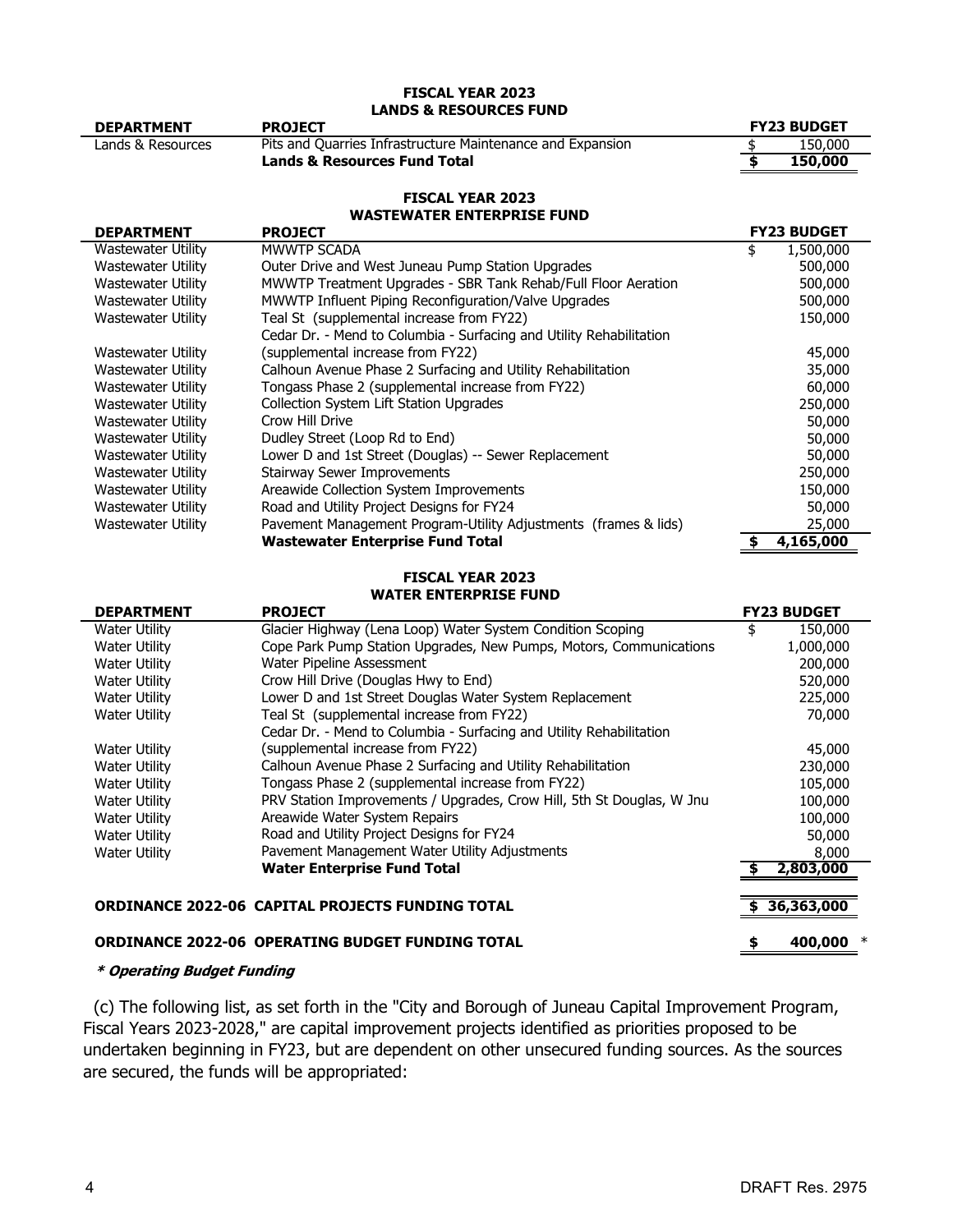# **LANDS & RESOURCES FUND FISCAL YEAR 2023**

| <b>DEPARTMENT</b> | <b>PROJECT</b>                                             | <b>FY23 BUDGET</b> |
|-------------------|------------------------------------------------------------|--------------------|
| Lands & Resources | Pits and Quarries Infrastructure Maintenance and Expansion | 150,000            |
|                   | Lands & Resources Fund Total                               | 150,000            |
|                   |                                                            |                    |

#### **WASTEWATER ENTERPRISE FUND FISCAL YEAR 2023**

| WAJILWAILR LIIILRFR1JL I VIIV |                                                                     |                    |  |  |  |  |
|-------------------------------|---------------------------------------------------------------------|--------------------|--|--|--|--|
| <b>DEPARTMENT</b>             | <b>PROJECT</b>                                                      | <b>FY23 BUDGET</b> |  |  |  |  |
| Wastewater Utility            | <b>MWWTP SCADA</b>                                                  | 1,500,000<br>\$    |  |  |  |  |
| Wastewater Utility            | Outer Drive and West Juneau Pump Station Upgrades                   | 500,000            |  |  |  |  |
| Wastewater Utility            | MWWTP Treatment Upgrades - SBR Tank Rehab/Full Floor Aeration       | 500,000            |  |  |  |  |
| <b>Wastewater Utility</b>     | MWWTP Influent Piping Reconfiguration/Valve Upgrades                | 500,000            |  |  |  |  |
| Wastewater Utility            | Teal St (supplemental increase from FY22)                           | 150,000            |  |  |  |  |
|                               | Cedar Dr. - Mend to Columbia - Surfacing and Utility Rehabilitation |                    |  |  |  |  |
| Wastewater Utility            | (supplemental increase from FY22)                                   | 45,000             |  |  |  |  |
| Wastewater Utility            | Calhoun Avenue Phase 2 Surfacing and Utility Rehabilitation         | 35,000             |  |  |  |  |
| Wastewater Utility            | Tongass Phase 2 (supplemental increase from FY22)                   | 60,000             |  |  |  |  |
| Wastewater Utility            | <b>Collection System Lift Station Upgrades</b>                      | 250,000            |  |  |  |  |
| Wastewater Utility            | Crow Hill Drive                                                     | 50,000             |  |  |  |  |
| Wastewater Utility            | Dudley Street (Loop Rd to End)                                      | 50,000             |  |  |  |  |
| <b>Wastewater Utility</b>     | Lower D and 1st Street (Douglas) -- Sewer Replacement               | 50,000             |  |  |  |  |
| <b>Wastewater Utility</b>     | <b>Stairway Sewer Improvements</b>                                  | 250,000            |  |  |  |  |
| Wastewater Utility            | Areawide Collection System Improvements                             | 150,000            |  |  |  |  |
| Wastewater Utility            | Road and Utility Project Designs for FY24                           | 50,000             |  |  |  |  |
| <b>Wastewater Utility</b>     | Pavement Management Program-Utility Adjustments (frames & lids)     | 25,000             |  |  |  |  |
|                               | <b>Wastewater Enterprise Fund Total</b>                             | 4,165,000          |  |  |  |  |

# **FISCAL YEAR 2023**

# **WATER ENTERPRISE FUND**

| <b>DEPARTMENT</b>                                       | <b>PROJECT</b>                                                        |         | <b>FY23 BUDGET</b> |
|---------------------------------------------------------|-----------------------------------------------------------------------|---------|--------------------|
| <b>Water Utility</b>                                    | Glacier Highway (Lena Loop) Water System Condition Scoping            | \$      | 150,000            |
| Water Utility                                           | Cope Park Pump Station Upgrades, New Pumps, Motors, Communications    |         | 1,000,000          |
| <b>Water Utility</b>                                    | Water Pipeline Assessment                                             |         | 200,000            |
| Water Utility                                           | Crow Hill Drive (Douglas Hwy to End)                                  |         | 520,000            |
| <b>Water Utility</b>                                    | Lower D and 1st Street Douglas Water System Replacement               |         | 225,000            |
| <b>Water Utility</b>                                    | Teal St (supplemental increase from FY22)                             |         | 70,000             |
|                                                         | Cedar Dr. - Mend to Columbia - Surfacing and Utility Rehabilitation   |         |                    |
| Water Utility                                           | (supplemental increase from FY22)                                     |         | 45,000             |
| Water Utility                                           | Calhoun Avenue Phase 2 Surfacing and Utility Rehabilitation           |         | 230,000            |
| <b>Water Utility</b>                                    | Tongass Phase 2 (supplemental increase from FY22)                     |         | 105,000            |
| Water Utility                                           | PRV Station Improvements / Upgrades, Crow Hill, 5th St Douglas, W Jnu |         | 100,000            |
| Water Utility                                           | Areawide Water System Repairs                                         |         | 100,000            |
| <b>Water Utility</b>                                    | Road and Utility Project Designs for FY24                             |         | 50,000             |
| <b>Water Utility</b>                                    | Pavement Management Water Utility Adjustments                         |         | 8,000              |
|                                                         | <b>Water Enterprise Fund Total</b>                                    |         | 2,803,000          |
|                                                         |                                                                       |         |                    |
| <b>ORDINANCE 2022-06 CAPITAL PROJECTS FUNDING TOTAL</b> |                                                                       |         | 36,363,000         |
| <b>ORDINANCE 2022-06 OPERATING BUDGET FUNDING TOTAL</b> | S                                                                     | 400,000 |                    |

# **\* Operating Budget Funding**

(c) The following list, as set forth in the "City and Borough of Juneau Capital Improvement Program, Fiscal Years 2023-2028," are capital improvement projects identified as priorities proposed to be undertaken beginning in FY23, but are dependent on other unsecured funding sources. As the sources are secured, the funds will be appropriated: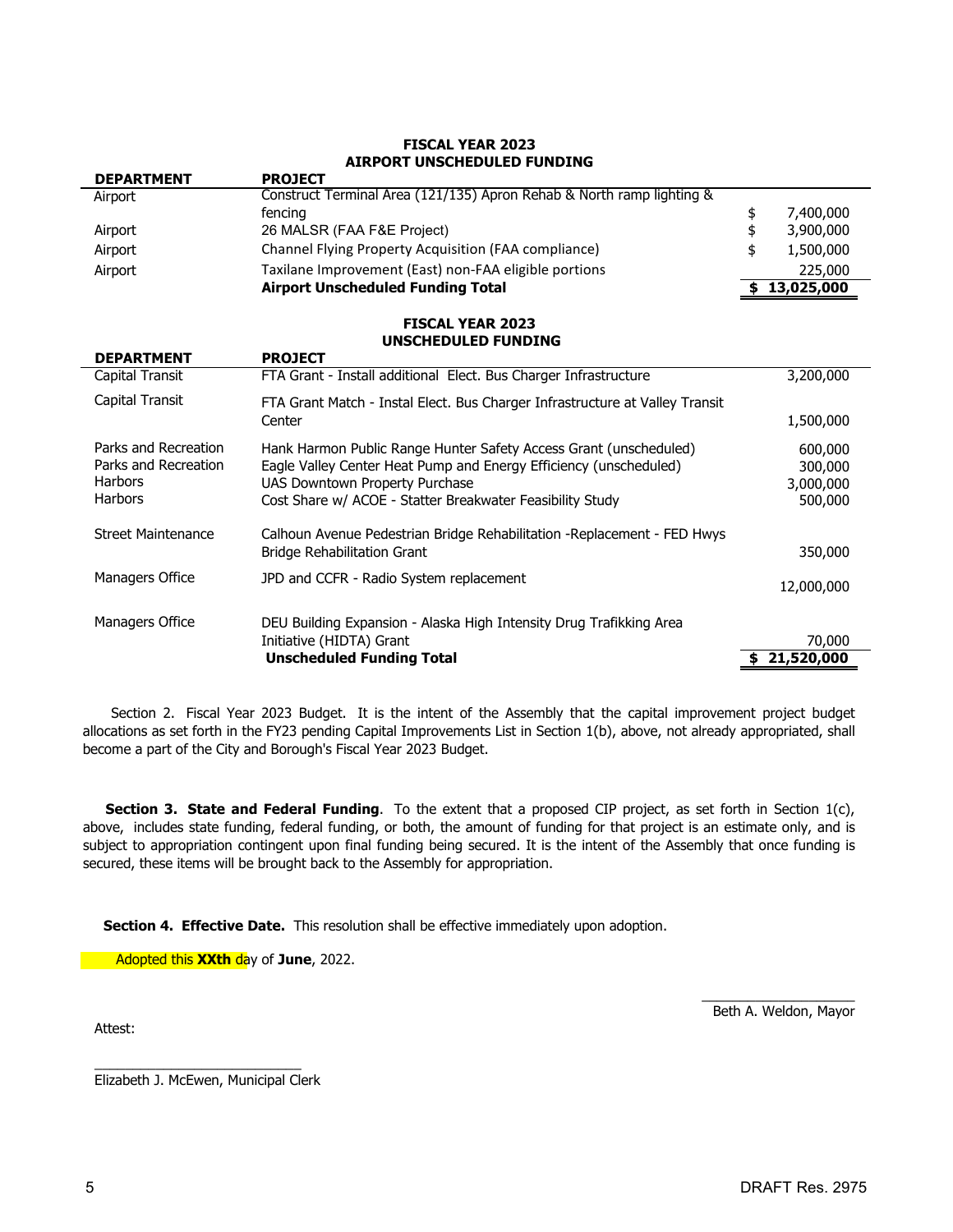# **FISCAL YEAR 2023 AIRPORT UNSCHEDULED FUNDING**

| <b>PROJECT</b>                                                        |            |
|-----------------------------------------------------------------------|------------|
| Construct Terminal Area (121/135) Apron Rehab & North ramp lighting & |            |
| fencing                                                               | 7,400,000  |
| 26 MALSR (FAA F&E Project)                                            | 3,900,000  |
| Channel Flying Property Acquisition (FAA compliance)                  | 1,500,000  |
| Taxilane Improvement (East) non-FAA eligible portions                 | 225,000    |
| <b>Airport Unscheduled Funding Total</b>                              | 13,025,000 |
|                                                                       |            |

### **FISCAL YEAR 2023 UNSCHEDULED FUNDING**

| <b>DEPARTMENT</b>                                                                | <b>PROJECT</b>                                                                                                                                                                                                                        |                                            |
|----------------------------------------------------------------------------------|---------------------------------------------------------------------------------------------------------------------------------------------------------------------------------------------------------------------------------------|--------------------------------------------|
| Capital Transit                                                                  | FTA Grant - Install additional Elect. Bus Charger Infrastructure                                                                                                                                                                      | 3,200,000                                  |
| Capital Transit                                                                  | FTA Grant Match - Instal Elect. Bus Charger Infrastructure at Valley Transit<br>Center                                                                                                                                                | 1,500,000                                  |
| Parks and Recreation<br>Parks and Recreation<br><b>Harbors</b><br><b>Harbors</b> | Hank Harmon Public Range Hunter Safety Access Grant (unscheduled)<br>Eagle Valley Center Heat Pump and Energy Efficiency (unscheduled)<br>UAS Downtown Property Purchase<br>Cost Share w/ ACOE - Statter Breakwater Feasibility Study | 600,000<br>300,000<br>3,000,000<br>500,000 |
| <b>Street Maintenance</b>                                                        | Calhoun Avenue Pedestrian Bridge Rehabilitation - Replacement - FED Hwys<br><b>Bridge Rehabilitation Grant</b>                                                                                                                        | 350,000                                    |
| Managers Office                                                                  | JPD and CCFR - Radio System replacement                                                                                                                                                                                               | 12,000,000                                 |
| Managers Office                                                                  | DEU Building Expansion - Alaska High Intensity Drug Trafikking Area<br>Initiative (HIDTA) Grant                                                                                                                                       | 70,000                                     |
|                                                                                  | <b>Unscheduled Funding Total</b>                                                                                                                                                                                                      | 21,520,000                                 |

Section 2. Fiscal Year 2023 Budget. It is the intent of the Assembly that the capital improvement project budget allocations as set forth in the FY23 pending Capital Improvements List in Section 1(b), above, not already appropriated, shall become a part of the City and Borough's Fiscal Year 2023 Budget.

**Section 3. State and Federal Funding**. To the extent that a proposed CIP project, as set forth in Section 1(c), above, includes state funding, federal funding, or both, the amount of funding for that project is an estimate only, and is subject to appropriation contingent upon final funding being secured. It is the intent of the Assembly that once funding is secured, these items will be brought back to the Assembly for appropriation.

**Section 4. Effective Date.** This resolution shall be effective immediately upon adoption.

Adopted this **XXth** day of **June**, 2022.

Attest:

 $\overline{\phantom{a}}$  , where  $\overline{\phantom{a}}$ Beth A. Weldon, Mayor

\_\_\_\_\_\_\_\_\_\_\_\_\_\_\_\_\_\_\_\_\_\_\_\_\_\_\_ Elizabeth J. McEwen, Municipal Clerk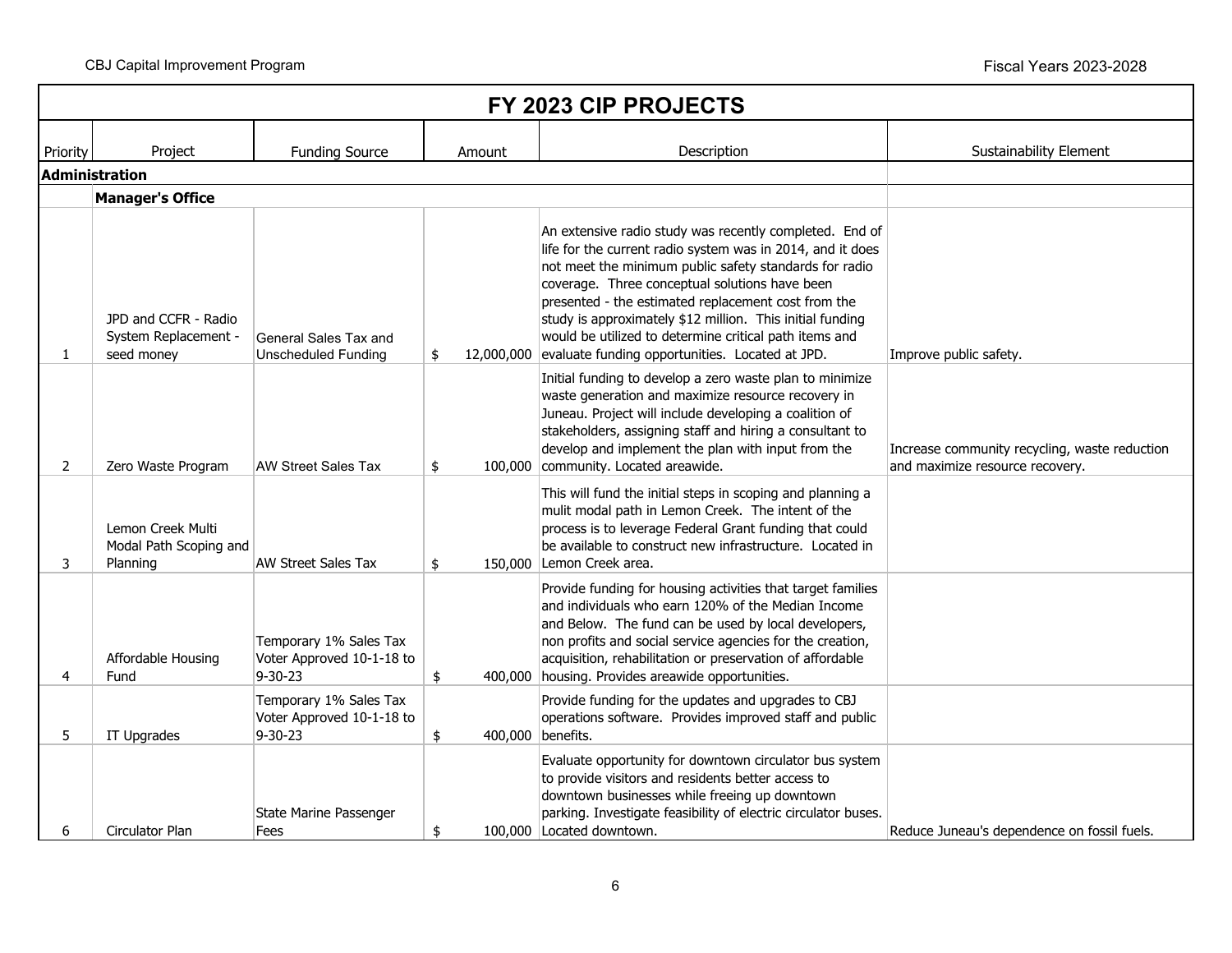CBJ Capital Improvement Program **Fiscal Years 2023-2028** CBJ Capital Improvement Program

| FY 2023 CIP PROJECTS |                                                            |                                                                      |               |                                                                                                                                                                                                                                                                                                                                                                                                                                                                               |                                                                                  |  |
|----------------------|------------------------------------------------------------|----------------------------------------------------------------------|---------------|-------------------------------------------------------------------------------------------------------------------------------------------------------------------------------------------------------------------------------------------------------------------------------------------------------------------------------------------------------------------------------------------------------------------------------------------------------------------------------|----------------------------------------------------------------------------------|--|
| Priority             | Project                                                    | <b>Funding Source</b>                                                | Amount        | Description                                                                                                                                                                                                                                                                                                                                                                                                                                                                   | <b>Sustainability Element</b>                                                    |  |
|                      | <b>Administration</b>                                      |                                                                      |               |                                                                                                                                                                                                                                                                                                                                                                                                                                                                               |                                                                                  |  |
|                      | <b>Manager's Office</b>                                    |                                                                      |               |                                                                                                                                                                                                                                                                                                                                                                                                                                                                               |                                                                                  |  |
| 1                    | JPD and CCFR - Radio<br>System Replacement -<br>seed money | General Sales Tax and<br><b>Unscheduled Funding</b>                  | \$            | An extensive radio study was recently completed. End of<br>life for the current radio system was in 2014, and it does<br>not meet the minimum public safety standards for radio<br>coverage. Three conceptual solutions have been<br>presented - the estimated replacement cost from the<br>study is approximately \$12 million. This initial funding<br>would be utilized to determine critical path items and<br>12,000,000 evaluate funding opportunities. Located at JPD. | Improve public safety.                                                           |  |
| $\overline{2}$       | Zero Waste Program                                         | <b>AW Street Sales Tax</b>                                           | \$            | Initial funding to develop a zero waste plan to minimize<br>waste generation and maximize resource recovery in<br>Juneau. Project will include developing a coalition of<br>stakeholders, assigning staff and hiring a consultant to<br>develop and implement the plan with input from the<br>100,000 community. Located areawide.                                                                                                                                            | Increase community recycling, waste reduction<br>and maximize resource recovery. |  |
| 3                    | Lemon Creek Multi<br>Modal Path Scoping and<br>Planning    | <b>AW Street Sales Tax</b>                                           | \$            | This will fund the initial steps in scoping and planning a<br>mulit modal path in Lemon Creek. The intent of the<br>process is to leverage Federal Grant funding that could<br>be available to construct new infrastructure. Located in<br>150,000 Lemon Creek area.                                                                                                                                                                                                          |                                                                                  |  |
| 4                    | Affordable Housing<br>Fund                                 | Temporary 1% Sales Tax<br>Voter Approved 10-1-18 to<br>$9 - 30 - 23$ | $\frac{4}{5}$ | Provide funding for housing activities that target families<br>and individuals who earn 120% of the Median Income<br>and Below. The fund can be used by local developers,<br>non profits and social service agencies for the creation,<br>acquisition, rehabilitation or preservation of affordable<br>400,000 housing. Provides areawide opportunities.                                                                                                                      |                                                                                  |  |
| 5                    | IT Upgrades                                                | Temporary 1% Sales Tax<br>Voter Approved 10-1-18 to<br>$9 - 30 - 23$ | $\frac{1}{2}$ | Provide funding for the updates and upgrades to CBJ<br>operations software. Provides improved staff and public<br>400,000 benefits.                                                                                                                                                                                                                                                                                                                                           |                                                                                  |  |
| 6                    | Circulator Plan                                            | State Marine Passenger<br>Fees                                       | \$            | Evaluate opportunity for downtown circulator bus system<br>to provide visitors and residents better access to<br>downtown businesses while freeing up downtown<br>parking. Investigate feasibility of electric circulator buses.<br>100,000 Located downtown.                                                                                                                                                                                                                 | Reduce Juneau's dependence on fossil fuels.                                      |  |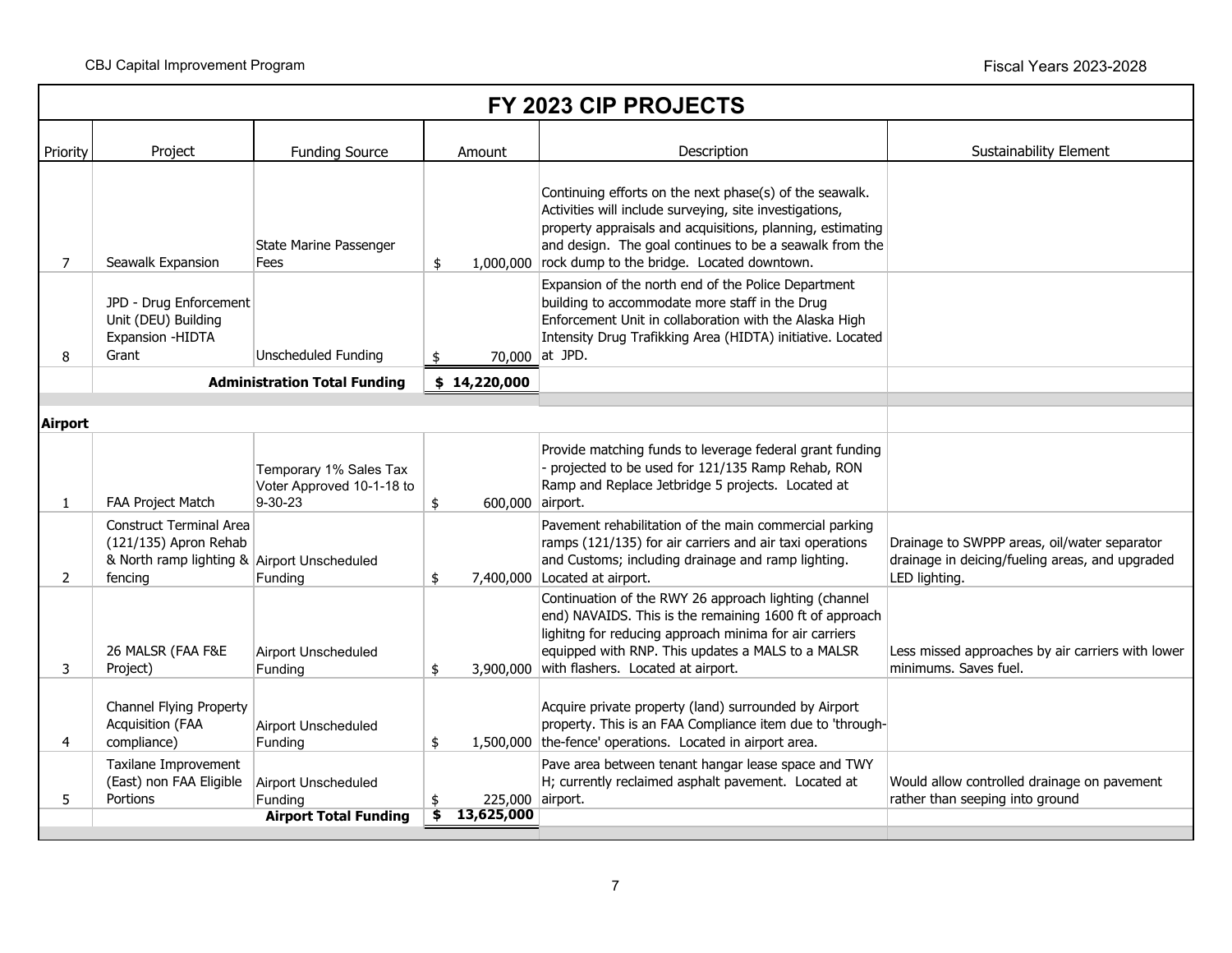| FY 2023 CIP PROJECTS |                                                                                                                   |                                                                       |                  |                                                                                                                                                                                                                                                                                                     |                                                                                                                  |  |
|----------------------|-------------------------------------------------------------------------------------------------------------------|-----------------------------------------------------------------------|------------------|-----------------------------------------------------------------------------------------------------------------------------------------------------------------------------------------------------------------------------------------------------------------------------------------------------|------------------------------------------------------------------------------------------------------------------|--|
| Priority             | Project                                                                                                           | <b>Funding Source</b>                                                 | Amount           | Description                                                                                                                                                                                                                                                                                         | <b>Sustainability Element</b>                                                                                    |  |
| 7                    | Seawalk Expansion                                                                                                 | State Marine Passenger<br>Fees                                        | \$               | Continuing efforts on the next phase(s) of the seawalk.<br>Activities will include surveying, site investigations,<br>property appraisals and acquisitions, planning, estimating<br>and design. The goal continues to be a seawalk from the<br>1,000,000 rock dump to the bridge. Located downtown. |                                                                                                                  |  |
| 8                    | JPD - Drug Enforcement<br>Unit (DEU) Building<br>Expansion - HIDTA<br>Grant                                       | Unscheduled Funding                                                   | \$               | Expansion of the north end of the Police Department<br>building to accommodate more staff in the Drug<br>Enforcement Unit in collaboration with the Alaska High<br>Intensity Drug Trafikking Area (HIDTA) initiative. Located<br>70,000 at JPD.                                                     |                                                                                                                  |  |
|                      |                                                                                                                   | <b>Administration Total Funding</b>                                   | \$14,220,000     |                                                                                                                                                                                                                                                                                                     |                                                                                                                  |  |
| Airport              |                                                                                                                   |                                                                       |                  |                                                                                                                                                                                                                                                                                                     |                                                                                                                  |  |
| $\mathbf{1}$         | FAA Project Match                                                                                                 | Temporary 1% Sales Tax<br>Voter Approved 10-1-18 to<br>9-30-23        | \$               | Provide matching funds to leverage federal grant funding<br>- projected to be used for 121/135 Ramp Rehab, RON<br>Ramp and Replace Jetbridge 5 projects. Located at<br>600,000 airport.                                                                                                             |                                                                                                                  |  |
| $\overline{2}$       | <b>Construct Terminal Area</b><br>(121/135) Apron Rehab<br>& North ramp lighting & Airport Unscheduled<br>fencing | Funding                                                               | \$               | Pavement rehabilitation of the main commercial parking<br>ramps (121/135) for air carriers and air taxi operations<br>and Customs; including drainage and ramp lighting.<br>7,400,000 Located at airport.                                                                                           | Drainage to SWPPP areas, oil/water separator<br>drainage in deicing/fueling areas, and upgraded<br>LED lighting. |  |
| 3                    | 26 MALSR (FAA F&E<br>Project)                                                                                     | <b>Airport Unscheduled</b><br>Funding                                 | \$               | Continuation of the RWY 26 approach lighting (channel<br>end) NAVAIDS. This is the remaining 1600 ft of approach<br>lighitng for reducing approach minima for air carriers<br>equipped with RNP. This updates a MALS to a MALSR<br>3,900,000 with flashers. Located at airport.                     | Less missed approaches by air carriers with lower<br>minimums. Saves fuel.                                       |  |
| 4                    | Channel Flying Property<br>Acquisition (FAA<br>compliance)                                                        | Airport Unscheduled<br>Funding                                        | \$               | Acquire private property (land) surrounded by Airport<br>property. This is an FAA Compliance item due to 'through-<br>1,500,000 the-fence' operations. Located in airport area.                                                                                                                     |                                                                                                                  |  |
| 5                    | Taxilane Improvement<br>(East) non FAA Eligible<br>Portions                                                       | <b>Airport Unscheduled</b><br>Funding<br><b>Airport Total Funding</b> | 13,625,000<br>\$ | Pave area between tenant hangar lease space and TWY<br>H; currently reclaimed asphalt pavement. Located at<br>225,000 airport.                                                                                                                                                                      | Would allow controlled drainage on pavement<br>rather than seeping into ground                                   |  |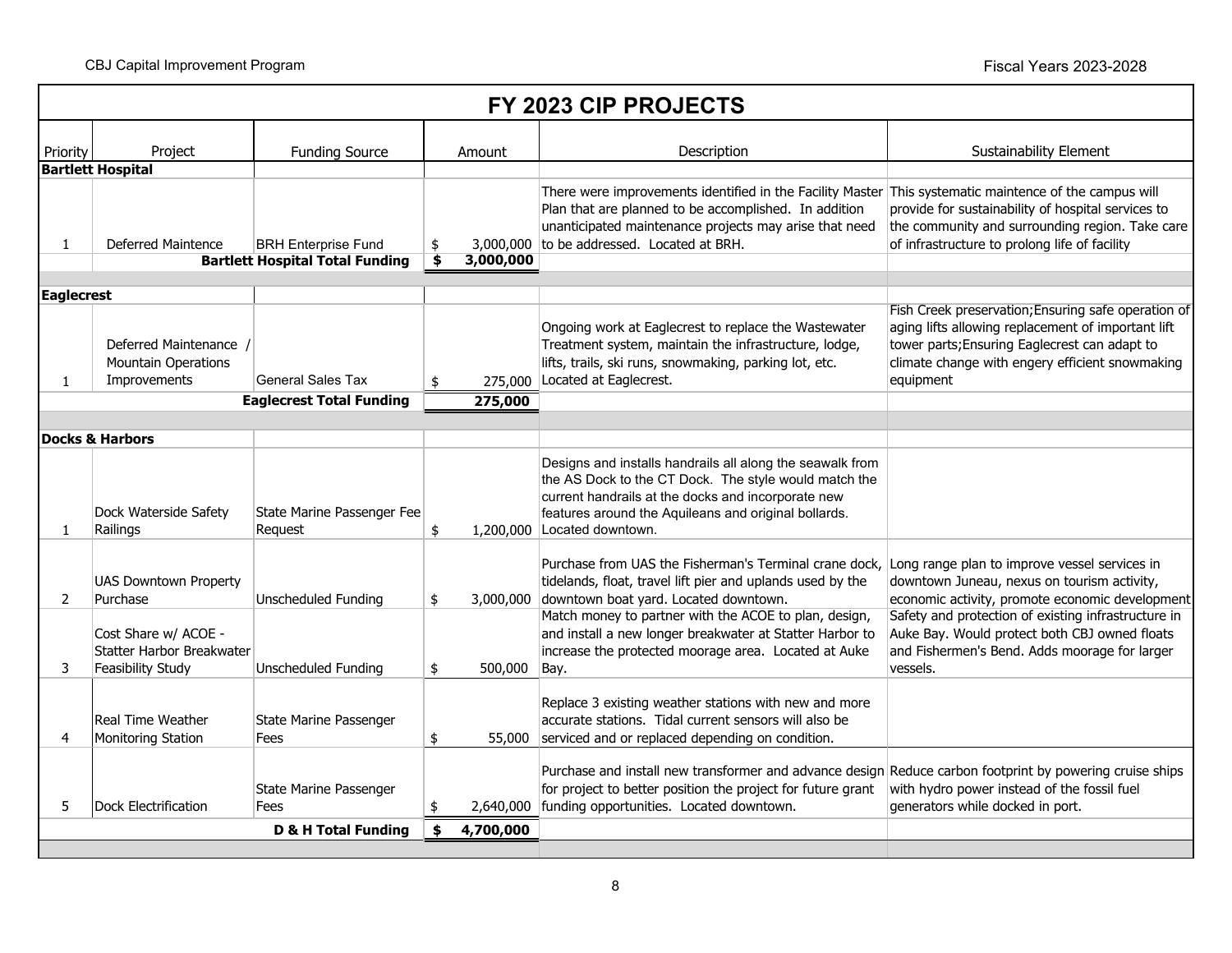|                   | FY 2023 CIP PROJECTS                                                   |                                                                      |    |           |                                                                                                                                                                                                                                                                         |                                                                                                                                                                                                                            |  |  |  |  |  |
|-------------------|------------------------------------------------------------------------|----------------------------------------------------------------------|----|-----------|-------------------------------------------------------------------------------------------------------------------------------------------------------------------------------------------------------------------------------------------------------------------------|----------------------------------------------------------------------------------------------------------------------------------------------------------------------------------------------------------------------------|--|--|--|--|--|
| Priority          | Project                                                                | <b>Funding Source</b>                                                |    | Amount    | Description                                                                                                                                                                                                                                                             | <b>Sustainability Element</b>                                                                                                                                                                                              |  |  |  |  |  |
|                   | <b>Bartlett Hospital</b>                                               |                                                                      |    |           |                                                                                                                                                                                                                                                                         |                                                                                                                                                                                                                            |  |  |  |  |  |
| 1                 | Deferred Maintence                                                     | <b>BRH Enterprise Fund</b><br><b>Bartlett Hospital Total Funding</b> | \$ | 3,000,000 | There were improvements identified in the Facility Master This systematic maintence of the campus will<br>Plan that are planned to be accomplished. In addition<br>unanticipated maintenance projects may arise that need<br>3,000,000 to be addressed. Located at BRH. | provide for sustainability of hospital services to<br>the community and surrounding region. Take care<br>of infrastructure to prolong life of facility                                                                     |  |  |  |  |  |
|                   |                                                                        |                                                                      |    |           |                                                                                                                                                                                                                                                                         |                                                                                                                                                                                                                            |  |  |  |  |  |
| <b>Eaglecrest</b> |                                                                        |                                                                      |    |           |                                                                                                                                                                                                                                                                         |                                                                                                                                                                                                                            |  |  |  |  |  |
| 1                 | Deferred Maintenance /<br><b>Mountain Operations</b><br>Improvements   | General Sales Tax                                                    | \$ | 275,000   | Ongoing work at Eaglecrest to replace the Wastewater<br>Treatment system, maintain the infrastructure, lodge,<br>lifts, trails, ski runs, snowmaking, parking lot, etc.<br>Located at Eaglecrest.                                                                       | Fish Creek preservation; Ensuring safe operation of<br>aging lifts allowing replacement of important lift<br>tower parts; Ensuring Eaglecrest can adapt to<br>climate change with engery efficient snowmaking<br>equipment |  |  |  |  |  |
|                   |                                                                        | <b>Eaglecrest Total Funding</b>                                      |    | 275,000   |                                                                                                                                                                                                                                                                         |                                                                                                                                                                                                                            |  |  |  |  |  |
|                   |                                                                        |                                                                      |    |           |                                                                                                                                                                                                                                                                         |                                                                                                                                                                                                                            |  |  |  |  |  |
|                   | <b>Docks &amp; Harbors</b>                                             |                                                                      |    |           |                                                                                                                                                                                                                                                                         |                                                                                                                                                                                                                            |  |  |  |  |  |
| $\mathbf{1}$      | Dock Waterside Safety<br>Railings                                      | State Marine Passenger Fee<br>Reguest                                | \$ |           | Designs and installs handrails all along the seawalk from<br>the AS Dock to the CT Dock. The style would match the<br>current handrails at the docks and incorporate new<br>features around the Aquileans and original bollards.<br>1,200,000 Located downtown.         |                                                                                                                                                                                                                            |  |  |  |  |  |
| 2                 | <b>UAS Downtown Property</b><br>Purchase                               | <b>Unscheduled Funding</b>                                           | \$ | 3,000,000 | Purchase from UAS the Fisherman's Terminal crane dock,<br>tidelands, float, travel lift pier and uplands used by the<br>downtown boat yard. Located downtown.                                                                                                           | Long range plan to improve vessel services in<br>downtown Juneau, nexus on tourism activity,<br>economic activity, promote economic development                                                                            |  |  |  |  |  |
| 3                 | Cost Share w/ ACOE -<br>Statter Harbor Breakwater<br>Feasibility Study | Unscheduled Funding                                                  | \$ | 500,000   | Match money to partner with the ACOE to plan, design,<br>and install a new longer breakwater at Statter Harbor to<br>increase the protected moorage area. Located at Auke<br>Bay.                                                                                       | Safety and protection of existing infrastructure in<br>Auke Bay. Would protect both CBJ owned floats<br>and Fishermen's Bend. Adds moorage for larger<br>vessels.                                                          |  |  |  |  |  |
| 4                 | Real Time Weather<br><b>Monitoring Station</b>                         | State Marine Passenger<br>Fees                                       | \$ | 55,000    | Replace 3 existing weather stations with new and more<br>accurate stations. Tidal current sensors will also be<br>serviced and or replaced depending on condition.                                                                                                      |                                                                                                                                                                                                                            |  |  |  |  |  |
| 5.                | <b>Dock Electrification</b>                                            | State Marine Passenger<br>Fees                                       | \$ | 2,640,000 | Purchase and install new transformer and advance design Reduce carbon footprint by powering cruise ships<br>for project to better position the project for future grant<br>funding opportunities. Located downtown.                                                     | with hydro power instead of the fossil fuel<br>generators while docked in port.                                                                                                                                            |  |  |  |  |  |
|                   |                                                                        | <b>D &amp; H Total Funding</b>                                       | \$ | 4,700,000 |                                                                                                                                                                                                                                                                         |                                                                                                                                                                                                                            |  |  |  |  |  |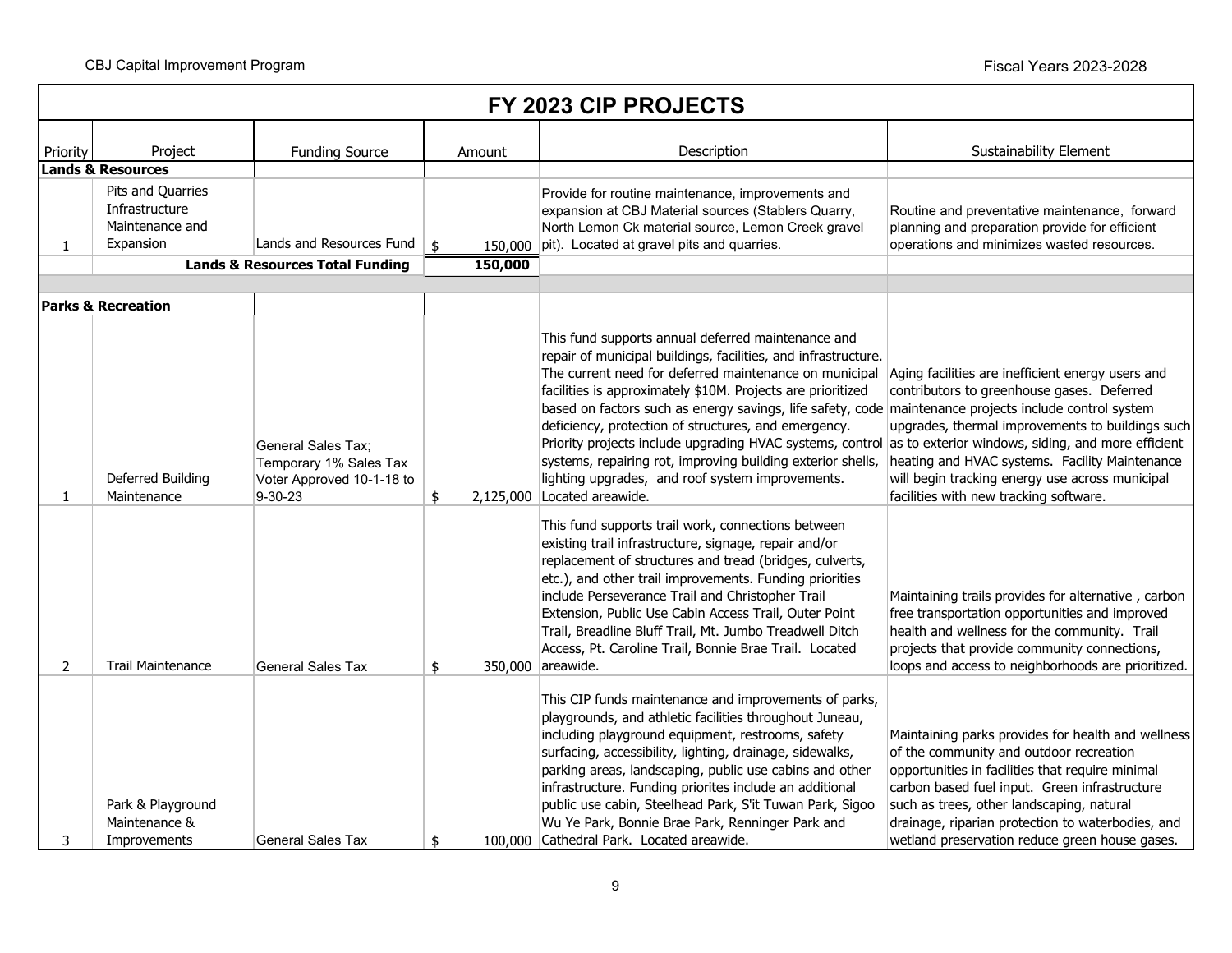|                | FY 2023 CIP PROJECTS                                                |                                                                                             |                          |                                                                                                                                                                                                                                                                                                                                                                                                                                                                                                                                                                                                                      |                                                                                                                                                                                                                                                                                                                                                          |  |  |  |  |
|----------------|---------------------------------------------------------------------|---------------------------------------------------------------------------------------------|--------------------------|----------------------------------------------------------------------------------------------------------------------------------------------------------------------------------------------------------------------------------------------------------------------------------------------------------------------------------------------------------------------------------------------------------------------------------------------------------------------------------------------------------------------------------------------------------------------------------------------------------------------|----------------------------------------------------------------------------------------------------------------------------------------------------------------------------------------------------------------------------------------------------------------------------------------------------------------------------------------------------------|--|--|--|--|
| Priority       | Project                                                             | <b>Funding Source</b>                                                                       | Amount                   | Description                                                                                                                                                                                                                                                                                                                                                                                                                                                                                                                                                                                                          | <b>Sustainability Element</b>                                                                                                                                                                                                                                                                                                                            |  |  |  |  |
|                | <b>Lands &amp; Resources</b>                                        |                                                                                             |                          |                                                                                                                                                                                                                                                                                                                                                                                                                                                                                                                                                                                                                      |                                                                                                                                                                                                                                                                                                                                                          |  |  |  |  |
| $\mathbf{1}$   | Pits and Quarries<br>Infrastructure<br>Maintenance and<br>Expansion | Lands and Resources Fund<br><b>Lands &amp; Resources Total Funding</b>                      | \$<br>150,000<br>150,000 | Provide for routine maintenance, improvements and<br>expansion at CBJ Material sources (Stablers Quarry,<br>North Lemon Ck material source, Lemon Creek gravel<br>pit). Located at gravel pits and quarries.                                                                                                                                                                                                                                                                                                                                                                                                         | Routine and preventative maintenance, forward<br>planning and preparation provide for efficient<br>operations and minimizes wasted resources.                                                                                                                                                                                                            |  |  |  |  |
|                |                                                                     |                                                                                             |                          |                                                                                                                                                                                                                                                                                                                                                                                                                                                                                                                                                                                                                      |                                                                                                                                                                                                                                                                                                                                                          |  |  |  |  |
|                | <b>Parks &amp; Recreation</b>                                       |                                                                                             |                          |                                                                                                                                                                                                                                                                                                                                                                                                                                                                                                                                                                                                                      |                                                                                                                                                                                                                                                                                                                                                          |  |  |  |  |
| 1              | Deferred Building<br>Maintenance                                    | <b>General Sales Tax;</b><br>Temporary 1% Sales Tax<br>Voter Approved 10-1-18 to<br>9-30-23 | \$<br>2,125,000          | This fund supports annual deferred maintenance and<br>repair of municipal buildings, facilities, and infrastructure.<br>The current need for deferred maintenance on municipal<br>facilities is approximately \$10M. Projects are prioritized<br>based on factors such as energy savings, life safety, code maintenance projects include control system<br>deficiency, protection of structures, and emergency.<br>Priority projects include upgrading HVAC systems, control<br>systems, repairing rot, improving building exterior shells,<br>lighting upgrades, and roof system improvements.<br>Located areawide. | Aging facilities are inefficient energy users and<br>contributors to greenhouse gases. Deferred<br>upgrades, thermal improvements to buildings such<br>as to exterior windows, siding, and more efficient<br>heating and HVAC systems. Facility Maintenance<br>will begin tracking energy use across municipal<br>facilities with new tracking software. |  |  |  |  |
| $\overline{2}$ | <b>Trail Maintenance</b>                                            | General Sales Tax                                                                           | \$                       | This fund supports trail work, connections between<br>existing trail infrastructure, signage, repair and/or<br>replacement of structures and tread (bridges, culverts,<br>etc.), and other trail improvements. Funding priorities<br>include Perseverance Trail and Christopher Trail<br>Extension, Public Use Cabin Access Trail, Outer Point<br>Trail, Breadline Bluff Trail, Mt. Jumbo Treadwell Ditch<br>Access, Pt. Caroline Trail, Bonnie Brae Trail. Located<br>350,000 areawide.                                                                                                                             | Maintaining trails provides for alternative, carbon<br>free transportation opportunities and improved<br>health and wellness for the community. Trail<br>projects that provide community connections,<br>loops and access to neighborhoods are prioritized.                                                                                              |  |  |  |  |
| 3              | Park & Playground<br>Maintenance &<br>Improvements                  | General Sales Tax                                                                           | \$                       | This CIP funds maintenance and improvements of parks,<br>playgrounds, and athletic facilities throughout Juneau,<br>including playground equipment, restrooms, safety<br>surfacing, accessibility, lighting, drainage, sidewalks,<br>parking areas, landscaping, public use cabins and other<br>infrastructure. Funding priorites include an additional<br>public use cabin, Steelhead Park, S'it Tuwan Park, Sigoo<br>Wu Ye Park, Bonnie Brae Park, Renninger Park and<br>100,000 Cathedral Park. Located areawide.                                                                                                 | Maintaining parks provides for health and wellness<br>of the community and outdoor recreation<br>opportunities in facilities that require minimal<br>carbon based fuel input. Green infrastructure<br>such as trees, other landscaping, natural<br>drainage, riparian protection to waterbodies, and<br>wetland preservation reduce green house gases.   |  |  |  |  |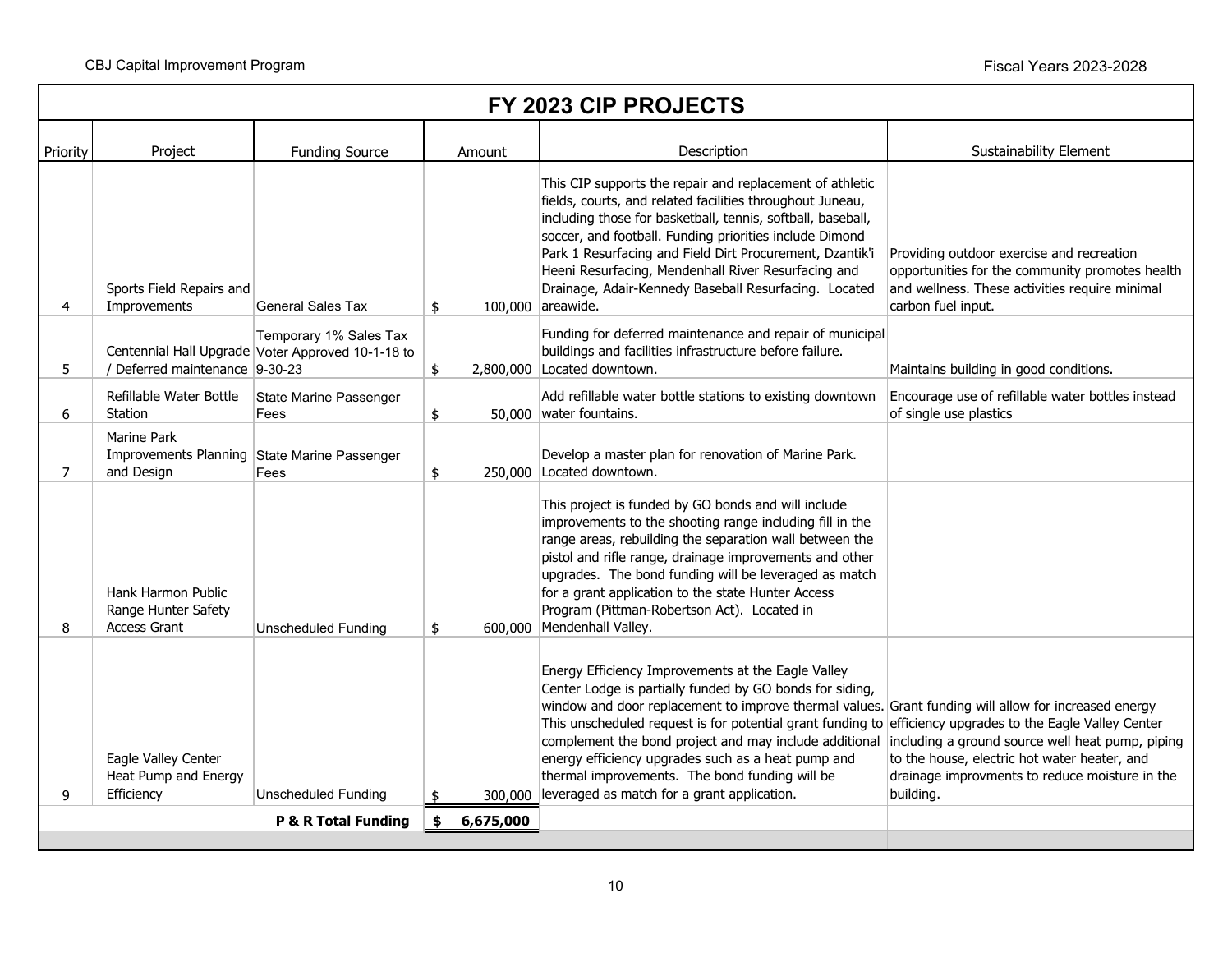|          | FY 2023 CIP PROJECTS                                                      |                                                                             |         |                                                                                                                                                                                                                                                                                                                                                                                                                                                                                                                                                      |                                                                                                                                                                      |  |  |  |
|----------|---------------------------------------------------------------------------|-----------------------------------------------------------------------------|---------|------------------------------------------------------------------------------------------------------------------------------------------------------------------------------------------------------------------------------------------------------------------------------------------------------------------------------------------------------------------------------------------------------------------------------------------------------------------------------------------------------------------------------------------------------|----------------------------------------------------------------------------------------------------------------------------------------------------------------------|--|--|--|
| Priority | Project                                                                   | <b>Funding Source</b>                                                       | Amount  | Description                                                                                                                                                                                                                                                                                                                                                                                                                                                                                                                                          | <b>Sustainability Element</b>                                                                                                                                        |  |  |  |
| 4        | Sports Field Repairs and<br>Improvements                                  | <b>General Sales Tax</b>                                                    | \$      | This CIP supports the repair and replacement of athletic<br>fields, courts, and related facilities throughout Juneau,<br>including those for basketball, tennis, softball, baseball,<br>soccer, and football. Funding priorities include Dimond<br>Park 1 Resurfacing and Field Dirt Procurement, Dzantik'i<br>Heeni Resurfacing, Mendenhall River Resurfacing and<br>Drainage, Adair-Kennedy Baseball Resurfacing. Located<br>100,000 areawide.                                                                                                     | Providing outdoor exercise and recreation<br>opportunities for the community promotes health<br>and wellness. These activities require minimal<br>carbon fuel input. |  |  |  |
| 5.       | Deferred maintenance 9-30-23                                              | Temporary 1% Sales Tax<br>Centennial Hall Upgrade Voter Approved 10-1-18 to | \$      | Funding for deferred maintenance and repair of municipal<br>buildings and facilities infrastructure before failure.<br>2,800,000 Located downtown.                                                                                                                                                                                                                                                                                                                                                                                                   | Maintains building in good conditions.                                                                                                                               |  |  |  |
| 6        | Refillable Water Bottle<br>Station                                        | State Marine Passenger<br>Fees                                              | \$      | Add refillable water bottle stations to existing downtown<br>50,000 water fountains.                                                                                                                                                                                                                                                                                                                                                                                                                                                                 | Encourage use of refillable water bottles instead<br>of single use plastics                                                                                          |  |  |  |
| 7        | Marine Park<br>Improvements Planning State Marine Passenger<br>and Design | Fees                                                                        | \$      | Develop a master plan for renovation of Marine Park.<br>250,000 Located downtown.                                                                                                                                                                                                                                                                                                                                                                                                                                                                    |                                                                                                                                                                      |  |  |  |
| 8        | Hank Harmon Public<br>Range Hunter Safety<br><b>Access Grant</b>          | <b>Unscheduled Funding</b>                                                  | \$      | This project is funded by GO bonds and will include<br>improvements to the shooting range including fill in the<br>range areas, rebuilding the separation wall between the<br>pistol and rifle range, drainage improvements and other<br>upgrades. The bond funding will be leveraged as match<br>for a grant application to the state Hunter Access<br>Program (Pittman-Robertson Act). Located in<br>600,000 Mendenhall Valley.                                                                                                                    |                                                                                                                                                                      |  |  |  |
| 9        | Eagle Valley Center<br>Heat Pump and Energy<br>Efficiency                 | <b>Unscheduled Funding</b>                                                  | 300,000 | Energy Efficiency Improvements at the Eagle Valley<br>Center Lodge is partially funded by GO bonds for siding,<br>window and door replacement to improve thermal values. Grant funding will allow for increased energy<br>This unscheduled request is for potential grant funding to efficiency upgrades to the Eagle Valley Center<br>complement the bond project and may include additional<br>energy efficiency upgrades such as a heat pump and<br>thermal improvements. The bond funding will be<br>leveraged as match for a grant application. | including a ground source well heat pump, piping<br>to the house, electric hot water heater, and<br>drainage improvments to reduce moisture in the<br>building.      |  |  |  |
|          | P & R Total Funding<br>\$<br>6,675,000                                    |                                                                             |         |                                                                                                                                                                                                                                                                                                                                                                                                                                                                                                                                                      |                                                                                                                                                                      |  |  |  |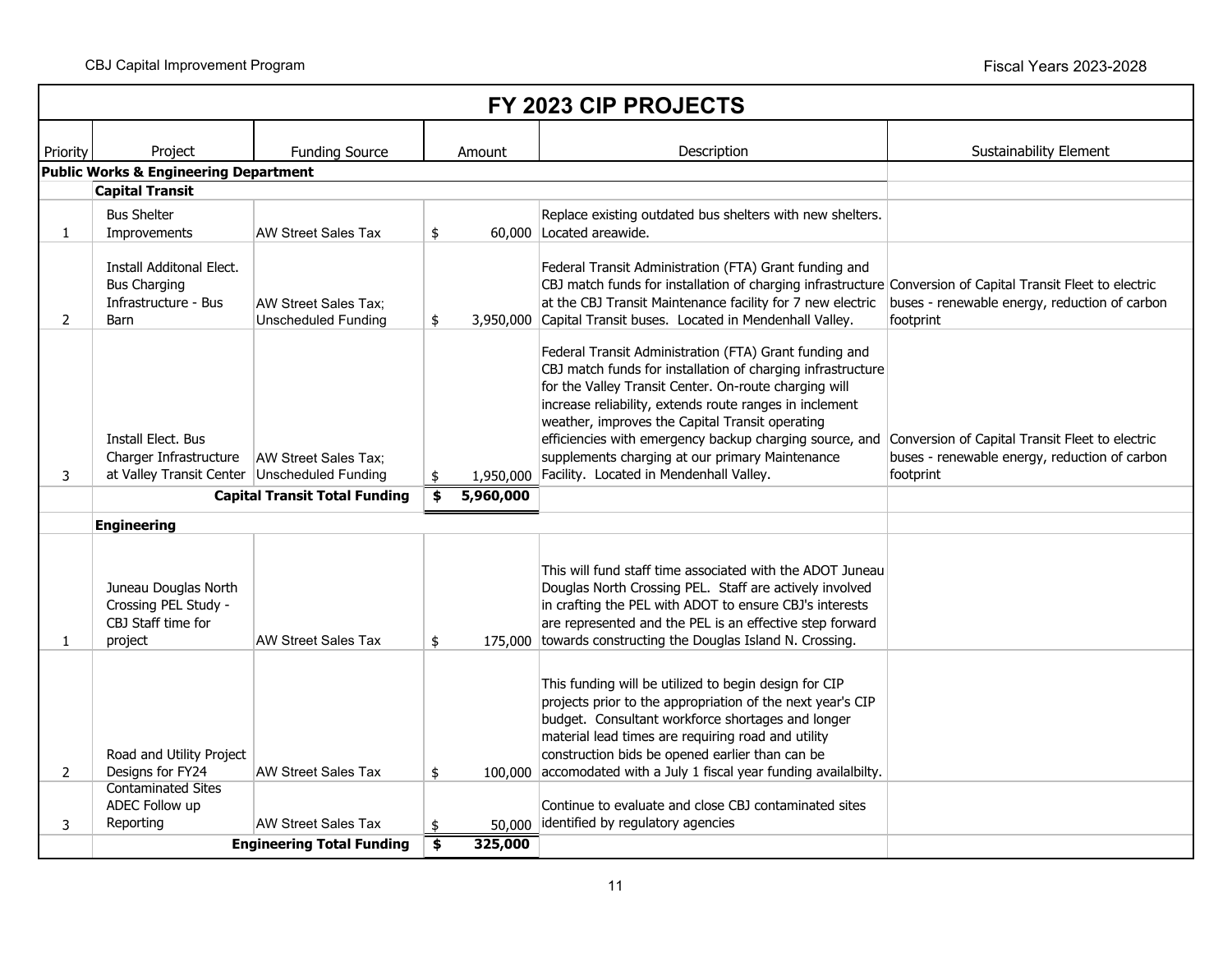|                | FY 2023 CIP PROJECTS                                                                           |                                                    |               |           |                                                                                                                                                                                                                                                                                                                                                                                                                                                                                                                 |                                                            |  |  |  |  |  |
|----------------|------------------------------------------------------------------------------------------------|----------------------------------------------------|---------------|-----------|-----------------------------------------------------------------------------------------------------------------------------------------------------------------------------------------------------------------------------------------------------------------------------------------------------------------------------------------------------------------------------------------------------------------------------------------------------------------------------------------------------------------|------------------------------------------------------------|--|--|--|--|--|
| Priority       | Project                                                                                        | <b>Funding Source</b>                              |               | Amount    | Description                                                                                                                                                                                                                                                                                                                                                                                                                                                                                                     | Sustainability Element                                     |  |  |  |  |  |
|                | Public Works & Engineering Department                                                          |                                                    |               |           |                                                                                                                                                                                                                                                                                                                                                                                                                                                                                                                 |                                                            |  |  |  |  |  |
|                | <b>Capital Transit</b>                                                                         |                                                    |               |           |                                                                                                                                                                                                                                                                                                                                                                                                                                                                                                                 |                                                            |  |  |  |  |  |
| $\mathbf{1}$   | <b>Bus Shelter</b><br>Improvements                                                             | <b>AW Street Sales Tax</b>                         | \$            |           | Replace existing outdated bus shelters with new shelters.<br>60,000 Located areawide.                                                                                                                                                                                                                                                                                                                                                                                                                           |                                                            |  |  |  |  |  |
| $\overline{2}$ | Install Additonal Elect.<br><b>Bus Charging</b><br>Infrastructure - Bus<br>Barn                | AW Street Sales Tax;<br><b>Unscheduled Funding</b> | \$            |           | Federal Transit Administration (FTA) Grant funding and<br>CBJ match funds for installation of charging infrastructure Conversion of Capital Transit Fleet to electric<br>at the CBJ Transit Maintenance facility for 7 new electric<br>3,950,000 Capital Transit buses. Located in Mendenhall Valley.                                                                                                                                                                                                           | buses - renewable energy, reduction of carbon<br>footprint |  |  |  |  |  |
| 3              | Install Elect. Bus<br>Charger Infrastructure<br>at Valley Transit Center   Unscheduled Funding | AW Street Sales Tax:                               | \$            |           | Federal Transit Administration (FTA) Grant funding and<br>CBJ match funds for installation of charging infrastructure<br>for the Valley Transit Center. On-route charging will<br>increase reliability, extends route ranges in inclement<br>weather, improves the Capital Transit operating<br>efficiencies with emergency backup charging source, and Conversion of Capital Transit Fleet to electric<br>supplements charging at our primary Maintenance<br>1,950,000 Facility. Located in Mendenhall Valley. | buses - renewable energy, reduction of carbon<br>footprint |  |  |  |  |  |
|                |                                                                                                | <b>Capital Transit Total Funding</b>               | \$            | 5,960,000 |                                                                                                                                                                                                                                                                                                                                                                                                                                                                                                                 |                                                            |  |  |  |  |  |
|                | <b>Engineering</b>                                                                             |                                                    |               |           |                                                                                                                                                                                                                                                                                                                                                                                                                                                                                                                 |                                                            |  |  |  |  |  |
| $\mathbf{1}$   | Juneau Douglas North<br>Crossing PEL Study -<br>CBJ Staff time for<br>project                  | <b>AW Street Sales Tax</b>                         | \$            |           | This will fund staff time associated with the ADOT Juneau<br>Douglas North Crossing PEL. Staff are actively involved<br>in crafting the PEL with ADOT to ensure CBJ's interests<br>are represented and the PEL is an effective step forward<br>175,000 towards constructing the Douglas Island N. Crossing.                                                                                                                                                                                                     |                                                            |  |  |  |  |  |
| 2              | Road and Utility Project<br>Designs for FY24                                                   | <b>AW Street Sales Tax</b>                         | $\frac{1}{2}$ |           | This funding will be utilized to begin design for CIP<br>projects prior to the appropriation of the next year's CIP<br>budget. Consultant workforce shortages and longer<br>material lead times are requiring road and utility<br>construction bids be opened earlier than can be<br>100,000 accomodated with a July 1 fiscal year funding availalbilty.                                                                                                                                                        |                                                            |  |  |  |  |  |
| 3              | <b>Contaminated Sites</b><br>ADEC Follow up<br>Reporting                                       | <b>AW Street Sales Tax</b>                         | \$            | 50,000    | Continue to evaluate and close CBJ contaminated sites<br>identified by regulatory agencies                                                                                                                                                                                                                                                                                                                                                                                                                      |                                                            |  |  |  |  |  |
|                |                                                                                                | <b>Engineering Total Funding</b>                   | \$            | 325,000   |                                                                                                                                                                                                                                                                                                                                                                                                                                                                                                                 |                                                            |  |  |  |  |  |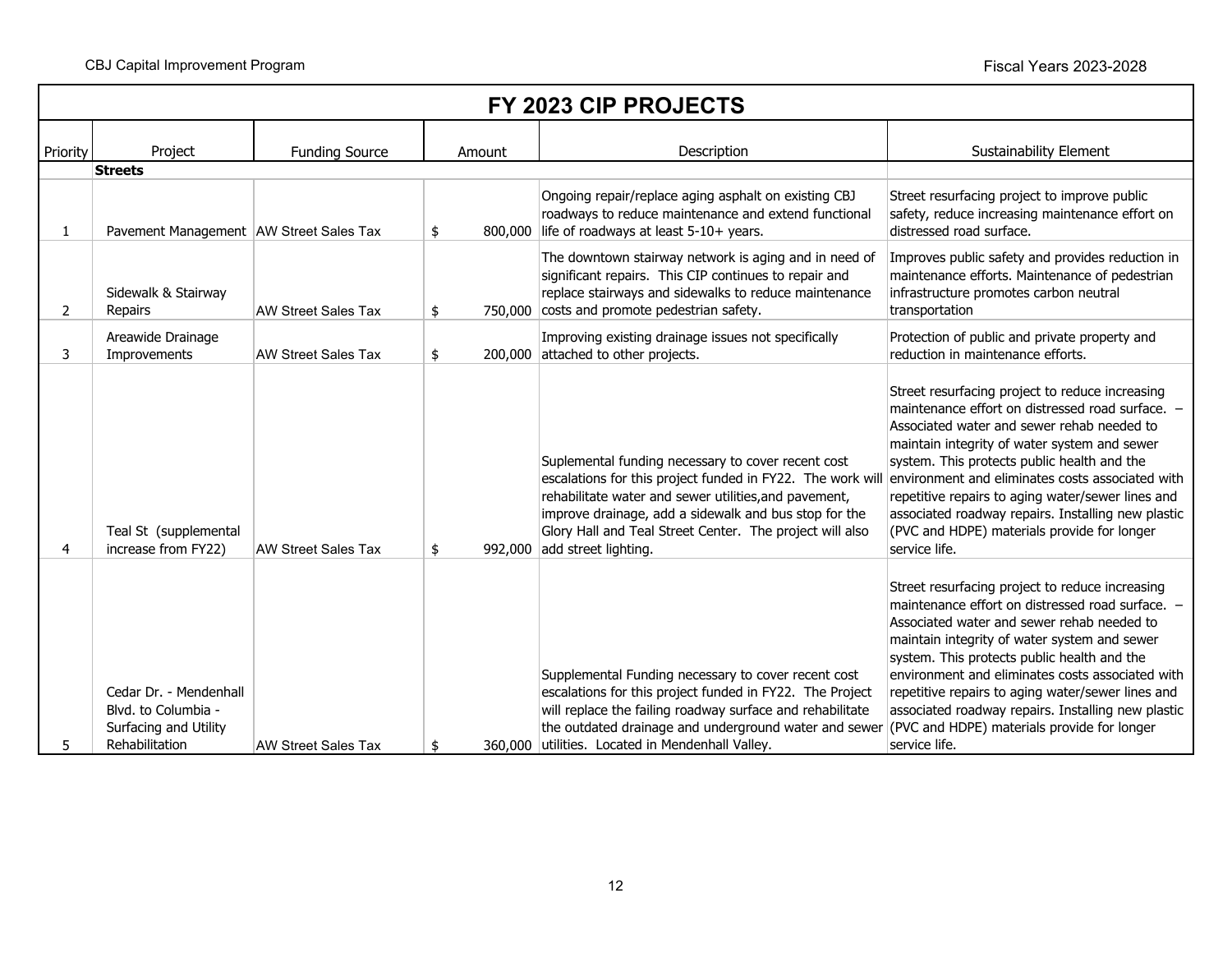|                | FY 2023 CIP PROJECTS                                                                     |                            |               |                                                                                                                                                                                                                                                                                                                                       |                                                                                                                                                                                                                                                                                                                                                                                                                                                                                 |  |  |  |  |  |
|----------------|------------------------------------------------------------------------------------------|----------------------------|---------------|---------------------------------------------------------------------------------------------------------------------------------------------------------------------------------------------------------------------------------------------------------------------------------------------------------------------------------------|---------------------------------------------------------------------------------------------------------------------------------------------------------------------------------------------------------------------------------------------------------------------------------------------------------------------------------------------------------------------------------------------------------------------------------------------------------------------------------|--|--|--|--|--|
| Priority       | Project                                                                                  | <b>Funding Source</b>      | Amount        | Description                                                                                                                                                                                                                                                                                                                           | <b>Sustainability Element</b>                                                                                                                                                                                                                                                                                                                                                                                                                                                   |  |  |  |  |  |
| 1              | <b>Streets</b><br>Pavement Management AW Street Sales Tax                                |                            | \$<br>800,000 | Ongoing repair/replace aging asphalt on existing CBJ<br>roadways to reduce maintenance and extend functional<br>life of roadways at least 5-10+ years.                                                                                                                                                                                | Street resurfacing project to improve public<br>safety, reduce increasing maintenance effort on<br>distressed road surface.                                                                                                                                                                                                                                                                                                                                                     |  |  |  |  |  |
| $\overline{2}$ | Sidewalk & Stairway<br>Repairs                                                           | <b>AW Street Sales Tax</b> | \$            | The downtown stairway network is aging and in need of<br>significant repairs. This CIP continues to repair and<br>replace stairways and sidewalks to reduce maintenance<br>750,000 costs and promote pedestrian safety.                                                                                                               | Improves public safety and provides reduction in<br>maintenance efforts. Maintenance of pedestrian<br>infrastructure promotes carbon neutral<br>transportation                                                                                                                                                                                                                                                                                                                  |  |  |  |  |  |
| 3              | Areawide Drainage<br>Improvements                                                        | <b>AW Street Sales Tax</b> | \$            | Improving existing drainage issues not specifically<br>200,000 attached to other projects.                                                                                                                                                                                                                                            | Protection of public and private property and<br>reduction in maintenance efforts.                                                                                                                                                                                                                                                                                                                                                                                              |  |  |  |  |  |
| 4              | Teal St (supplemental<br>increase from FY22)                                             | <b>AW Street Sales Tax</b> | \$<br>992,000 | Suplemental funding necessary to cover recent cost<br>escalations for this project funded in FY22. The work wil<br>rehabilitate water and sewer utilities, and pavement,<br>improve drainage, add a sidewalk and bus stop for the<br>Glory Hall and Teal Street Center. The project will also<br>add street lighting.                 | Street resurfacing project to reduce increasing<br>maintenance effort on distressed road surface. -<br>Associated water and sewer rehab needed to<br>maintain integrity of water system and sewer<br>system. This protects public health and the<br>environment and eliminates costs associated with<br>repetitive repairs to aging water/sewer lines and<br>associated roadway repairs. Installing new plastic<br>(PVC and HDPE) materials provide for longer<br>service life. |  |  |  |  |  |
| 5.             | Cedar Dr. - Mendenhall<br>Blvd. to Columbia -<br>Surfacing and Utility<br>Rehabilitation | <b>AW Street Sales Tax</b> | \$            | Supplemental Funding necessary to cover recent cost<br>escalations for this project funded in FY22. The Project<br>will replace the failing roadway surface and rehabilitate<br>the outdated drainage and underground water and sewer (PVC and HDPE) materials provide for longer<br>360,000 utilities. Located in Mendenhall Valley. | Street resurfacing project to reduce increasing<br>maintenance effort on distressed road surface. -<br>Associated water and sewer rehab needed to<br>maintain integrity of water system and sewer<br>system. This protects public health and the<br>environment and eliminates costs associated with<br>repetitive repairs to aging water/sewer lines and<br>associated roadway repairs. Installing new plastic<br>service life.                                                |  |  |  |  |  |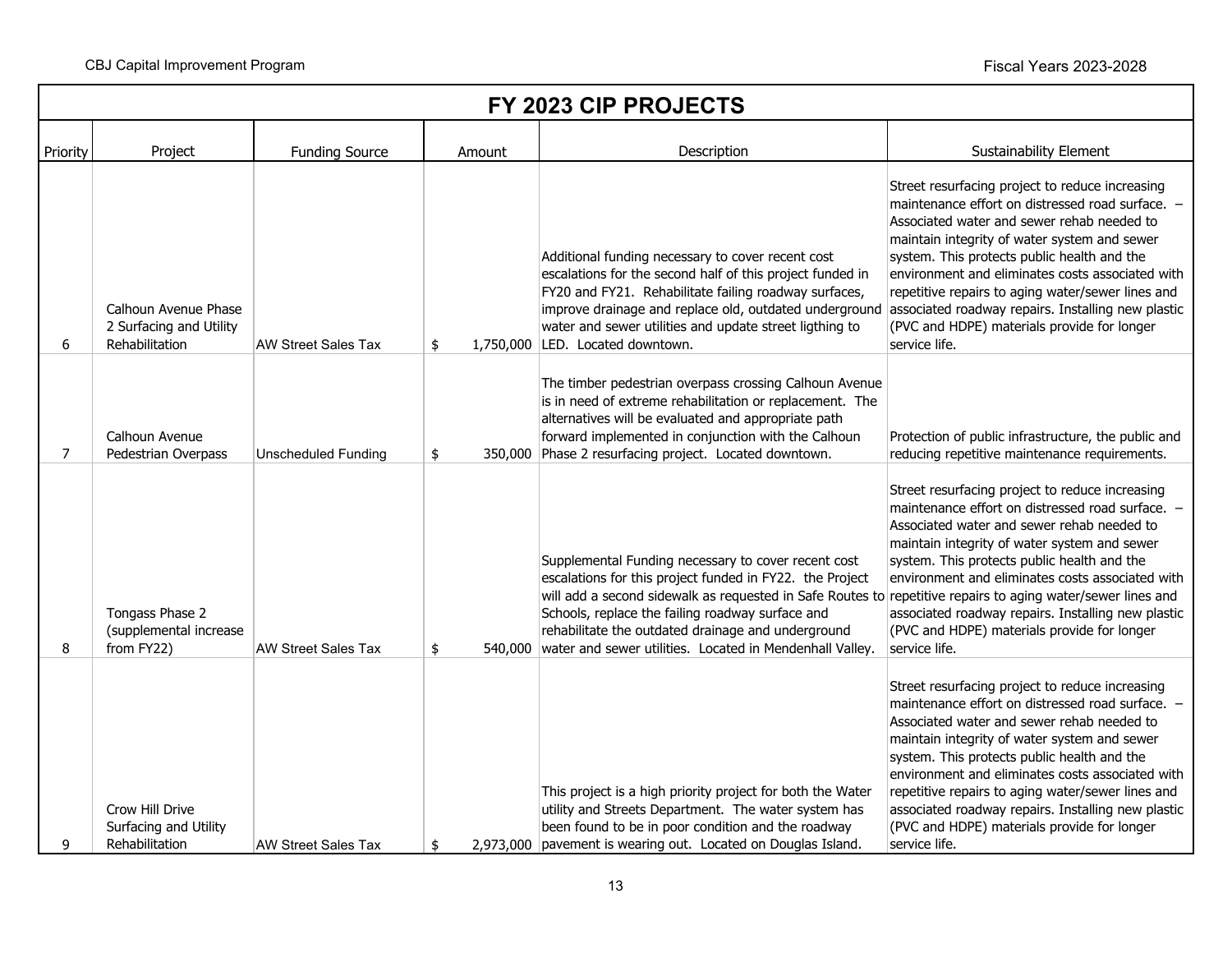|          | FY 2023 CIP PROJECTS                                              |                            |                 |                                                                                                                                                                                                                                                                                                                                                                                                              |                                                                                                                                                                                                                                                                                                                                                                                                                                                                                 |  |  |  |  |
|----------|-------------------------------------------------------------------|----------------------------|-----------------|--------------------------------------------------------------------------------------------------------------------------------------------------------------------------------------------------------------------------------------------------------------------------------------------------------------------------------------------------------------------------------------------------------------|---------------------------------------------------------------------------------------------------------------------------------------------------------------------------------------------------------------------------------------------------------------------------------------------------------------------------------------------------------------------------------------------------------------------------------------------------------------------------------|--|--|--|--|
| Priority | Project                                                           | <b>Funding Source</b>      | Amount          | Description                                                                                                                                                                                                                                                                                                                                                                                                  | <b>Sustainability Element</b>                                                                                                                                                                                                                                                                                                                                                                                                                                                   |  |  |  |  |
| 6        | Calhoun Avenue Phase<br>2 Surfacing and Utility<br>Rehabilitation | <b>AW Street Sales Tax</b> | \$              | Additional funding necessary to cover recent cost<br>escalations for the second half of this project funded in<br>FY20 and FY21. Rehabilitate failing roadway surfaces,<br>improve drainage and replace old, outdated underground<br>water and sewer utilities and update street ligthing to<br>1,750,000 LED. Located downtown.                                                                             | Street resurfacing project to reduce increasing<br>maintenance effort on distressed road surface. -<br>Associated water and sewer rehab needed to<br>maintain integrity of water system and sewer<br>system. This protects public health and the<br>environment and eliminates costs associated with<br>repetitive repairs to aging water/sewer lines and<br>associated roadway repairs. Installing new plastic<br>(PVC and HDPE) materials provide for longer<br>service life. |  |  |  |  |
| 7        | Calhoun Avenue<br>Pedestrian Overpass                             | <b>Unscheduled Funding</b> | $\frac{1}{2}$   | The timber pedestrian overpass crossing Calhoun Avenue<br>is in need of extreme rehabilitation or replacement. The<br>alternatives will be evaluated and appropriate path<br>forward implemented in conjunction with the Calhoun<br>350,000 Phase 2 resurfacing project. Located downtown.                                                                                                                   | Protection of public infrastructure, the public and<br>reducing repetitive maintenance requirements.                                                                                                                                                                                                                                                                                                                                                                            |  |  |  |  |
| 8        | Tongass Phase 2<br>(supplemental increase<br>from FY22)           | <b>AW Street Sales Tax</b> | \$              | Supplemental Funding necessary to cover recent cost<br>escalations for this project funded in FY22. the Project<br>will add a second sidewalk as requested in Safe Routes to repetitive repairs to aging water/sewer lines and<br>Schools, replace the failing roadway surface and<br>rehabilitate the outdated drainage and underground<br>540,000 water and sewer utilities. Located in Mendenhall Valley. | Street resurfacing project to reduce increasing<br>maintenance effort on distressed road surface. -<br>Associated water and sewer rehab needed to<br>maintain integrity of water system and sewer<br>system. This protects public health and the<br>environment and eliminates costs associated with<br>associated roadway repairs. Installing new plastic<br>(PVC and HDPE) materials provide for longer<br>service life.                                                      |  |  |  |  |
| q        | Crow Hill Drive<br>Surfacing and Utility<br>Rehabilitation        | <b>AW Street Sales Tax</b> | 2,973,000<br>\$ | This project is a high priority project for both the Water<br>utility and Streets Department. The water system has<br>been found to be in poor condition and the roadway<br>pavement is wearing out. Located on Douglas Island.                                                                                                                                                                              | Street resurfacing project to reduce increasing<br>maintenance effort on distressed road surface. -<br>Associated water and sewer rehab needed to<br>maintain integrity of water system and sewer<br>system. This protects public health and the<br>environment and eliminates costs associated with<br>repetitive repairs to aging water/sewer lines and<br>associated roadway repairs. Installing new plastic<br>(PVC and HDPE) materials provide for longer<br>service life. |  |  |  |  |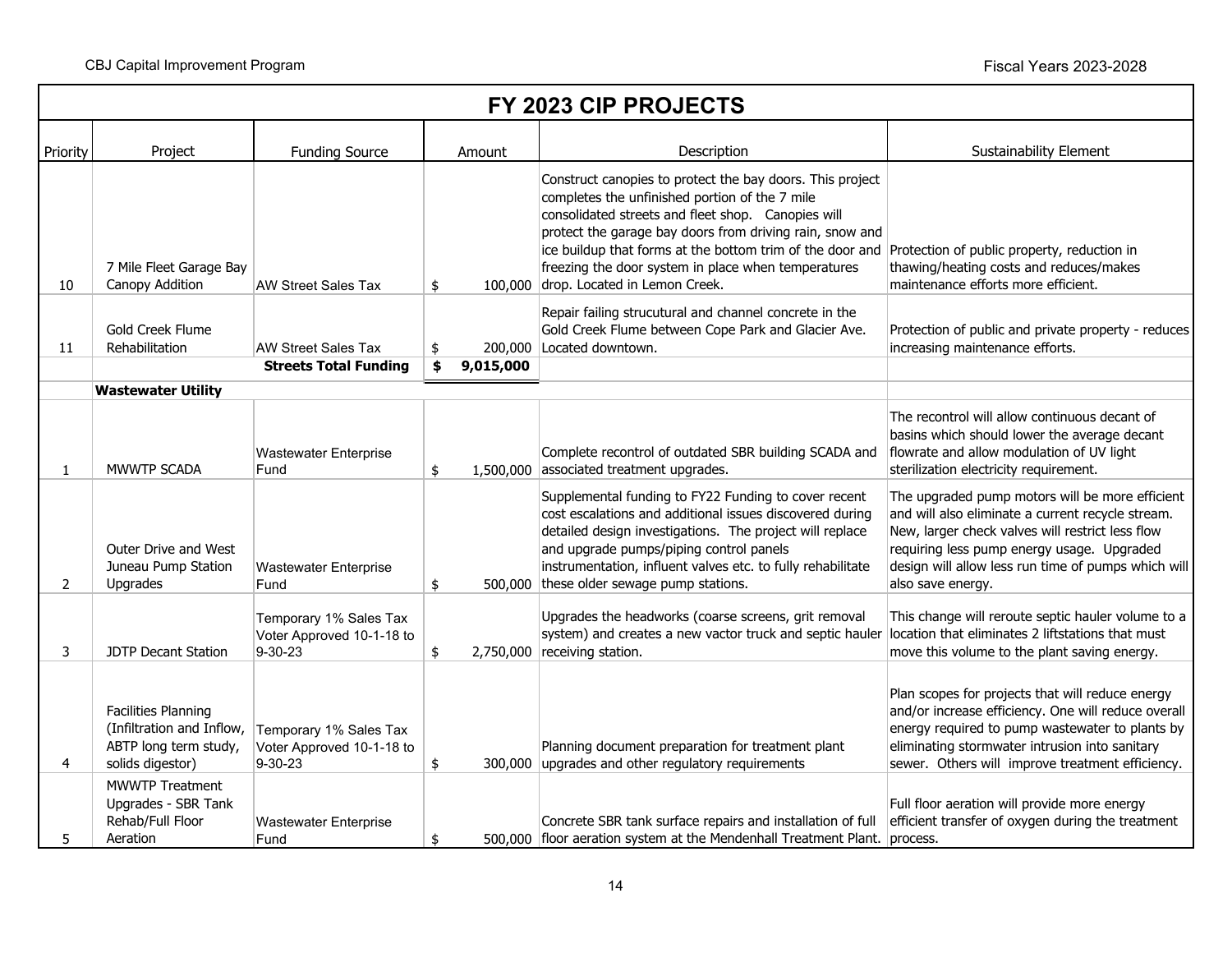|                | FY 2023 CIP PROJECTS                                                                                                           |                                                                      |                 |                                                                                                                                                                                                                                                                                                                                                                                                                                |                                                                                                                                                                                                                                                                                    |  |  |  |  |  |
|----------------|--------------------------------------------------------------------------------------------------------------------------------|----------------------------------------------------------------------|-----------------|--------------------------------------------------------------------------------------------------------------------------------------------------------------------------------------------------------------------------------------------------------------------------------------------------------------------------------------------------------------------------------------------------------------------------------|------------------------------------------------------------------------------------------------------------------------------------------------------------------------------------------------------------------------------------------------------------------------------------|--|--|--|--|--|
| Priority       | Project                                                                                                                        | <b>Funding Source</b>                                                | Amount          | Description                                                                                                                                                                                                                                                                                                                                                                                                                    | <b>Sustainability Element</b>                                                                                                                                                                                                                                                      |  |  |  |  |  |
| 10             | 7 Mile Fleet Garage Bay<br>Canopy Addition                                                                                     | <b>AW Street Sales Tax</b>                                           | \$<br>100,000   | Construct canopies to protect the bay doors. This project<br>completes the unfinished portion of the 7 mile<br>consolidated streets and fleet shop. Canopies will<br>protect the garage bay doors from driving rain, snow and<br>ice buildup that forms at the bottom trim of the door and Protection of public property, reduction in<br>freezing the door system in place when temperatures<br>drop. Located in Lemon Creek. | thawing/heating costs and reduces/makes<br>maintenance efforts more efficient.                                                                                                                                                                                                     |  |  |  |  |  |
| 11             | Gold Creek Flume<br>Rehabilitation                                                                                             | <b>AW Street Sales Tax</b>                                           | \$              | Repair failing strucutural and channel concrete in the<br>Gold Creek Flume between Cope Park and Glacier Ave.<br>200,000 Located downtown.                                                                                                                                                                                                                                                                                     | Protection of public and private property - reduces<br>increasing maintenance efforts.                                                                                                                                                                                             |  |  |  |  |  |
|                |                                                                                                                                | <b>Streets Total Funding</b>                                         | 9,015,000<br>\$ |                                                                                                                                                                                                                                                                                                                                                                                                                                |                                                                                                                                                                                                                                                                                    |  |  |  |  |  |
|                | <b>Wastewater Utility</b>                                                                                                      |                                                                      |                 |                                                                                                                                                                                                                                                                                                                                                                                                                                |                                                                                                                                                                                                                                                                                    |  |  |  |  |  |
| 1              | MWWTP SCADA                                                                                                                    | <b>Wastewater Enterprise</b><br>Fund                                 | \$              | Complete recontrol of outdated SBR building SCADA and<br>1,500,000 associated treatment upgrades.                                                                                                                                                                                                                                                                                                                              | The recontrol will allow continuous decant of<br>basins which should lower the average decant<br>flowrate and allow modulation of UV light<br>sterilization electricity requirement.                                                                                               |  |  |  |  |  |
| $\overline{2}$ | <b>Outer Drive and West</b><br>Juneau Pump Station<br>Upgrades                                                                 | Wastewater Enterprise<br>Fund                                        | \$              | Supplemental funding to FY22 Funding to cover recent<br>cost escalations and additional issues discovered during<br>detailed design investigations. The project will replace<br>and upgrade pumps/piping control panels<br>instrumentation, influent valves etc. to fully rehabilitate<br>500,000 these older sewage pump stations.                                                                                            | The upgraded pump motors will be more efficient<br>and will also eliminate a current recycle stream.<br>New, larger check valves will restrict less flow<br>requiring less pump energy usage. Upgraded<br>design will allow less run time of pumps which will<br>also save energy. |  |  |  |  |  |
| 3              | <b>JDTP Decant Station</b>                                                                                                     | Temporary 1% Sales Tax<br>Voter Approved 10-1-18 to<br>9-30-23       | \$              | Upgrades the headworks (coarse screens, grit removal<br>system) and creates a new vactor truck and septic hauler location that eliminates 2 liftstations that must<br>2,750,000 receiving station.                                                                                                                                                                                                                             | This change will reroute septic hauler volume to a<br>move this volume to the plant saving energy.                                                                                                                                                                                 |  |  |  |  |  |
| 4              | <b>Facilities Planning</b><br>(Infiltration and Inflow,<br>ABTP long term study,<br>solids digestor)<br><b>MWWTP Treatment</b> | Temporary 1% Sales Tax<br>Voter Approved 10-1-18 to<br>$9 - 30 - 23$ | \$              | Planning document preparation for treatment plant<br>300,000 upgrades and other regulatory requirements                                                                                                                                                                                                                                                                                                                        | Plan scopes for projects that will reduce energy<br>and/or increase efficiency. One will reduce overall<br>energy required to pump wastewater to plants by<br>eliminating stormwater intrusion into sanitary<br>sewer. Others will improve treatment efficiency.                   |  |  |  |  |  |
| 5              | Upgrades - SBR Tank<br>Rehab/Full Floor<br>Aeration                                                                            | <b>Wastewater Enterprise</b><br>Fund                                 | \$              | Concrete SBR tank surface repairs and installation of full<br>500,000 floor aeration system at the Mendenhall Treatment Plant. process.                                                                                                                                                                                                                                                                                        | Full floor aeration will provide more energy<br>efficient transfer of oxygen during the treatment                                                                                                                                                                                  |  |  |  |  |  |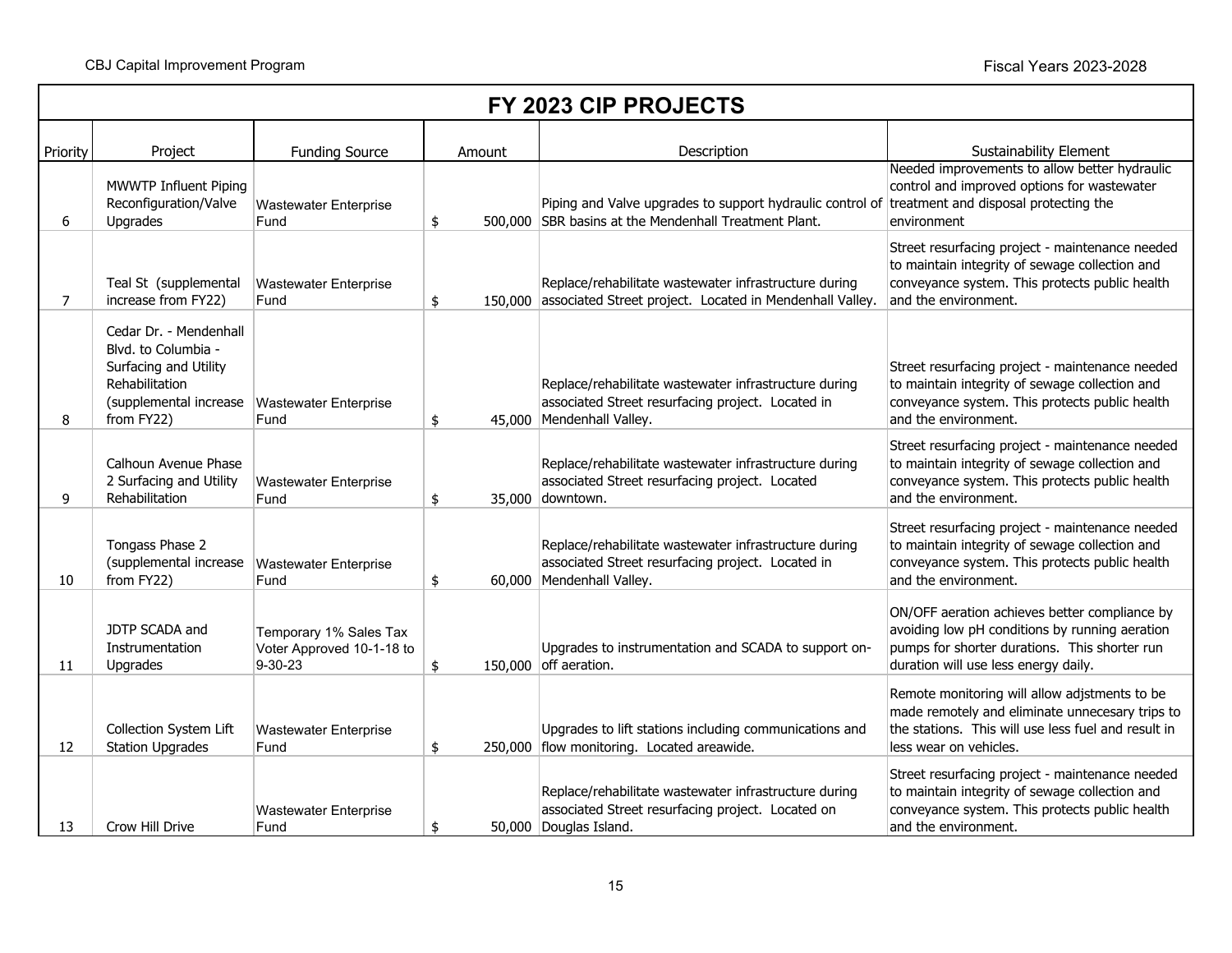T.

|                | FY 2023 CIP PROJECTS                                                                                                             |                                                                |               |        |                                                                                                                                                          |                                                                                                                                                                                          |  |  |  |
|----------------|----------------------------------------------------------------------------------------------------------------------------------|----------------------------------------------------------------|---------------|--------|----------------------------------------------------------------------------------------------------------------------------------------------------------|------------------------------------------------------------------------------------------------------------------------------------------------------------------------------------------|--|--|--|
| Priority       | Project                                                                                                                          | <b>Funding Source</b>                                          |               | Amount | Description                                                                                                                                              | Sustainability Element                                                                                                                                                                   |  |  |  |
| 6              | MWWTP Influent Piping<br>Reconfiguration/Valve<br>Upgrades                                                                       | <b>Wastewater Enterprise</b><br>Fund                           | \$            |        | Piping and Valve upgrades to support hydraulic control of treatment and disposal protecting the<br>500,000 SBR basins at the Mendenhall Treatment Plant. | Needed improvements to allow better hydraulic<br>control and improved options for wastewater<br>environment                                                                              |  |  |  |
| $\overline{7}$ | Teal St (supplemental<br>increase from FY22)                                                                                     | <b>Wastewater Enterprise</b><br>Fund                           | \$            |        | Replace/rehabilitate wastewater infrastructure during<br>150,000 associated Street project. Located in Mendenhall Valley.                                | Street resurfacing project - maintenance needed<br>to maintain integrity of sewage collection and<br>conveyance system. This protects public health<br>and the environment.              |  |  |  |
| 8              | Cedar Dr. - Mendenhall<br>Blvd. to Columbia -<br>Surfacing and Utility<br>Rehabilitation<br>(supplemental increase<br>from FY22) | <b>Wastewater Enterprise</b><br>Fund                           | \$            |        | Replace/rehabilitate wastewater infrastructure during<br>associated Street resurfacing project. Located in<br>45,000 Mendenhall Valley.                  | Street resurfacing project - maintenance needed<br>to maintain integrity of sewage collection and<br>conveyance system. This protects public health<br>and the environment.              |  |  |  |
| 9              | Calhoun Avenue Phase<br>2 Surfacing and Utility<br>Rehabilitation                                                                | <b>Wastewater Enterprise</b><br>Fund                           | \$            |        | Replace/rehabilitate wastewater infrastructure during<br>associated Street resurfacing project. Located<br>35,000 downtown.                              | Street resurfacing project - maintenance needed<br>to maintain integrity of sewage collection and<br>conveyance system. This protects public health<br>and the environment.              |  |  |  |
| 10             | Tongass Phase 2<br>(supplemental increase<br>from FY22)                                                                          | <b>Wastewater Enterprise</b><br>Fund                           | \$            |        | Replace/rehabilitate wastewater infrastructure during<br>associated Street resurfacing project. Located in<br>60,000 Mendenhall Valley.                  | Street resurfacing project - maintenance needed<br>to maintain integrity of sewage collection and<br>conveyance system. This protects public health<br>and the environment.              |  |  |  |
| 11             | JDTP SCADA and<br>Instrumentation<br>Upgrades                                                                                    | Temporary 1% Sales Tax<br>Voter Approved 10-1-18 to<br>9-30-23 | \$            |        | Upgrades to instrumentation and SCADA to support on-<br>150,000 off aeration.                                                                            | ON/OFF aeration achieves better compliance by<br>avoiding low pH conditions by running aeration<br>pumps for shorter durations. This shorter run<br>duration will use less energy daily. |  |  |  |
| 12             | Collection System Lift<br><b>Station Upgrades</b>                                                                                | <b>Wastewater Enterprise</b><br>Fund                           | \$            |        | Upgrades to lift stations including communications and<br>250,000 flow monitoring. Located areawide.                                                     | Remote monitoring will allow adjstments to be<br>made remotely and eliminate unnecesary trips to<br>the stations. This will use less fuel and result in<br>less wear on vehicles.        |  |  |  |
| 13             | Crow Hill Drive                                                                                                                  | <b>Wastewater Enterprise</b><br>Fund                           | $\frac{1}{2}$ |        | Replace/rehabilitate wastewater infrastructure during<br>associated Street resurfacing project. Located on<br>50,000 Douglas Island.                     | Street resurfacing project - maintenance needed<br>to maintain integrity of sewage collection and<br>conveyance system. This protects public health<br>and the environment.              |  |  |  |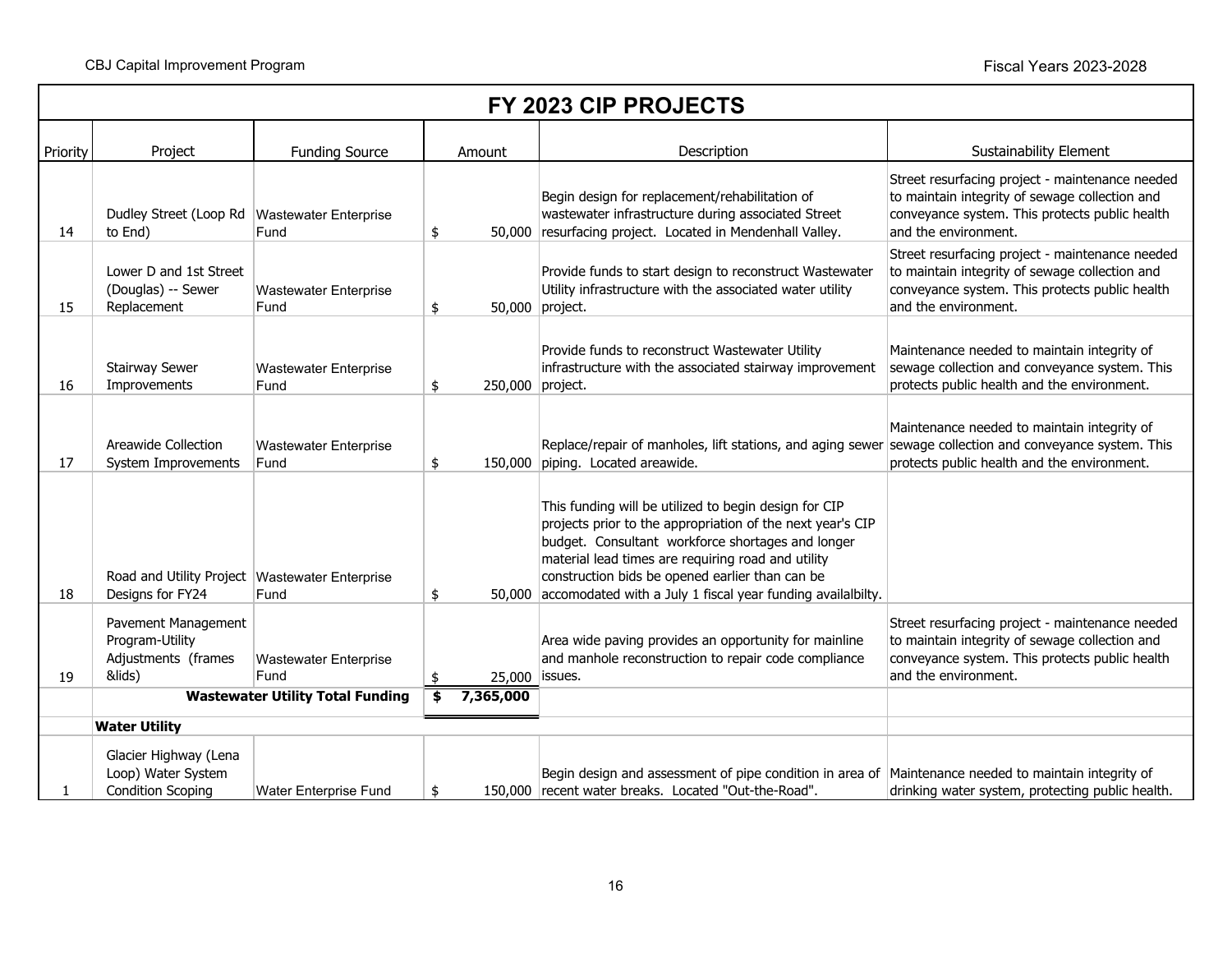|          | FY 2023 CIP PROJECTS                                                    |                                         |    |                  |                                                                                                                                                                                                                                                                                                                                                         |                                                                                                                                                                             |  |  |  |
|----------|-------------------------------------------------------------------------|-----------------------------------------|----|------------------|---------------------------------------------------------------------------------------------------------------------------------------------------------------------------------------------------------------------------------------------------------------------------------------------------------------------------------------------------------|-----------------------------------------------------------------------------------------------------------------------------------------------------------------------------|--|--|--|
| Priority | Project                                                                 | <b>Funding Source</b>                   |    | Amount           | Description                                                                                                                                                                                                                                                                                                                                             | Sustainability Element                                                                                                                                                      |  |  |  |
| 14       | Dudley Street (Loop Rd   Wastewater Enterprise<br>to End)               | Fund                                    | \$ |                  | Begin design for replacement/rehabilitation of<br>wastewater infrastructure during associated Street<br>50,000 resurfacing project. Located in Mendenhall Valley.                                                                                                                                                                                       | Street resurfacing project - maintenance needed<br>to maintain integrity of sewage collection and<br>conveyance system. This protects public health<br>and the environment. |  |  |  |
| 15       | Lower D and 1st Street<br>(Douglas) -- Sewer<br>Replacement             | <b>Wastewater Enterprise</b><br>Fund    | \$ | 50,000 project.  | Provide funds to start design to reconstruct Wastewater<br>Utility infrastructure with the associated water utility                                                                                                                                                                                                                                     | Street resurfacing project - maintenance needed<br>to maintain integrity of sewage collection and<br>conveyance system. This protects public health<br>and the environment. |  |  |  |
| 16       | <b>Stairway Sewer</b><br>Improvements                                   | <b>Wastewater Enterprise</b><br>Fund    | \$ | 250,000 project. | Provide funds to reconstruct Wastewater Utility<br>infrastructure with the associated stairway improvement                                                                                                                                                                                                                                              | Maintenance needed to maintain integrity of<br>sewage collection and conveyance system. This<br>protects public health and the environment.                                 |  |  |  |
| 17       | Areawide Collection<br>System Improvements                              | <b>Wastewater Enterprise</b><br>Fund    | \$ |                  | Replace/repair of manholes, lift stations, and aging sewer sewage collection and conveyance system. This<br>150,000 piping. Located areawide.                                                                                                                                                                                                           | Maintenance needed to maintain integrity of<br>protects public health and the environment.                                                                                  |  |  |  |
| 18       | Road and Utility Project   Wastewater Enterprise<br>Designs for FY24    | Fund                                    | \$ |                  | This funding will be utilized to begin design for CIP<br>projects prior to the appropriation of the next year's CIP<br>budget. Consultant workforce shortages and longer<br>material lead times are requiring road and utility<br>construction bids be opened earlier than can be<br>50,000 accomodated with a July 1 fiscal year funding availalbilty. |                                                                                                                                                                             |  |  |  |
| 19       | Pavement Management<br>Program-Utility<br>Adjustments (frames<br>&lids) | <b>Wastewater Enterprise</b><br>Fund    | \$ | 25,000           | Area wide paving provides an opportunity for mainline<br>and manhole reconstruction to repair code compliance<br>issues.                                                                                                                                                                                                                                | Street resurfacing project - maintenance needed<br>to maintain integrity of sewage collection and<br>conveyance system. This protects public health<br>and the environment. |  |  |  |
|          |                                                                         | <b>Wastewater Utility Total Funding</b> | \$ | 7,365,000        |                                                                                                                                                                                                                                                                                                                                                         |                                                                                                                                                                             |  |  |  |
|          | <b>Water Utility</b>                                                    |                                         |    |                  |                                                                                                                                                                                                                                                                                                                                                         |                                                                                                                                                                             |  |  |  |
|          | Glacier Highway (Lena<br>Loop) Water System<br><b>Condition Scoping</b> | <b>Water Enterprise Fund</b>            | \$ |                  | Begin design and assessment of pipe condition in area of Maintenance needed to maintain integrity of<br>150,000 recent water breaks. Located "Out-the-Road".                                                                                                                                                                                            | drinking water system, protecting public health.                                                                                                                            |  |  |  |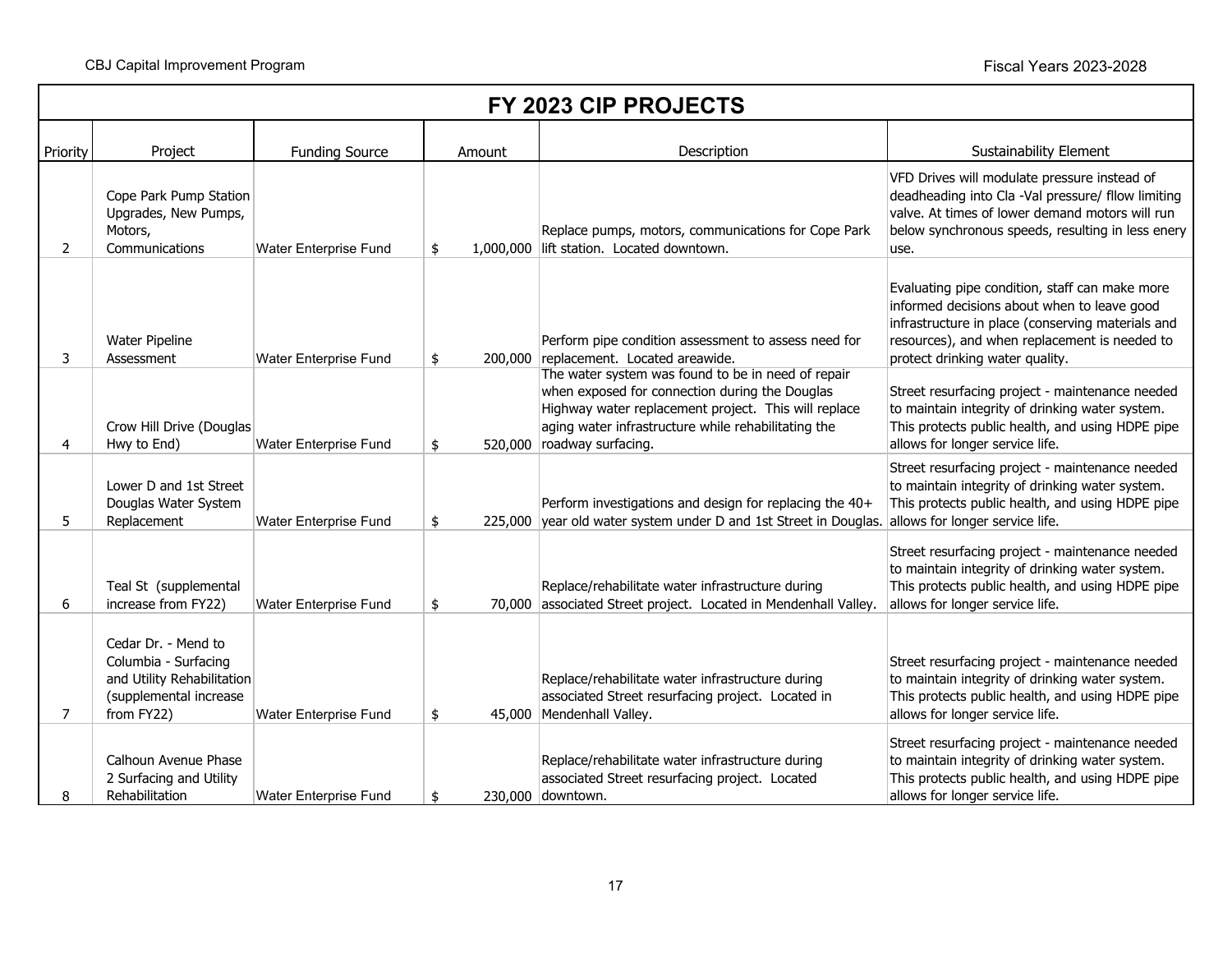$\mathsf{r}$ 

|                | FY 2023 CIP PROJECTS                                                                                              |                              |        |  |                                                                                                                                                                                                                                                   |                                                                                                                                                                                                                                        |  |  |
|----------------|-------------------------------------------------------------------------------------------------------------------|------------------------------|--------|--|---------------------------------------------------------------------------------------------------------------------------------------------------------------------------------------------------------------------------------------------------|----------------------------------------------------------------------------------------------------------------------------------------------------------------------------------------------------------------------------------------|--|--|
| Priority       | Project                                                                                                           | <b>Funding Source</b>        | Amount |  | Description                                                                                                                                                                                                                                       | Sustainability Element                                                                                                                                                                                                                 |  |  |
| $\overline{2}$ | Cope Park Pump Station<br>Upgrades, New Pumps,<br>Motors,<br>Communications                                       | Water Enterprise Fund        | \$     |  | Replace pumps, motors, communications for Cope Park<br>1,000,000 lift station. Located downtown.                                                                                                                                                  | VFD Drives will modulate pressure instead of<br>deadheading into Cla -Val pressure/ fllow limiting<br>valve. At times of lower demand motors will run<br>below synchronous speeds, resulting in less enery<br>use.                     |  |  |
| 3              | Water Pipeline<br>Assessment                                                                                      | Water Enterprise Fund        | \$     |  | Perform pipe condition assessment to assess need for<br>200,000 replacement. Located areawide.                                                                                                                                                    | Evaluating pipe condition, staff can make more<br>informed decisions about when to leave good<br>infrastructure in place (conserving materials and<br>resources), and when replacement is needed to<br>protect drinking water quality. |  |  |
| 4              | Crow Hill Drive (Douglas<br>Hwy to End)                                                                           | <b>Water Enterprise Fund</b> | \$     |  | The water system was found to be in need of repair<br>when exposed for connection during the Douglas<br>Highway water replacement project. This will replace<br>aging water infrastructure while rehabilitating the<br>520,000 roadway surfacing. | Street resurfacing project - maintenance needed<br>to maintain integrity of drinking water system.<br>This protects public health, and using HDPE pipe<br>allows for longer service life.                                              |  |  |
| 5              | Lower D and 1st Street<br>Douglas Water System<br>Replacement                                                     | Water Enterprise Fund        | \$     |  | Perform investigations and design for replacing the 40+<br>225,000 year old water system under D and 1st Street in Douglas.                                                                                                                       | Street resurfacing project - maintenance needed<br>to maintain integrity of drinking water system.<br>This protects public health, and using HDPE pipe<br>allows for longer service life.                                              |  |  |
| 6              | Teal St (supplemental<br>increase from FY22)                                                                      | Water Enterprise Fund        | \$     |  | Replace/rehabilitate water infrastructure during<br>70,000 associated Street project. Located in Mendenhall Valley.                                                                                                                               | Street resurfacing project - maintenance needed<br>to maintain integrity of drinking water system.<br>This protects public health, and using HDPE pipe<br>allows for longer service life.                                              |  |  |
| 7              | Cedar Dr. - Mend to<br>Columbia - Surfacing<br>and Utility Rehabilitation<br>(supplemental increase<br>from FY22) | Water Enterprise Fund        | \$     |  | Replace/rehabilitate water infrastructure during<br>associated Street resurfacing project. Located in<br>45,000 Mendenhall Valley.                                                                                                                | Street resurfacing project - maintenance needed<br>to maintain integrity of drinking water system.<br>This protects public health, and using HDPE pipe<br>allows for longer service life.                                              |  |  |
| 8              | Calhoun Avenue Phase<br>2 Surfacing and Utility<br>Rehabilitation                                                 | <b>Water Enterprise Fund</b> | \$     |  | Replace/rehabilitate water infrastructure during<br>associated Street resurfacing project. Located<br>230,000 downtown.                                                                                                                           | Street resurfacing project - maintenance needed<br>to maintain integrity of drinking water system.<br>This protects public health, and using HDPE pipe<br>allows for longer service life.                                              |  |  |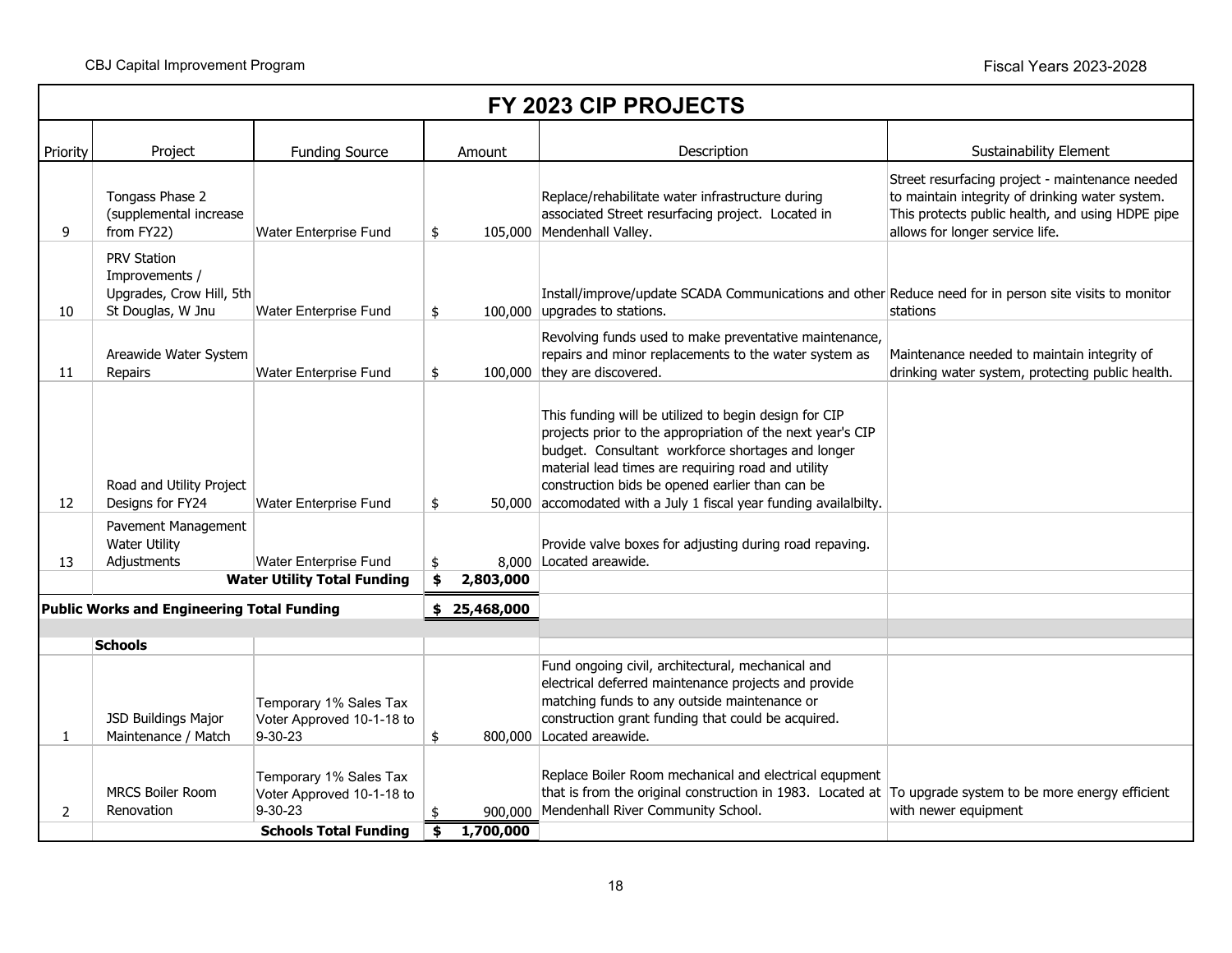|          | FY 2023 CIP PROJECTS                                                           |                                                                                                      |               |                      |                                                                                                                                                                                                                                                                                                                                                         |                                                                                                                                                                                           |  |  |  |  |
|----------|--------------------------------------------------------------------------------|------------------------------------------------------------------------------------------------------|---------------|----------------------|---------------------------------------------------------------------------------------------------------------------------------------------------------------------------------------------------------------------------------------------------------------------------------------------------------------------------------------------------------|-------------------------------------------------------------------------------------------------------------------------------------------------------------------------------------------|--|--|--|--|
| Priority | Project                                                                        | <b>Funding Source</b>                                                                                |               | Amount               | Description                                                                                                                                                                                                                                                                                                                                             | <b>Sustainability Element</b>                                                                                                                                                             |  |  |  |  |
| 9        | Tongass Phase 2<br>(supplemental increase<br>from FY22)                        | <b>Water Enterprise Fund</b>                                                                         | \$            |                      | Replace/rehabilitate water infrastructure during<br>associated Street resurfacing project. Located in<br>105,000 Mendenhall Valley.                                                                                                                                                                                                                     | Street resurfacing project - maintenance needed<br>to maintain integrity of drinking water system.<br>This protects public health, and using HDPE pipe<br>allows for longer service life. |  |  |  |  |
| 10       | PRV Station<br>Improvements /<br>Upgrades, Crow Hill, 5th<br>St Douglas, W Jnu | Water Enterprise Fund                                                                                | \$            |                      | Install/improve/update SCADA Communications and other Reduce need for in person site visits to monitor<br>100,000 upgrades to stations.                                                                                                                                                                                                                 | stations                                                                                                                                                                                  |  |  |  |  |
| 11       | Areawide Water System<br>Repairs                                               | Water Enterprise Fund                                                                                | \$            |                      | Revolving funds used to make preventative maintenance,<br>repairs and minor replacements to the water system as<br>100,000 they are discovered.                                                                                                                                                                                                         | Maintenance needed to maintain integrity of<br>drinking water system, protecting public health.                                                                                           |  |  |  |  |
| 12       | Road and Utility Project<br>Designs for FY24                                   | Water Enterprise Fund                                                                                | \$            |                      | This funding will be utilized to begin design for CIP<br>projects prior to the appropriation of the next year's CIP<br>budget. Consultant workforce shortages and longer<br>material lead times are requiring road and utility<br>construction bids be opened earlier than can be<br>50,000 accomodated with a July 1 fiscal year funding availalbilty. |                                                                                                                                                                                           |  |  |  |  |
| 13       | Pavement Management<br><b>Water Utility</b><br>Adjustments                     | <b>Water Enterprise Fund</b>                                                                         | \$            |                      | Provide valve boxes for adjusting during road repaving.<br>8,000 Located areawide.                                                                                                                                                                                                                                                                      |                                                                                                                                                                                           |  |  |  |  |
|          |                                                                                | <b>Water Utility Total Funding</b>                                                                   | \$            | 2,803,000            |                                                                                                                                                                                                                                                                                                                                                         |                                                                                                                                                                                           |  |  |  |  |
|          | <b>Public Works and Engineering Total Funding</b>                              |                                                                                                      |               | 25,468,000           |                                                                                                                                                                                                                                                                                                                                                         |                                                                                                                                                                                           |  |  |  |  |
|          | <b>Schools</b>                                                                 |                                                                                                      |               |                      |                                                                                                                                                                                                                                                                                                                                                         |                                                                                                                                                                                           |  |  |  |  |
| 1        | JSD Buildings Major<br>Maintenance / Match                                     | Temporary 1% Sales Tax<br>Voter Approved 10-1-18 to<br>$9 - 30 - 23$                                 | $\frac{1}{2}$ |                      | Fund ongoing civil, architectural, mechanical and<br>electrical deferred maintenance projects and provide<br>matching funds to any outside maintenance or<br>construction grant funding that could be acquired.<br>800,000 Located areawide.                                                                                                            |                                                                                                                                                                                           |  |  |  |  |
| 2        | <b>MRCS Boiler Room</b><br>Renovation                                          | Temporary 1% Sales Tax<br>Voter Approved 10-1-18 to<br>$9 - 30 - 23$<br><b>Schools Total Funding</b> | \$            | 900,000<br>1,700,000 | Replace Boiler Room mechanical and electrical equpment<br>that is from the original construction in 1983. Located at To upgrade system to be more energy efficient<br>Mendenhall River Community School.                                                                                                                                                | with newer equipment                                                                                                                                                                      |  |  |  |  |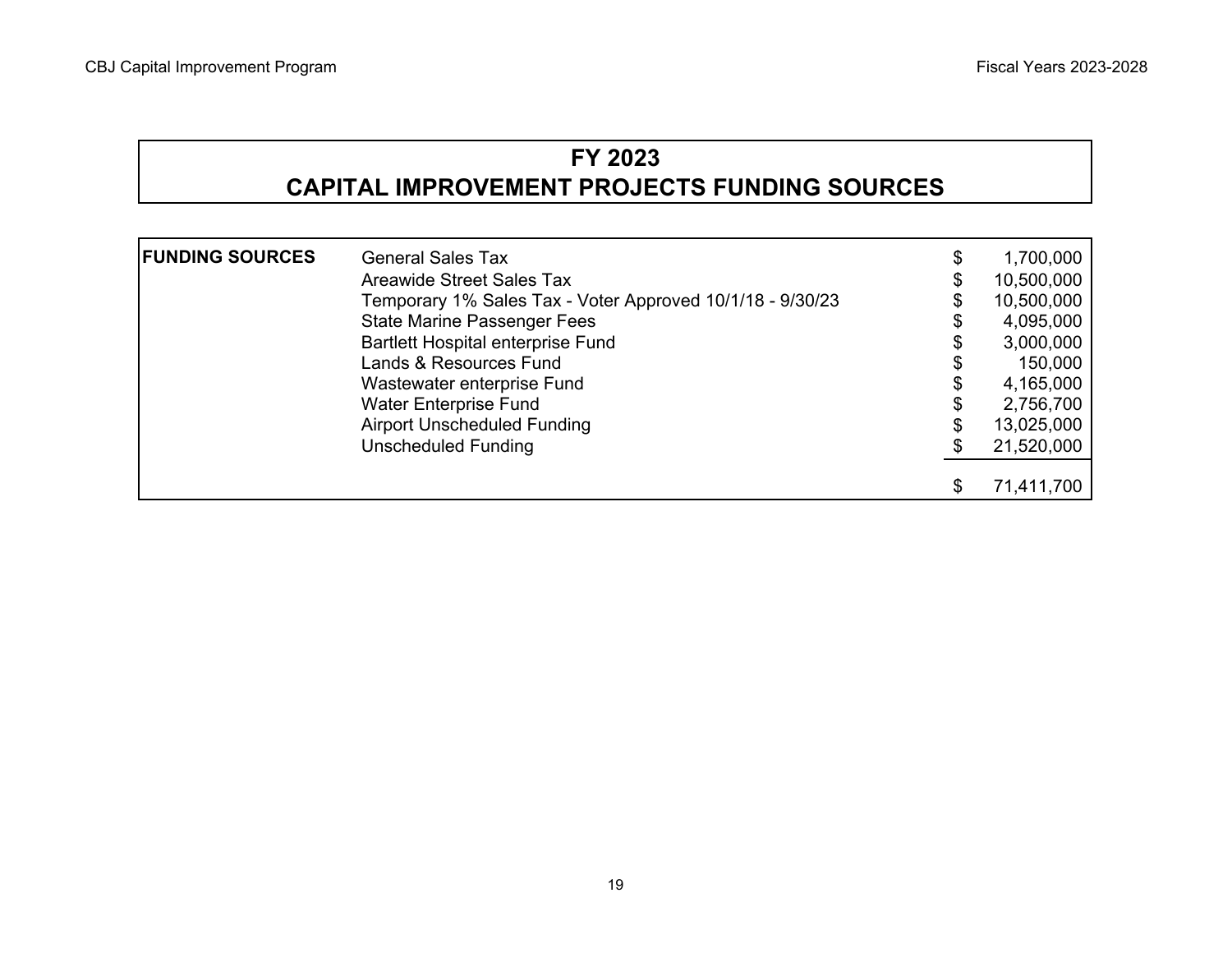# **FY 2023 CAPITAL IMPROVEMENT PROJECTS FUNDING SOURCES**

| <b>FUNDING SOURCES</b> | <b>General Sales Tax</b>                                  | \$  | 1,700,000  |
|------------------------|-----------------------------------------------------------|-----|------------|
|                        | Areawide Street Sales Tax                                 | \$  | 10,500,000 |
|                        | Temporary 1% Sales Tax - Voter Approved 10/1/18 - 9/30/23 |     | 10,500,000 |
|                        | <b>State Marine Passenger Fees</b>                        |     | 4,095,000  |
|                        | <b>Bartlett Hospital enterprise Fund</b>                  |     | 3,000,000  |
|                        | Lands & Resources Fund                                    |     | 150,000    |
|                        | Wastewater enterprise Fund                                | \$  | 4,165,000  |
|                        | <b>Water Enterprise Fund</b>                              | \$  | 2,756,700  |
|                        | <b>Airport Unscheduled Funding</b>                        | \$  | 13,025,000 |
|                        | <b>Unscheduled Funding</b>                                | \$. | 21,520,000 |
|                        |                                                           |     |            |
|                        |                                                           | \$  | 71,411,700 |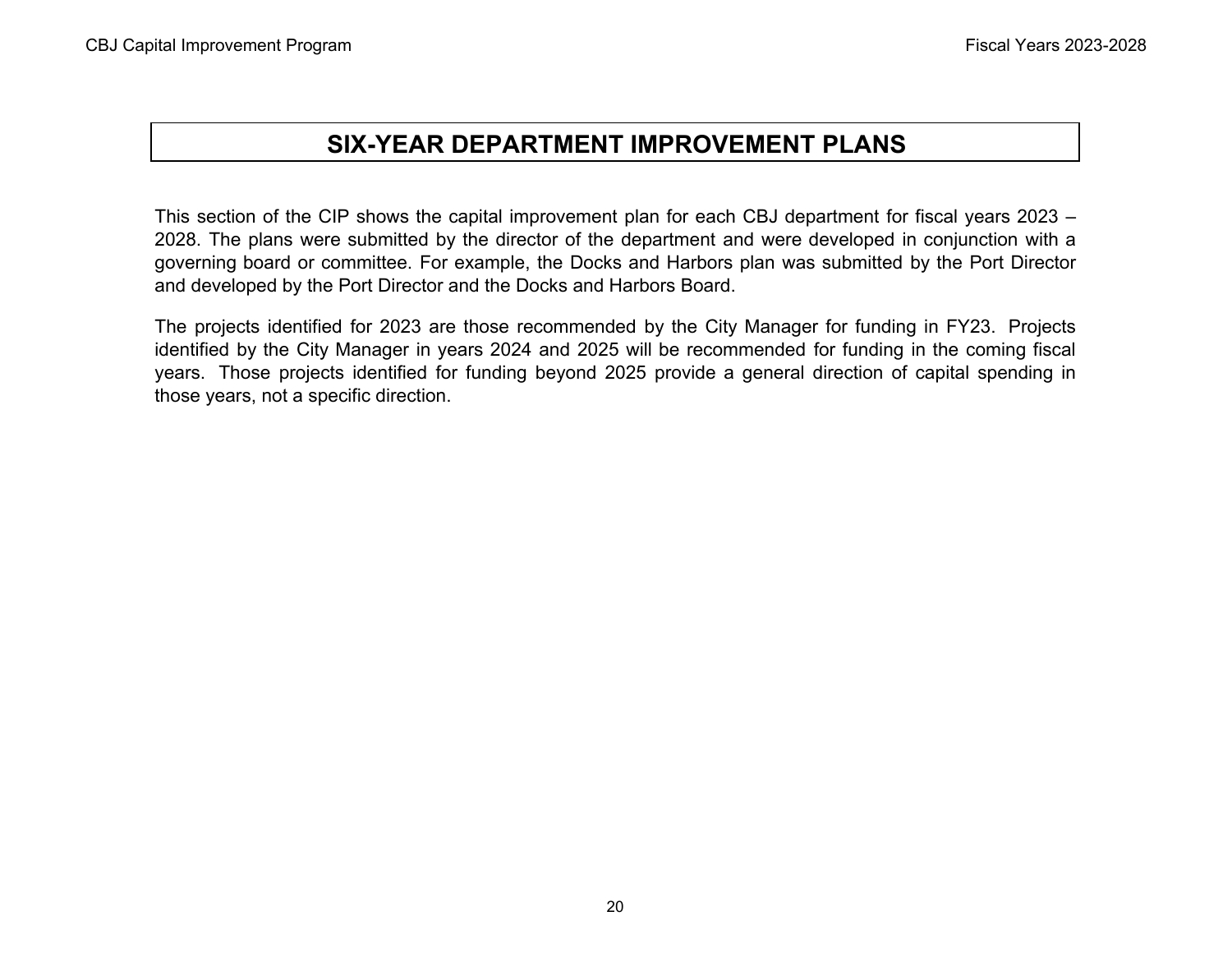# **SIX-YEAR DEPARTMENT IMPROVEMENT PLANS**

This section of the CIP shows the capital improvement plan for each CBJ department for fiscal years 2023 – 2028. The plans were submitted by the director of the department and were developed in conjunction with <sup>a</sup> governing board or committee. For example, the Docks and Harbors plan was submitted by the Port Director and developed by the Port Director and the Docks and Harbors Board.

The projects identified for 2023 are those recommended by the City Manager for funding in FY23. Projects identified by the City Manager in years 2024 and 2025 will be recommended for funding in the coming fiscal years. Those projects identified for funding beyond 2025 provide <sup>a</sup> general direction of capital spending in those years, not a specific direction.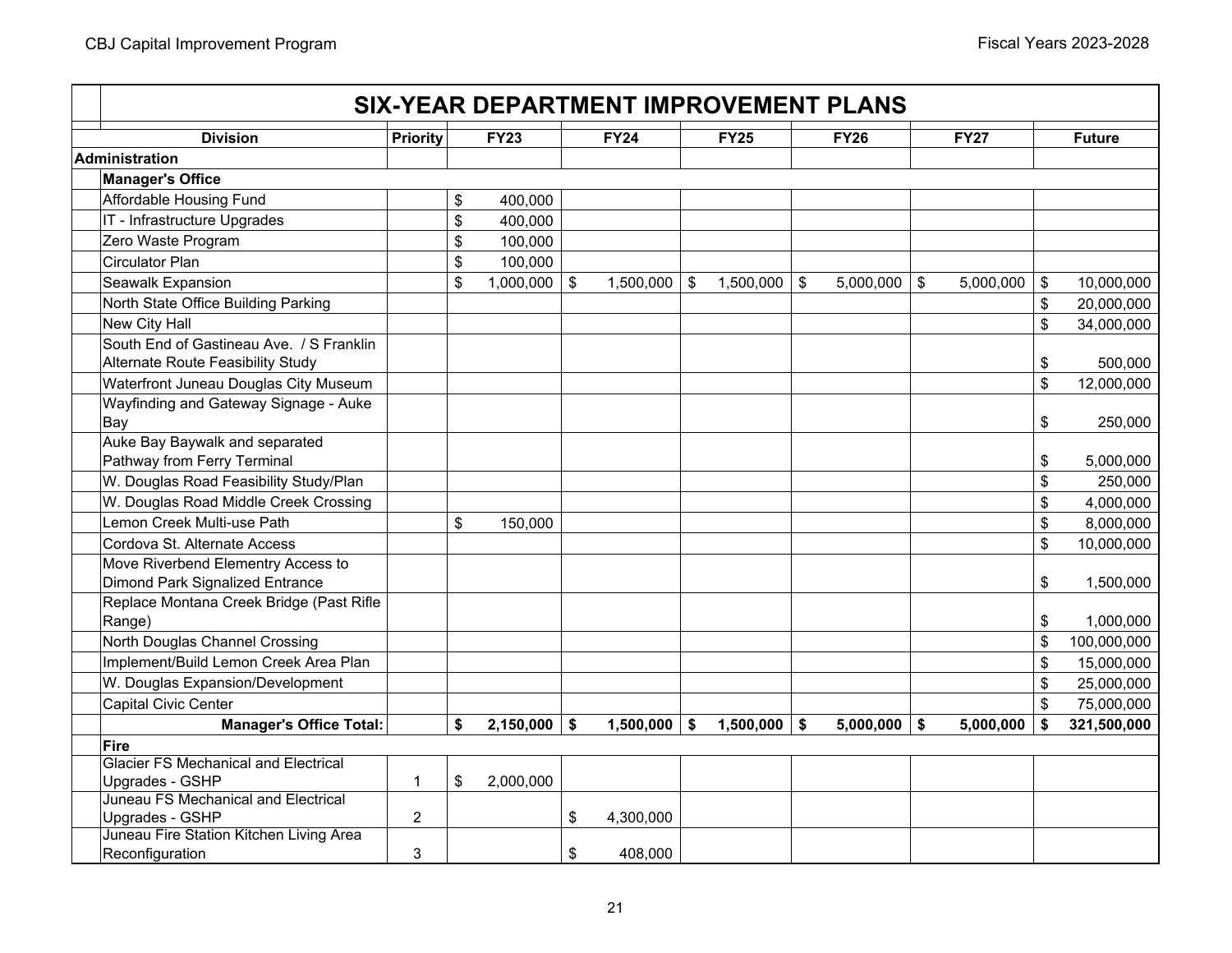# **SIX-YEAR DEPARTMENT IMPROVEMENT PLANS**

| <b>Division</b>                                        | <b>Priority</b> |                         | <b>FY23</b>    |                         | <b>FY24</b>    | $\overline{FY25}$ | <b>FY26</b>     |               | <b>FY27</b> |                         | <b>Future</b> |
|--------------------------------------------------------|-----------------|-------------------------|----------------|-------------------------|----------------|-------------------|-----------------|---------------|-------------|-------------------------|---------------|
| <b>Administration</b>                                  |                 |                         |                |                         |                |                   |                 |               |             |                         |               |
| <b>Manager's Office</b>                                |                 |                         |                |                         |                |                   |                 |               |             |                         |               |
| Affordable Housing Fund                                |                 | \$                      | 400,000        |                         |                |                   |                 |               |             |                         |               |
| IT - Infrastructure Upgrades                           |                 | $\sqrt[6]{\frac{1}{2}}$ | 400,000        |                         |                |                   |                 |               |             |                         |               |
| Zero Waste Program                                     |                 | \$                      | 100,000        |                         |                |                   |                 |               |             |                         |               |
| <b>Circulator Plan</b>                                 |                 | \$                      | 100,000        |                         |                |                   |                 |               |             |                         |               |
| Seawalk Expansion                                      |                 | \$                      | 1,000,000      | $\sqrt[6]{\frac{1}{2}}$ | 1,500,000      | \$<br>1,500,000   | \$<br>5,000,000 | $\sqrt[6]{3}$ | 5,000,000   | $\sqrt[6]{\frac{1}{2}}$ | 10,000,000    |
| North State Office Building Parking                    |                 |                         |                |                         |                |                   |                 |               |             | \$                      | 20,000,000    |
| New City Hall                                          |                 |                         |                |                         |                |                   |                 |               |             | \$                      | 34,000,000    |
| South End of Gastineau Ave. / S Franklin               |                 |                         |                |                         |                |                   |                 |               |             |                         |               |
| Alternate Route Feasibility Study                      |                 |                         |                |                         |                |                   |                 |               |             | \$                      | 500,000       |
| Waterfront Juneau Douglas City Museum                  |                 |                         |                |                         |                |                   |                 |               |             | \$                      | 12,000,000    |
| Wayfinding and Gateway Signage - Auke                  |                 |                         |                |                         |                |                   |                 |               |             |                         |               |
| Bay                                                    |                 |                         |                |                         |                |                   |                 |               |             | \$                      | 250,000       |
| Auke Bay Baywalk and separated                         |                 |                         |                |                         |                |                   |                 |               |             |                         |               |
| Pathway from Ferry Terminal                            |                 |                         |                |                         |                |                   |                 |               |             | \$                      | 5,000,000     |
| W. Douglas Road Feasibility Study/Plan                 |                 |                         |                |                         |                |                   |                 |               |             | \$                      | 250,000       |
| W. Douglas Road Middle Creek Crossing                  |                 |                         |                |                         |                |                   |                 |               |             | \$                      | 4,000,000     |
| Lemon Creek Multi-use Path                             |                 | $\mathsf{\$}$           | 150,000        |                         |                |                   |                 |               |             | \$                      | 8,000,000     |
| Cordova St. Alternate Access                           |                 |                         |                |                         |                |                   |                 |               |             | \$                      | 10,000,000    |
| Move Riverbend Elementry Access to                     |                 |                         |                |                         |                |                   |                 |               |             |                         |               |
| <b>Dimond Park Signalized Entrance</b>                 |                 |                         |                |                         |                |                   |                 |               |             | \$                      | 1,500,000     |
| Replace Montana Creek Bridge (Past Rifle               |                 |                         |                |                         |                |                   |                 |               |             |                         |               |
| Range)                                                 |                 |                         |                |                         |                |                   |                 |               |             | \$                      | 1,000,000     |
| North Douglas Channel Crossing                         |                 |                         |                |                         |                |                   |                 |               |             | \$                      | 100,000,000   |
| Implement/Build Lemon Creek Area Plan                  |                 |                         |                |                         |                |                   |                 |               |             | \$                      | 15,000,000    |
| W. Douglas Expansion/Development                       |                 |                         |                |                         |                |                   |                 |               |             | \$                      | 25,000,000    |
| <b>Capital Civic Center</b>                            |                 |                         |                |                         |                |                   |                 |               |             | \$                      | 75,000,000    |
| <b>Manager's Office Total:</b>                         |                 | \$                      | $2,150,000$ \$ |                         | $1,500,000$ \$ | 1,500,000         | \$<br>5,000,000 | \$            | 5,000,000   | \$                      | 321,500,000   |
| <b>Fire</b>                                            |                 |                         |                |                         |                |                   |                 |               |             |                         |               |
| <b>Glacier FS Mechanical and Electrical</b>            |                 |                         |                |                         |                |                   |                 |               |             |                         |               |
| Upgrades - GSHP<br>Juneau FS Mechanical and Electrical | $\mathbf{1}$    | \$                      | 2,000,000      |                         |                |                   |                 |               |             |                         |               |
| Upgrades - GSHP                                        | $\overline{2}$  |                         |                | \$                      | 4,300,000      |                   |                 |               |             |                         |               |
| Juneau Fire Station Kitchen Living Area                |                 |                         |                |                         |                |                   |                 |               |             |                         |               |
| Reconfiguration                                        | 3               |                         |                | \$                      | 408,000        |                   |                 |               |             |                         |               |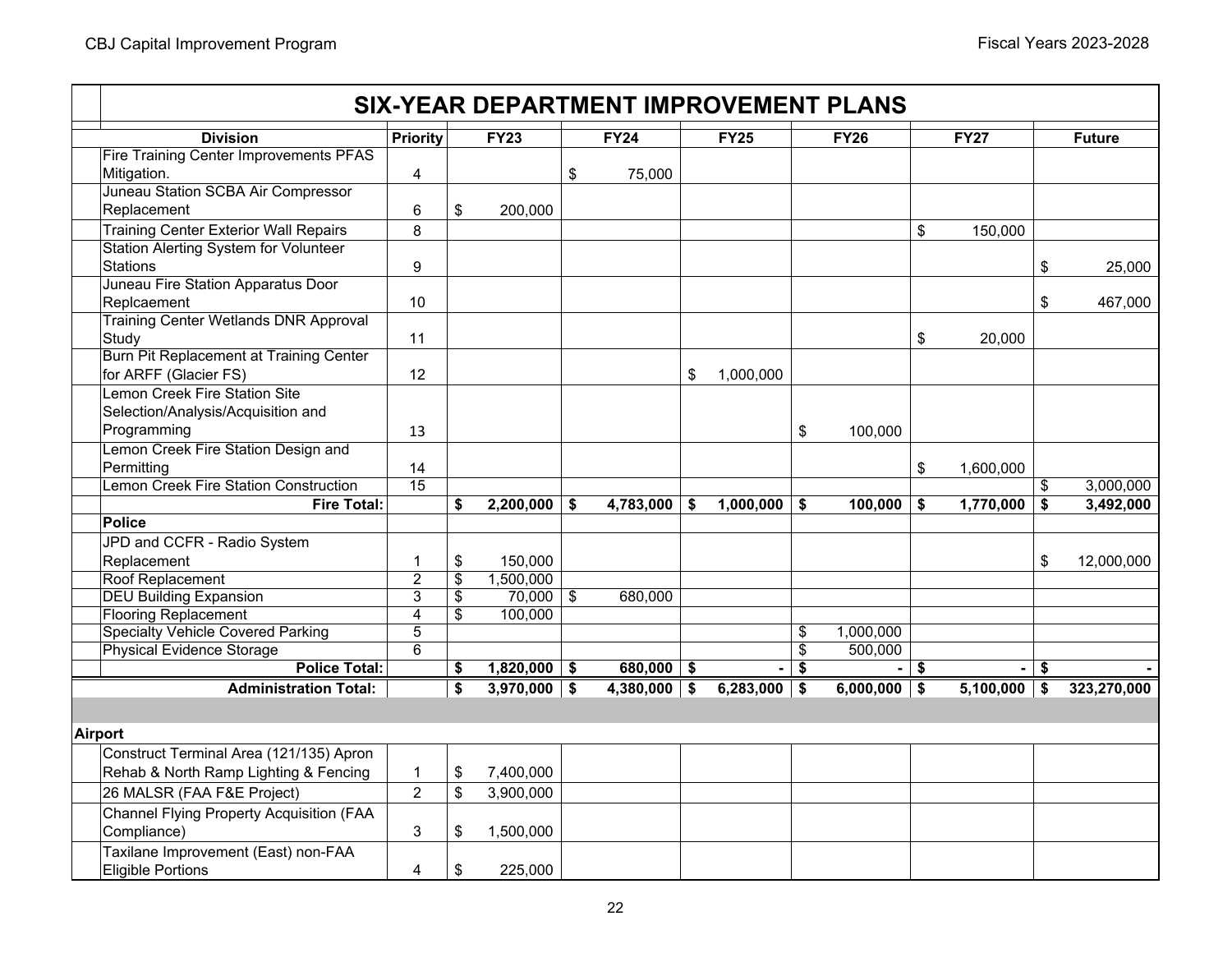|                |                                              |                 |                         |                |                           | <b>SIX-YEAR DEPARTMENT IMPROVEMENT PLANS</b> |                 |    |                      |         |                |        |               |
|----------------|----------------------------------------------|-----------------|-------------------------|----------------|---------------------------|----------------------------------------------|-----------------|----|----------------------|---------|----------------|--------|---------------|
|                | <b>Division</b>                              | <b>Priority</b> |                         | <b>FY23</b>    |                           | <b>FY24</b>                                  | <b>FY25</b>     |    | <b>FY26</b>          |         | <b>FY27</b>    |        | <b>Future</b> |
|                | Fire Training Center Improvements PFAS       |                 |                         |                |                           |                                              |                 |    |                      |         |                |        |               |
|                | Mitigation.                                  | 4               |                         |                | $\boldsymbol{\mathsf{S}}$ | 75,000                                       |                 |    |                      |         |                |        |               |
|                | Juneau Station SCBA Air Compressor           |                 |                         |                |                           |                                              |                 |    |                      |         |                |        |               |
|                | Replacement                                  | 6               | \$                      | 200,000        |                           |                                              |                 |    |                      |         |                |        |               |
|                | <b>Training Center Exterior Wall Repairs</b> | 8               |                         |                |                           |                                              |                 |    |                      | \$      | 150,000        |        |               |
|                | <b>Station Alerting System for Volunteer</b> |                 |                         |                |                           |                                              |                 |    |                      |         |                |        |               |
|                | <b>Stations</b>                              | 9               |                         |                |                           |                                              |                 |    |                      |         |                | \$     | 25,000        |
|                | Juneau Fire Station Apparatus Door           |                 |                         |                |                           |                                              |                 |    |                      |         |                |        |               |
|                | Replcaement                                  | 10              |                         |                |                           |                                              |                 |    |                      |         |                | \$     | 467,000       |
|                | <b>Training Center Wetlands DNR Approval</b> |                 |                         |                |                           |                                              |                 |    |                      |         |                |        |               |
|                | Study                                        | 11              |                         |                |                           |                                              |                 |    |                      | \$      | 20,000         |        |               |
|                | Burn Pit Replacement at Training Center      |                 |                         |                |                           |                                              |                 |    |                      |         |                |        |               |
|                | for ARFF (Glacier FS)                        | 12              |                         |                |                           |                                              | \$<br>1,000,000 |    |                      |         |                |        |               |
|                | Lemon Creek Fire Station Site                |                 |                         |                |                           |                                              |                 |    |                      |         |                |        |               |
|                | Selection/Analysis/Acquisition and           |                 |                         |                |                           |                                              |                 |    |                      |         |                |        |               |
|                | Programming                                  | 13              |                         |                |                           |                                              |                 | \$ | 100,000              |         |                |        |               |
|                | Lemon Creek Fire Station Design and          |                 |                         |                |                           |                                              |                 |    |                      |         |                |        |               |
|                | Permitting                                   | 14              |                         |                |                           |                                              |                 |    |                      | \$      | 1,600,000      |        |               |
|                | Lemon Creek Fire Station Construction        | 15              |                         |                |                           |                                              |                 |    |                      |         |                | \$     | 3,000,000     |
|                | <b>Fire Total:</b>                           |                 | \$                      | 2,200,000      | \$                        | 4,783,000                                    | \$<br>1,000,000 | \$ | 100,000              | \$      | 1,770,000      | \$     | 3,492,000     |
|                | <b>Police</b>                                |                 |                         |                |                           |                                              |                 |    |                      |         |                |        |               |
|                | JPD and CCFR - Radio System                  |                 |                         |                |                           |                                              |                 |    |                      |         |                |        |               |
|                | Replacement                                  | 1               | \$                      | 150,000        |                           |                                              |                 |    |                      |         |                | \$     | 12,000,000    |
|                | Roof Replacement                             | $\overline{2}$  | $\overline{\mathbf{S}}$ | 1,500,000      |                           |                                              |                 |    |                      |         |                |        |               |
|                | <b>DEU Building Expansion</b>                | $\overline{3}$  | \$                      | 70,000         | \$                        | 680,000                                      |                 |    |                      |         |                |        |               |
|                | <b>Flooring Replacement</b>                  | 4               | \$                      | 100,000        |                           |                                              |                 |    |                      |         |                |        |               |
|                | <b>Specialty Vehicle Covered Parking</b>     | $\overline{5}$  |                         |                |                           |                                              |                 | \$ | 1,000,000            |         |                |        |               |
|                | <b>Physical Evidence Storage</b>             | $\overline{6}$  |                         |                |                           |                                              |                 | \$ | $\overline{500,000}$ |         |                |        |               |
|                | <b>Police Total:</b>                         |                 | \$                      | $1,820,000$ \$ |                           | $680,000$ \$                                 | $\blacksquare$  | s  |                      | $-1$ \$ |                | -   \$ |               |
|                | <b>Administration Total:</b>                 |                 | \$                      | $3,970,000$ \$ |                           | $4,380,000$ \$                               | $6,283,000$ \$  |    | $6,000,000$ \$       |         | $5,100,000$ \$ |        | 323,270,000   |
|                |                                              |                 |                         |                |                           |                                              |                 |    |                      |         |                |        |               |
| <b>Airport</b> |                                              |                 |                         |                |                           |                                              |                 |    |                      |         |                |        |               |
|                | Construct Terminal Area (121/135) Apron      |                 |                         |                |                           |                                              |                 |    |                      |         |                |        |               |
|                | Rehab & North Ramp Lighting & Fencing        | $\mathbf{1}$    | \$                      | 7,400,000      |                           |                                              |                 |    |                      |         |                |        |               |
|                | 26 MALSR (FAA F&E Project)                   | $\overline{2}$  | \$                      | 3,900,000      |                           |                                              |                 |    |                      |         |                |        |               |
|                | Channel Flying Property Acquisition (FAA     |                 |                         |                |                           |                                              |                 |    |                      |         |                |        |               |
|                | Compliance)                                  | 3               | \$                      | 1,500,000      |                           |                                              |                 |    |                      |         |                |        |               |
|                | Taxilane Improvement (East) non-FAA          |                 |                         |                |                           |                                              |                 |    |                      |         |                |        |               |
|                | <b>Eligible Portions</b>                     | 4               | \$                      | 225,000        |                           |                                              |                 |    |                      |         |                |        |               |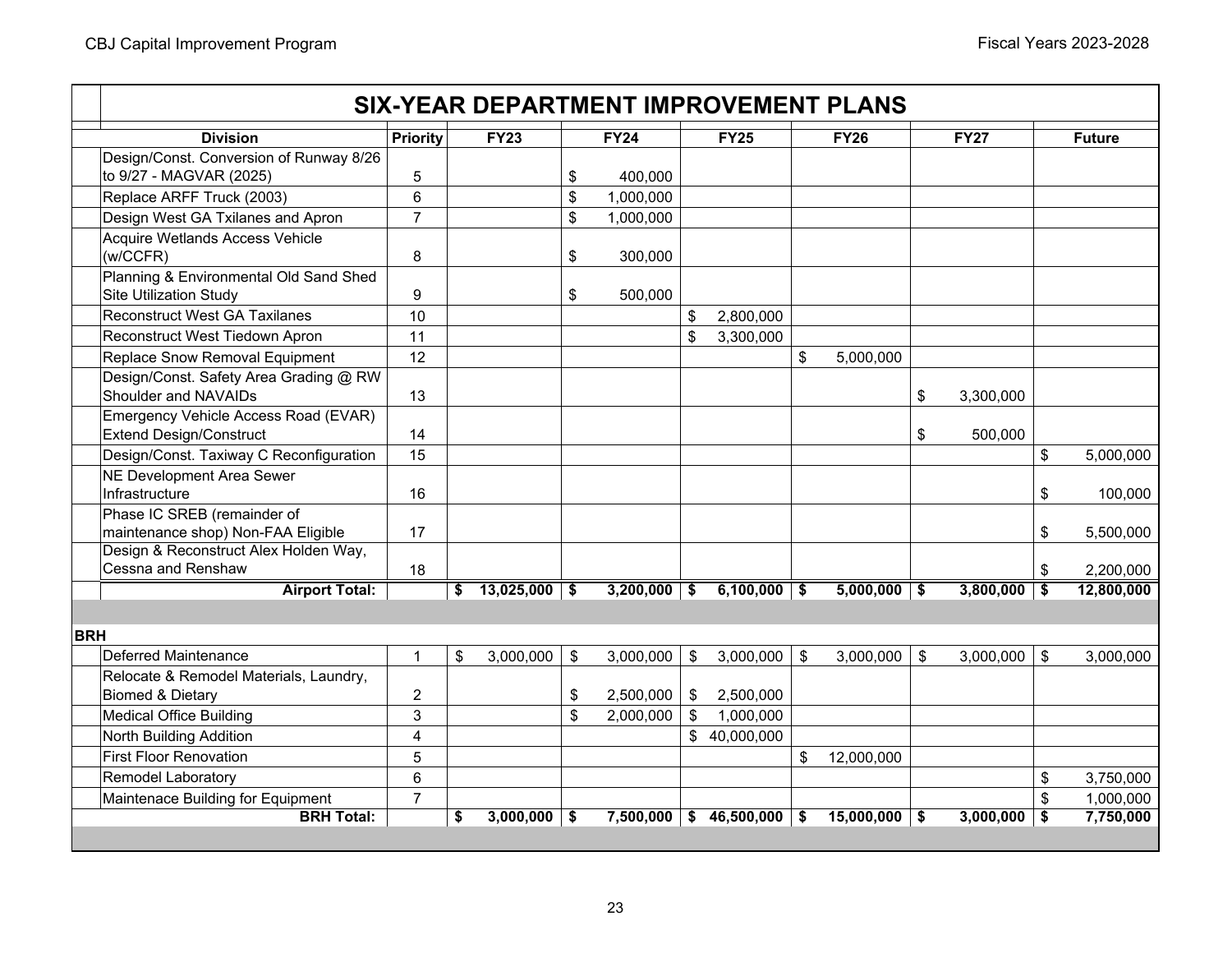|            |                                                                             |                |                  |                 |                         |                | <b>SIX-YEAR DEPARTMENT IMPROVEMENT PLANS</b> |                 |                  |
|------------|-----------------------------------------------------------------------------|----------------|------------------|-----------------|-------------------------|----------------|----------------------------------------------|-----------------|------------------|
|            | <b>Division</b>                                                             | Priority       | <b>FY23</b>      | <b>FY24</b>     |                         | <b>FY25</b>    | <b>FY26</b>                                  | <b>FY27</b>     | <b>Future</b>    |
|            | Design/Const. Conversion of Runway 8/26                                     |                |                  |                 |                         |                |                                              |                 |                  |
|            | to 9/27 - MAGVAR (2025)                                                     | 5              |                  | \$<br>400,000   |                         |                |                                              |                 |                  |
|            | Replace ARFF Truck (2003)                                                   | 6              |                  | \$<br>1,000,000 |                         |                |                                              |                 |                  |
|            | Design West GA Txilanes and Apron                                           | $\overline{7}$ |                  | \$<br>1,000,000 |                         |                |                                              |                 |                  |
|            | Acquire Wetlands Access Vehicle                                             |                |                  |                 |                         |                |                                              |                 |                  |
|            | (w/CCFR)                                                                    | 8              |                  | \$<br>300,000   |                         |                |                                              |                 |                  |
|            | Planning & Environmental Old Sand Shed                                      |                |                  |                 |                         |                |                                              |                 |                  |
|            | <b>Site Utilization Study</b>                                               | 9              |                  | \$<br>500,000   |                         |                |                                              |                 |                  |
|            | <b>Reconstruct West GA Taxilanes</b>                                        | 10             |                  |                 | \$                      | 2,800,000      |                                              |                 |                  |
|            | Reconstruct West Tiedown Apron                                              | 11             |                  |                 | \$                      | 3,300,000      |                                              |                 |                  |
|            | Replace Snow Removal Equipment                                              | 12             |                  |                 |                         |                | \$<br>5,000,000                              |                 |                  |
|            | Design/Const. Safety Area Grading @ RW                                      |                |                  |                 |                         |                |                                              |                 |                  |
|            | Shoulder and NAVAIDs                                                        | 13             |                  |                 |                         |                |                                              | \$<br>3,300,000 |                  |
|            | Emergency Vehicle Access Road (EVAR)                                        |                |                  |                 |                         |                |                                              |                 |                  |
|            | <b>Extend Design/Construct</b>                                              | 14             |                  |                 |                         |                |                                              | \$<br>500,000   |                  |
|            | Design/Const. Taxiway C Reconfiguration                                     | 15             |                  |                 |                         |                |                                              |                 | \$<br>5,000,000  |
|            | <b>NE Development Area Sewer</b>                                            |                |                  |                 |                         |                |                                              |                 |                  |
|            | Infrastructure                                                              | 16             |                  |                 |                         |                |                                              |                 | \$<br>100,000    |
|            | Phase IC SREB (remainder of                                                 |                |                  |                 |                         |                |                                              |                 |                  |
|            | maintenance shop) Non-FAA Eligible<br>Design & Reconstruct Alex Holden Way, | 17             |                  |                 |                         |                |                                              |                 | \$<br>5,500,000  |
|            | Cessna and Renshaw                                                          | 18             |                  |                 |                         |                |                                              |                 | \$<br>2,200,000  |
|            | <b>Airport Total:</b>                                                       |                | \$<br>13,025,000 | \$<br>3,200,000 | -\$                     | $6,100,000$ \$ | $5,000,000$ \$                               | 3,800,000       | \$<br>12,800,000 |
|            |                                                                             |                |                  |                 |                         |                |                                              |                 |                  |
|            |                                                                             |                |                  |                 |                         |                |                                              |                 |                  |
| <b>BRH</b> |                                                                             |                |                  |                 |                         |                |                                              |                 |                  |
|            | <b>Deferred Maintenance</b>                                                 | $\mathbf{1}$   | \$<br>3,000,000  | \$<br>3,000,000 | $\sqrt[6]{\frac{1}{2}}$ | 3,000,000      | \$<br>3,000,000                              | \$<br>3,000,000 | \$<br>3,000,000  |
|            | Relocate & Remodel Materials, Laundry,                                      |                |                  |                 |                         |                |                                              |                 |                  |
|            | <b>Biomed &amp; Dietary</b>                                                 | $\overline{2}$ |                  | \$<br>2,500,000 | \$                      | 2,500,000      |                                              |                 |                  |
|            | <b>Medical Office Building</b>                                              | 3              |                  | \$<br>2,000,000 | \$                      | 1,000,000      |                                              |                 |                  |
|            | North Building Addition                                                     | 4              |                  |                 |                         | \$40,000,000   |                                              |                 |                  |
|            | <b>First Floor Renovation</b>                                               | 5              |                  |                 |                         |                | \$<br>12,000,000                             |                 |                  |
|            | <b>Remodel Laboratory</b>                                                   | 6              |                  |                 |                         |                |                                              |                 | \$<br>3,750,000  |
|            | Maintenace Building for Equipment                                           | $\overline{7}$ |                  |                 |                         |                |                                              |                 | \$<br>1,000,000  |
|            | <b>BRH Total:</b>                                                           |                | \$<br>3,000,000  | \$<br>7,500,000 |                         | \$46,500,000   | \$<br>15,000,000                             | \$<br>3,000,000 | \$<br>7,750,000  |
|            |                                                                             |                |                  |                 |                         |                |                                              |                 |                  |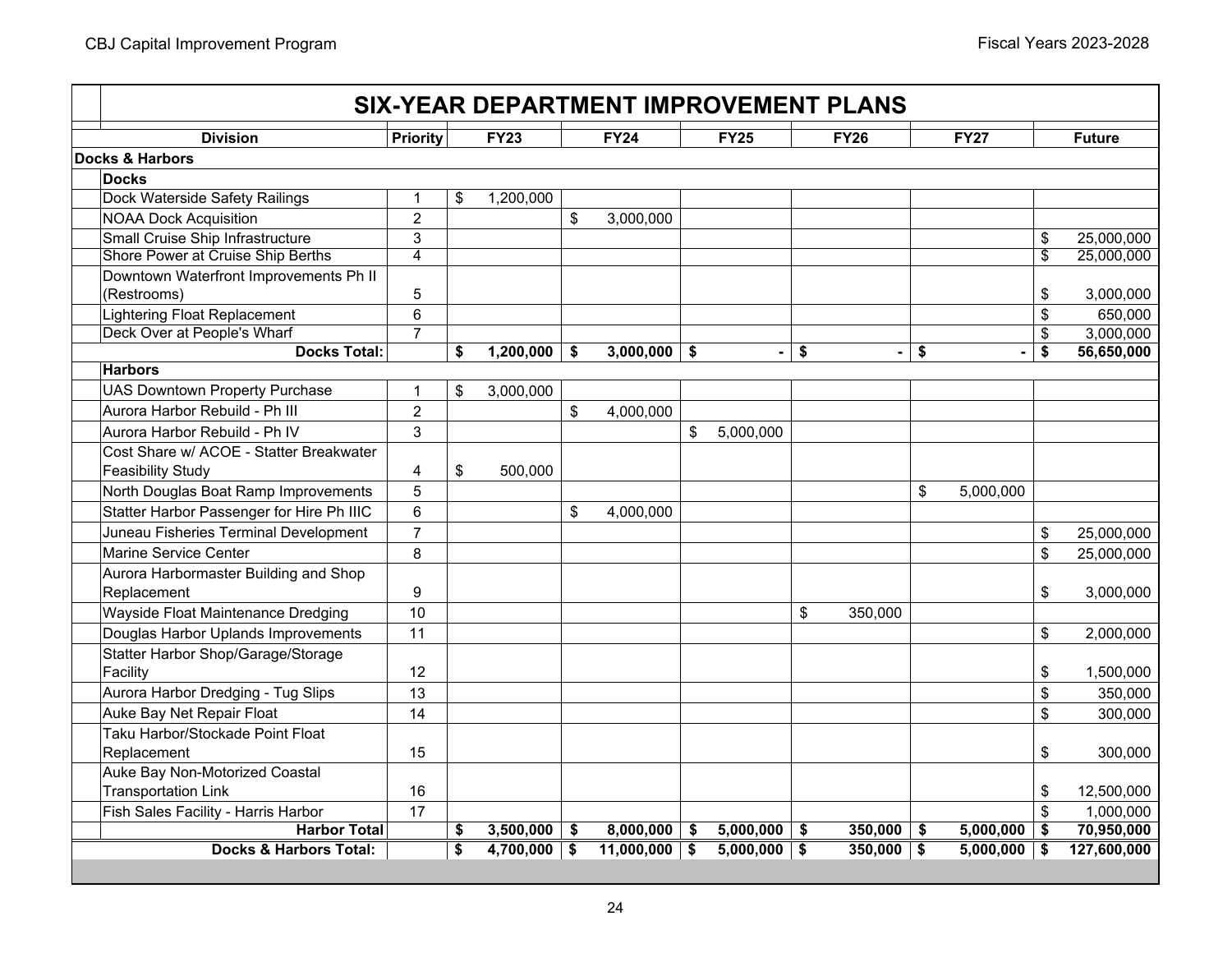| <b>Division</b>                           | Priority       | <b>FY23</b>          |     | FY24      |     | <b>FY25</b>    |     | <b>FY26</b>    | <b>FY27</b>          | <b>Future</b>    |
|-------------------------------------------|----------------|----------------------|-----|-----------|-----|----------------|-----|----------------|----------------------|------------------|
| Docks & Harbors                           |                |                      |     |           |     |                |     |                |                      |                  |
| <b>Docks</b>                              |                |                      |     |           |     |                |     |                |                      |                  |
| Dock Waterside Safety Railings            | $\mathbf{1}$   | \$<br>1,200,000      |     |           |     |                |     |                |                      |                  |
| <b>NOAA Dock Acquisition</b>              | $\overline{c}$ |                      | \$  | 3,000,000 |     |                |     |                |                      |                  |
| Small Cruise Ship Infrastructure          | 3              |                      |     |           |     |                |     |                |                      | \$<br>25,000,000 |
| Shore Power at Cruise Ship Berths         | $\overline{4}$ |                      |     |           |     |                |     |                |                      | \$<br>25,000,000 |
| Downtown Waterfront Improvements Ph II    |                |                      |     |           |     |                |     |                |                      |                  |
| (Restrooms)                               | 5              |                      |     |           |     |                |     |                |                      | \$<br>3,000,000  |
| <b>Lightering Float Replacement</b>       | 6              |                      |     |           |     |                |     |                |                      | \$<br>650,000    |
| Deck Over at People's Wharf               | 7              |                      |     |           |     |                |     |                |                      | \$<br>3,000,000  |
| <b>Docks Total:</b>                       |                | \$<br>1,200,000      | -\$ | 3,000,000 | \$  | $\blacksquare$ | \$  | $\blacksquare$ | \$                   | \$<br>56,650,000 |
| <b>Harbors</b>                            |                |                      |     |           |     |                |     |                |                      |                  |
| <b>UAS Downtown Property Purchase</b>     | 1              | \$<br>3,000,000      |     |           |     |                |     |                |                      |                  |
| Aurora Harbor Rebuild - Ph III            | $\overline{2}$ |                      | \$  | 4,000,000 |     |                |     |                |                      |                  |
| Aurora Harbor Rebuild - Ph IV             | 3              |                      |     |           | \$  | 5,000,000      |     |                |                      |                  |
| Cost Share w/ ACOE - Statter Breakwater   |                |                      |     |           |     |                |     |                |                      |                  |
| <b>Feasibility Study</b>                  | 4              | \$<br>500,000        |     |           |     |                |     |                |                      |                  |
| North Douglas Boat Ramp Improvements      | 5              |                      |     |           |     |                |     |                | \$<br>5,000,000      |                  |
| Statter Harbor Passenger for Hire Ph IIIC | 6              |                      | \$  | 4,000,000 |     |                |     |                |                      |                  |
| Juneau Fisheries Terminal Development     | $\overline{7}$ |                      |     |           |     |                |     |                |                      | \$<br>25,000,000 |
| Marine Service Center                     | 8              |                      |     |           |     |                |     |                |                      | \$<br>25,000,000 |
| Aurora Harbormaster Building and Shop     |                |                      |     |           |     |                |     |                |                      |                  |
| Replacement                               | 9              |                      |     |           |     |                |     |                |                      | \$<br>3,000,000  |
| Wayside Float Maintenance Dredging        | 10             |                      |     |           |     |                | \$  | 350,000        |                      |                  |
| Douglas Harbor Uplands Improvements       | 11             |                      |     |           |     |                |     |                |                      | \$<br>2,000,000  |
| Statter Harbor Shop/Garage/Storage        |                |                      |     |           |     |                |     |                |                      |                  |
| Facility                                  | 12             |                      |     |           |     |                |     |                |                      | \$<br>1,500,000  |
| Aurora Harbor Dredging - Tug Slips        | 13             |                      |     |           |     |                |     |                |                      | \$<br>350,000    |
| Auke Bay Net Repair Float                 | 14             |                      |     |           |     |                |     |                |                      | \$<br>300,000    |
| Taku Harbor/Stockade Point Float          |                |                      |     |           |     |                |     |                |                      |                  |
| Replacement                               | 15             |                      |     |           |     |                |     |                |                      | \$<br>300,000    |
| Auke Bay Non-Motorized Coastal            |                |                      |     |           |     |                |     |                |                      |                  |
| <b>Transportation Link</b>                | 16             |                      |     |           |     |                |     |                |                      | \$<br>12,500,000 |
| Fish Sales Facility - Harris Harbor       | 17             |                      |     |           |     |                |     |                |                      | \$<br>1,000,000  |
| <b>Harbor Total</b>                       |                | \$<br>$3,500,000$ \$ |     | 8,000,000 | -\$ | 5,000,000      | -\$ | 350,000        | \$<br>$5,000,000$ \$ | 70,950,000       |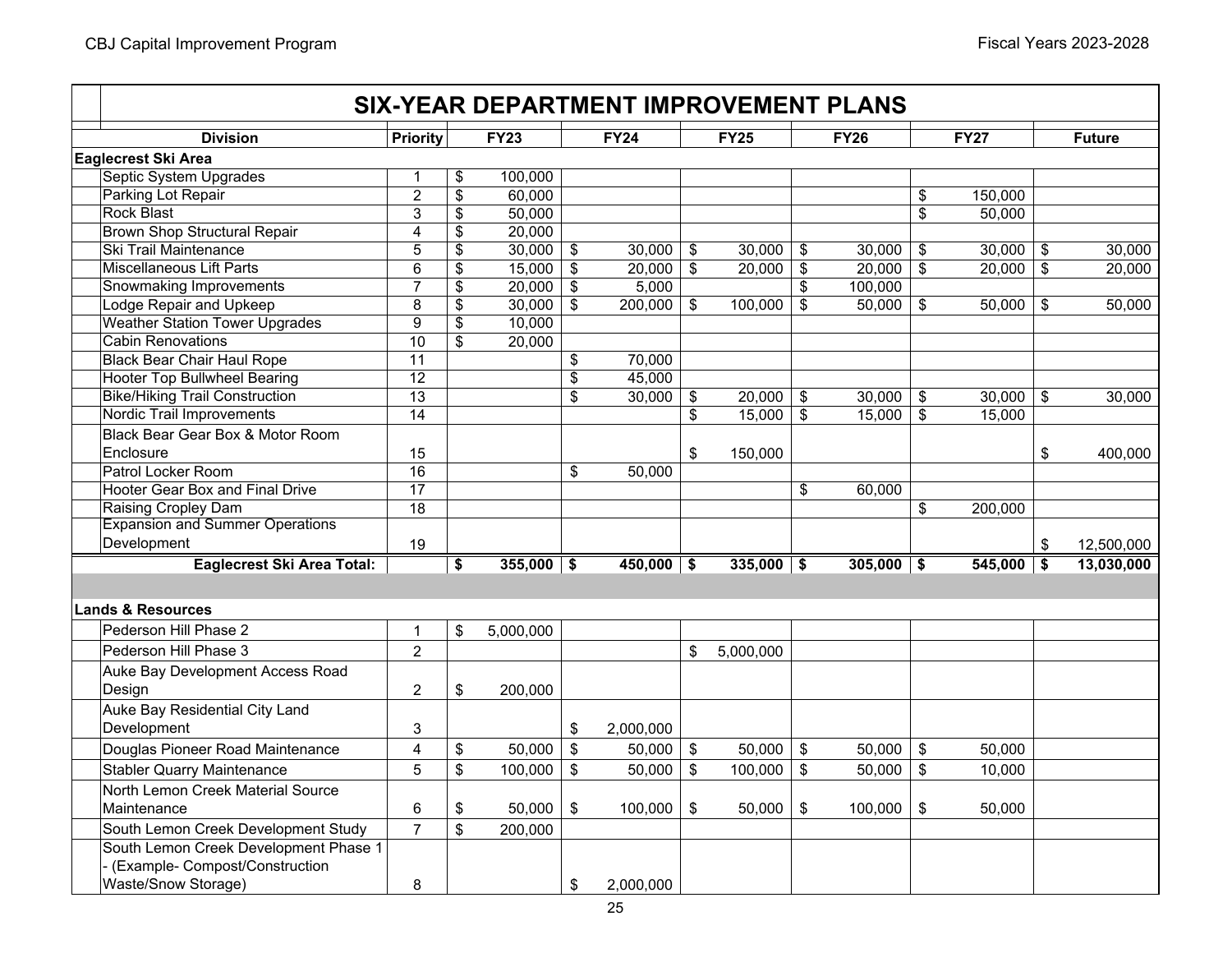|                                        |                         |                    |                           | <b>SIX-YEAR DEPARTMENT IMPROVEMENT PLANS</b> |                           |              |                |              |                            |              |                         |               |
|----------------------------------------|-------------------------|--------------------|---------------------------|----------------------------------------------|---------------------------|--------------|----------------|--------------|----------------------------|--------------|-------------------------|---------------|
| <b>Division</b>                        | Priority                | <b>FY23</b>        |                           | <b>FY24</b>                                  |                           | <b>FY25</b>  |                | <b>FY26</b>  |                            | <b>FY27</b>  |                         | <b>Future</b> |
| Eaglecrest Ski Area                    |                         |                    |                           |                                              |                           |              |                |              |                            |              |                         |               |
| Septic System Upgrades                 | $\mathbf{1}$            | \$<br>100,000      |                           |                                              |                           |              |                |              |                            |              |                         |               |
| Parking Lot Repair                     | $\overline{2}$          | \$<br>60,000       |                           |                                              |                           |              |                |              | \$                         | 150,000      |                         |               |
| <b>Rock Blast</b>                      | 3                       | \$<br>50,000       |                           |                                              |                           |              |                |              | \$                         | 50,000       |                         |               |
| <b>Brown Shop Structural Repair</b>    | $\overline{4}$          | \$<br>20,000       |                           |                                              |                           |              |                |              |                            |              |                         |               |
| Ski Trail Maintenance                  | 5                       | \$<br>30,000       | \$                        | 30,000                                       | \$                        | 30,000       | \$             | 30,000       | \$                         | 30,000       | \$                      | 30,000        |
| <b>Miscellaneous Lift Parts</b>        | 6                       | \$<br>15,000       | $\boldsymbol{\mathsf{S}}$ | 20,000                                       | $\boldsymbol{\mathsf{s}}$ | 20,000       | $\$\$          | 20,000       | $\mathfrak{S}$             | 20,000       | \$                      | 20,000        |
| <b>Snowmaking Improvements</b>         | 7                       | \$<br>20,000       | \$                        | 5,000                                        |                           |              | \$             | 100,000      |                            |              |                         |               |
| <b>Lodge Repair and Upkeep</b>         | 8                       | \$<br>30,000       | \$                        | 200,000                                      | \$                        | 100,000      | \$             | 50,000       | $\frac{1}{2}$              | 50,000       | \$                      | 50,000        |
| <b>Weather Station Tower Upgrades</b>  | 9                       | \$<br>10,000       |                           |                                              |                           |              |                |              |                            |              |                         |               |
| <b>Cabin Renovations</b>               | $\overline{10}$         | \$<br>20,000       |                           |                                              |                           |              |                |              |                            |              |                         |               |
| <b>Black Bear Chair Haul Rope</b>      | 11                      |                    | \$                        | 70,000                                       |                           |              |                |              |                            |              |                         |               |
| <b>Hooter Top Bullwheel Bearing</b>    | 12                      |                    | \$                        | 45,000                                       |                           |              |                |              |                            |              |                         |               |
| <b>Bike/Hiking Trail Construction</b>  | 13                      |                    | \$                        | 30,000                                       | $\boldsymbol{\mathsf{S}}$ | 20,000       | \$             | 30,000       | \$                         | 30,000       | $\sqrt[6]{\frac{1}{2}}$ | 30,000        |
| <b>Nordic Trail Improvements</b>       | 14                      |                    |                           |                                              | \$                        | 15,000       | $\mathfrak{S}$ | 15,000       | $\frac{1}{2}$              | 15,000       |                         |               |
| Black Bear Gear Box & Motor Room       |                         |                    |                           |                                              |                           |              |                |              |                            |              |                         |               |
| Enclosure                              | 15                      |                    |                           |                                              | \$                        | 150,000      |                |              |                            |              | \$                      | 400,000       |
| Patrol Locker Room                     | 16                      |                    | \$                        | 50,000                                       |                           |              |                |              |                            |              |                         |               |
| Hooter Gear Box and Final Drive        | $\overline{17}$         |                    |                           |                                              |                           |              | \$             | 60,000       |                            |              |                         |               |
| Raising Cropley Dam                    | 18                      |                    |                           |                                              |                           |              |                |              | \$                         | 200,000      |                         |               |
| <b>Expansion and Summer Operations</b> |                         |                    |                           |                                              |                           |              |                |              |                            |              |                         |               |
| Development                            | 19                      |                    |                           |                                              |                           |              |                |              |                            |              | $\sqrt[6]{\frac{1}{2}}$ | 12,500,000    |
| <b>Eaglecrest Ski Area Total:</b>      |                         | \$<br>$355,000$ \$ |                           | $450,000$ \$                                 |                           | $335,000$ \$ |                | $305,000$ \$ |                            | $545,000$ \$ |                         | 13,030,000    |
|                                        |                         |                    |                           |                                              |                           |              |                |              |                            |              |                         |               |
| <b>Lands &amp; Resources</b>           |                         |                    |                           |                                              |                           |              |                |              |                            |              |                         |               |
| Pederson Hill Phase 2                  | $\mathbf 1$             | \$<br>5,000,000    |                           |                                              |                           |              |                |              |                            |              |                         |               |
| Pederson Hill Phase 3                  | $\overline{2}$          |                    |                           |                                              | \$                        | 5,000,000    |                |              |                            |              |                         |               |
| Auke Bay Development Access Road       |                         |                    |                           |                                              |                           |              |                |              |                            |              |                         |               |
| Design                                 | $\overline{c}$          | \$<br>200,000      |                           |                                              |                           |              |                |              |                            |              |                         |               |
|                                        |                         |                    |                           |                                              |                           |              |                |              |                            |              |                         |               |
| Auke Bay Residential City Land         |                         |                    |                           |                                              |                           |              |                |              |                            |              |                         |               |
| Development                            | 3                       |                    | \$                        | 2,000,000                                    |                           |              |                |              |                            |              |                         |               |
| Douglas Pioneer Road Maintenance       | $\overline{\mathbf{4}}$ | \$<br>50,000       | \$                        | 50,000                                       | $\boldsymbol{\mathsf{S}}$ | 50,000       | $\frac{1}{2}$  | 50,000       | $\$\$                      | 50,000       |                         |               |
| <b>Stabler Quarry Maintenance</b>      | 5                       | \$<br>100,000      | \$                        | 50,000                                       | \$                        | 100,000      | $\mathfrak{S}$ | 50,000       | $\boldsymbol{\mathsf{\$}}$ | 10,000       |                         |               |
| North Lemon Creek Material Source      |                         |                    |                           |                                              |                           |              |                |              |                            |              |                         |               |
| Maintenance                            | 6                       | \$<br>50,000       | $\sqrt[6]{\frac{1}{2}}$   | 100,000                                      | \$                        | 50,000       | \$             | 100,000      | \$                         | 50,000       |                         |               |
| South Lemon Creek Development Study    | $\overline{7}$          | \$<br>200,000      |                           |                                              |                           |              |                |              |                            |              |                         |               |
| South Lemon Creek Development Phase 1  |                         |                    |                           |                                              |                           |              |                |              |                            |              |                         |               |
| - (Example- Compost/Construction       |                         |                    |                           |                                              |                           |              |                |              |                            |              |                         |               |
| Waste/Snow Storage)                    | 8                       |                    | \$                        | 2,000,000                                    |                           |              |                |              |                            |              |                         |               |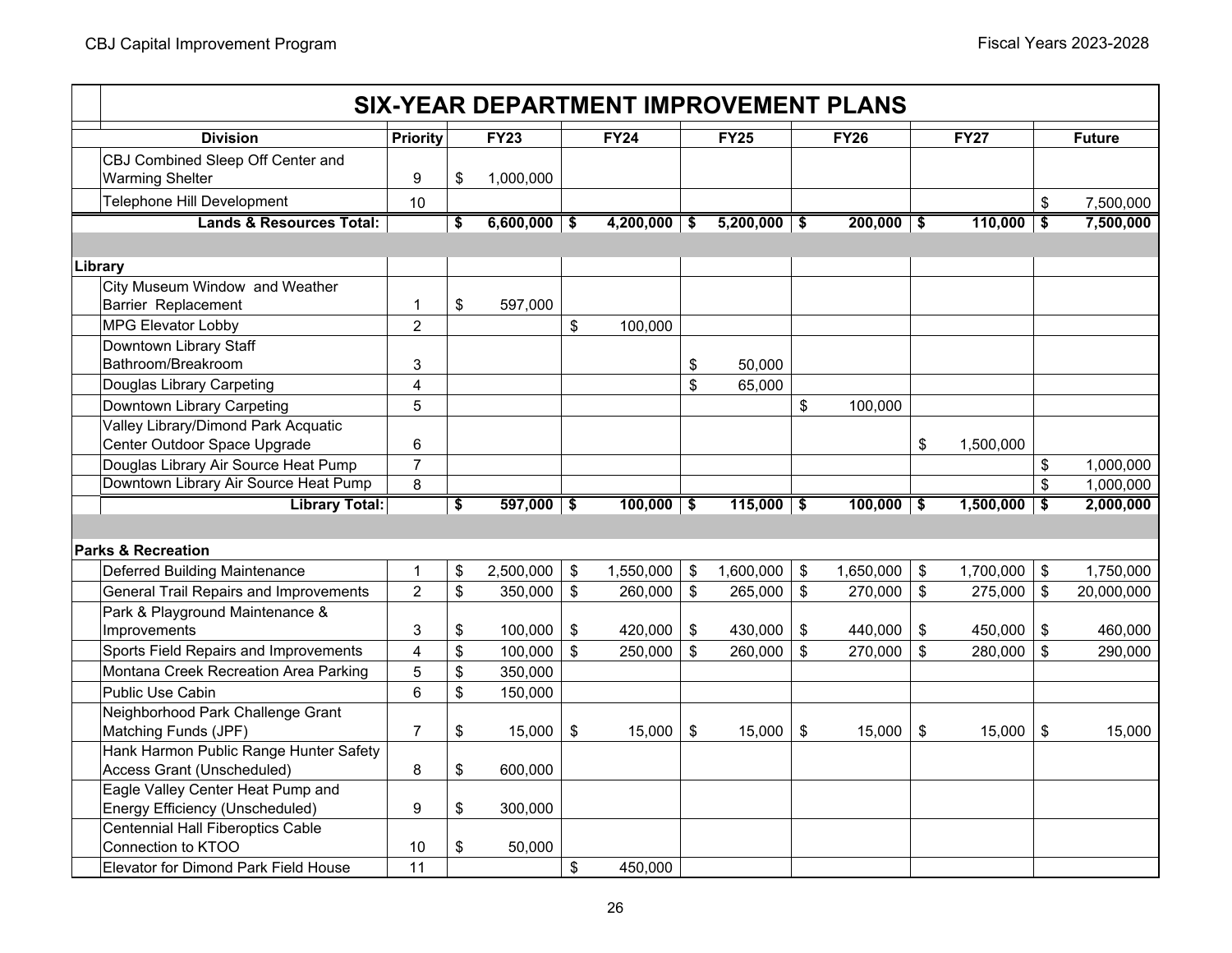|                                             |                 |                                      |                |                            | <b>SIX-YEAR DEPARTMENT IMPROVEMENT PLANS</b> |                           |                |                              |              |                |             |                  |
|---------------------------------------------|-----------------|--------------------------------------|----------------|----------------------------|----------------------------------------------|---------------------------|----------------|------------------------------|--------------|----------------|-------------|------------------|
| <b>Division</b>                             | <b>Priority</b> |                                      | <b>FY23</b>    |                            | <b>FY24</b>                                  |                           | <b>FY25</b>    |                              | <b>FY26</b>  |                | <b>FY27</b> | <b>Future</b>    |
| CBJ Combined Sleep Off Center and           |                 |                                      |                |                            |                                              |                           |                |                              |              |                |             |                  |
| <b>Warming Shelter</b>                      | 9               | \$                                   | 1,000,000      |                            |                                              |                           |                |                              |              |                |             |                  |
| Telephone Hill Development                  | 10              |                                      |                |                            |                                              |                           |                |                              |              |                |             | \$<br>7,500,000  |
| <b>Lands &amp; Resources Total:</b>         |                 | \$                                   | $6,600,000$ \$ |                            | $4,200,000$ \$                               |                           | $5,200,000$ \$ |                              | $200,000$ \$ |                | 110,000     | \$<br>7,500,000  |
|                                             |                 |                                      |                |                            |                                              |                           |                |                              |              |                |             |                  |
| Library                                     |                 |                                      |                |                            |                                              |                           |                |                              |              |                |             |                  |
| City Museum Window and Weather              |                 |                                      |                |                            |                                              |                           |                |                              |              |                |             |                  |
| Barrier Replacement                         | $\mathbf{1}$    | \$                                   | 597,000        |                            |                                              |                           |                |                              |              |                |             |                  |
| <b>MPG Elevator Lobby</b>                   | $\overline{2}$  |                                      |                | \$                         | 100,000                                      |                           |                |                              |              |                |             |                  |
| Downtown Library Staff                      |                 |                                      |                |                            |                                              |                           |                |                              |              |                |             |                  |
| Bathroom/Breakroom                          | 3               |                                      |                |                            |                                              | $\sqrt[6]{\frac{1}{2}}$   | 50,000         |                              |              |                |             |                  |
| Douglas Library Carpeting                   | 4               |                                      |                |                            |                                              | $\boldsymbol{\mathsf{s}}$ | 65,000         |                              |              |                |             |                  |
| Downtown Library Carpeting                  | 5               |                                      |                |                            |                                              |                           |                | \$                           | 100,000      |                |             |                  |
| Valley Library/Dimond Park Acquatic         |                 |                                      |                |                            |                                              |                           |                |                              |              |                |             |                  |
| Center Outdoor Space Upgrade                | 6               |                                      |                |                            |                                              |                           |                |                              |              | \$             | 1,500,000   |                  |
| Douglas Library Air Source Heat Pump        | $\overline{7}$  |                                      |                |                            |                                              |                           |                |                              |              |                |             | \$<br>1,000,000  |
| Downtown Library Air Source Heat Pump       | 8               |                                      |                |                            |                                              |                           |                |                              |              |                |             | \$<br>1,000,000  |
| <b>Library Total:</b>                       |                 | $\overline{\boldsymbol{\mathsf{s}}}$ | $597,000$ \$   |                            | $100,000$ \$                                 |                           | $115,000$ \$   |                              | $100,000$ \$ |                | 1,500,000   | \$<br>2,000,000  |
|                                             |                 |                                      |                |                            |                                              |                           |                |                              |              |                |             |                  |
| lParks & Recreation                         |                 |                                      |                |                            |                                              |                           |                |                              |              |                |             |                  |
| Deferred Building Maintenance               | $\mathbf{1}$    | \$                                   | 2,500,000      | $\boldsymbol{\mathsf{\$}}$ | 1,550,000                                    | \$                        | 1,600,000      | \$                           | 1,650,000    | \$             | 1,700,000   | \$<br>1,750,000  |
| General Trail Repairs and Improvements      | $\overline{2}$  | \$                                   | 350,000        | \$                         | 260,000                                      | $\boldsymbol{\mathsf{S}}$ | 265,000        | $\boldsymbol{\hat{\varphi}}$ | 270,000      | \$             | 275,000     | \$<br>20,000,000 |
| Park & Playground Maintenance &             |                 |                                      |                |                            |                                              |                           |                |                              |              |                |             |                  |
| Improvements                                | 3               | \$                                   | 100,000        | \$                         | 420,000                                      | \$                        | 430,000        | \$                           | 440.000      | \$             | 450,000     | \$<br>460,000    |
| Sports Field Repairs and Improvements       | $\overline{4}$  | \$                                   | 100,000        | \$                         | 250,000                                      | $\mathfrak{S}$            | 260,000        | \$                           | 270,000      | $\mathfrak{S}$ | 280,000     | \$<br>290,000    |
| Montana Creek Recreation Area Parking       | 5               | \$                                   | 350,000        |                            |                                              |                           |                |                              |              |                |             |                  |
| Public Use Cabin                            | 6               | \$                                   | 150,000        |                            |                                              |                           |                |                              |              |                |             |                  |
| Neighborhood Park Challenge Grant           |                 |                                      |                |                            |                                              |                           |                |                              |              |                |             |                  |
| Matching Funds (JPF)                        | $\overline{7}$  | \$                                   | 15,000         | \$                         | 15,000                                       | $\sqrt[6]{\frac{1}{2}}$   | 15,000         | \$                           | 15,000       | \$             | 15,000      | \$<br>15,000     |
| Hank Harmon Public Range Hunter Safety      |                 |                                      |                |                            |                                              |                           |                |                              |              |                |             |                  |
| Access Grant (Unscheduled)                  | 8               | \$                                   | 600,000        |                            |                                              |                           |                |                              |              |                |             |                  |
| Eagle Valley Center Heat Pump and           |                 |                                      |                |                            |                                              |                           |                |                              |              |                |             |                  |
| Energy Efficiency (Unscheduled)             | 9               | \$                                   | 300,000        |                            |                                              |                           |                |                              |              |                |             |                  |
| <b>Centennial Hall Fiberoptics Cable</b>    |                 |                                      |                |                            |                                              |                           |                |                              |              |                |             |                  |
| Connection to KTOO                          | 10              | \$                                   | 50,000         |                            |                                              |                           |                |                              |              |                |             |                  |
| <b>Elevator for Dimond Park Field House</b> | 11              |                                      |                | \$                         | 450,000                                      |                           |                |                              |              |                |             |                  |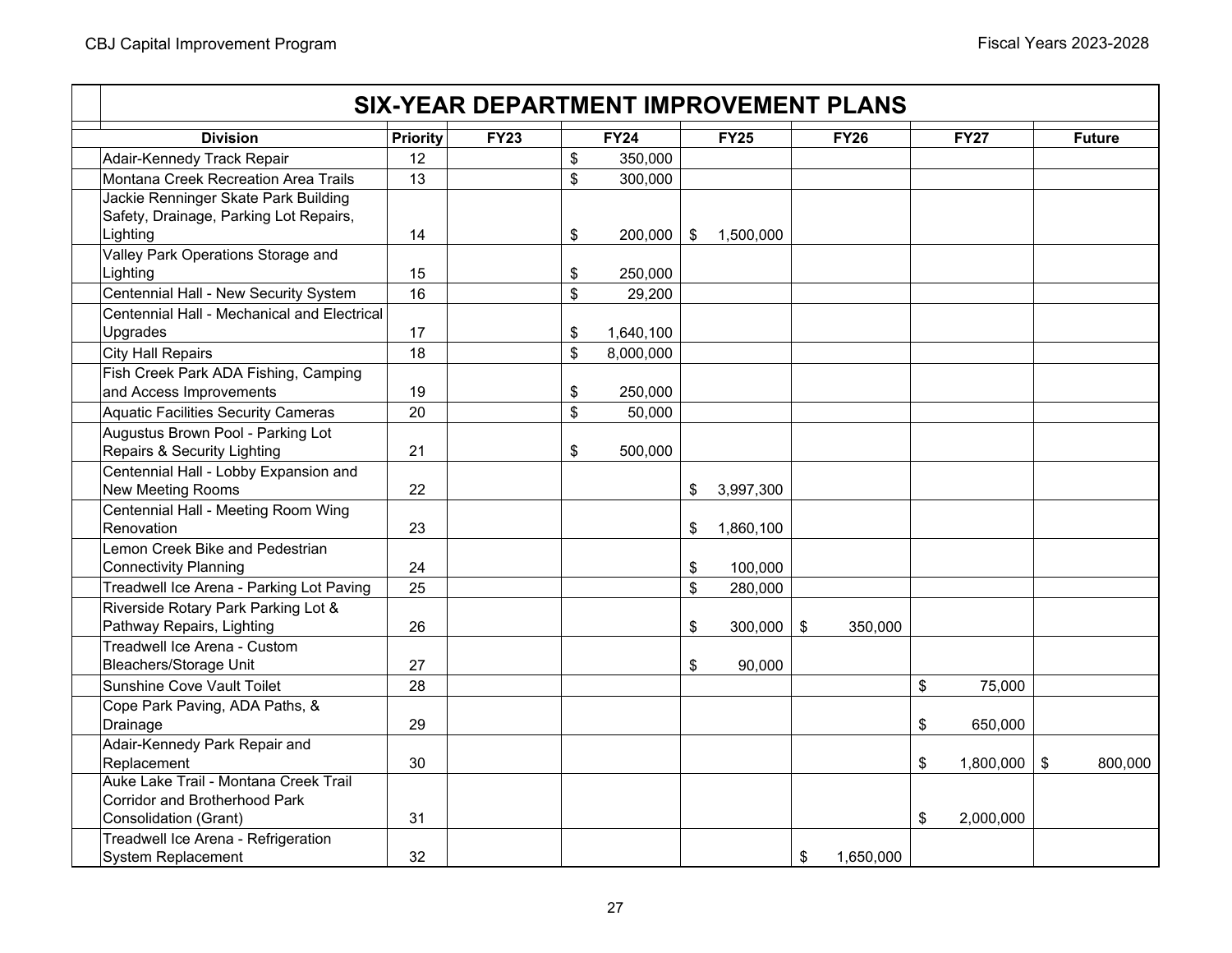# **Priority FY23 FY24 FY25 FY26 FY27 Future SIX-YEAR DEPARTMENT IMPROVEMENT PLANSDivision**Adair-Kennedy Track Repair 12 12 | S 350,000 Montana Creek Recreation Area Trails13  $\vert \mathsf{s} \vert$  300,000 Jackie Renninger Skate Park Building Safety, Drainage, Parking Lot Repairs, Lighting 14 200,000 \$ 1,500,000 \$ Valley Park Operations Storage and Lighting 15 250,000 \$ Centennial Hall - New Security System 16 29,200 \$ Centennial Hall - Mechanical and Electrical Upgrades  $\begin{vmatrix} 17 & 17 \end{vmatrix}$  17  $\begin{vmatrix} 1640 & 100 \end{vmatrix}$ City Hall Repairs 18 8,000,000 \$ Fish Creek Park ADA Fishing, Camping and Access Improvements 19 19 19 19 18 250,000 Aquatic Facilities Security Cameras 20 50,000 \$ Augustus Brown Pool - Parking Lot Repairs & Security Lighting 21 500,000 \$ Centennial Hall - Lobby Expansion and New Meeting Rooms 22 20 3,997,300 **\$** 3,997,300 Centennial Hall - Meeting Room Wing Renovation 23 1,860,100 \$ Lemon Creek Bike and Pedestrian Connectivity Planning **24** 24 100,000 **\$** 100,000 Treadwell Ice Arena - Parking Lot Paving 25 280,000 25 280,000 Riverside Rotary Park Parking Lot & Pathway Repairs, Lighting 26 300,000 \$ 350,000 \$ Treadwell Ice Arena - Custom Bleachers/Storage Unit 27 \$ 90,000 Sunshine Cove Vault Toilet 28 \$ 75,000 Cope Park Paving, ADA Paths, & Drainage 29 \$ 650,000 Adair-Kennedy Park Repair and Replacement 30 \$ 800,000 1,800,000 \$ Auke Lake Trail - Montana Creek Trail Corridor and Brotherhood Park Consolidation (Grant) 31 \$ 2,000,000 Treadwell Ice Arena - Refrigeration System Replacement  $\vert$  32  $\vert$  1,650,000  $\vert$  \$ 1,650,000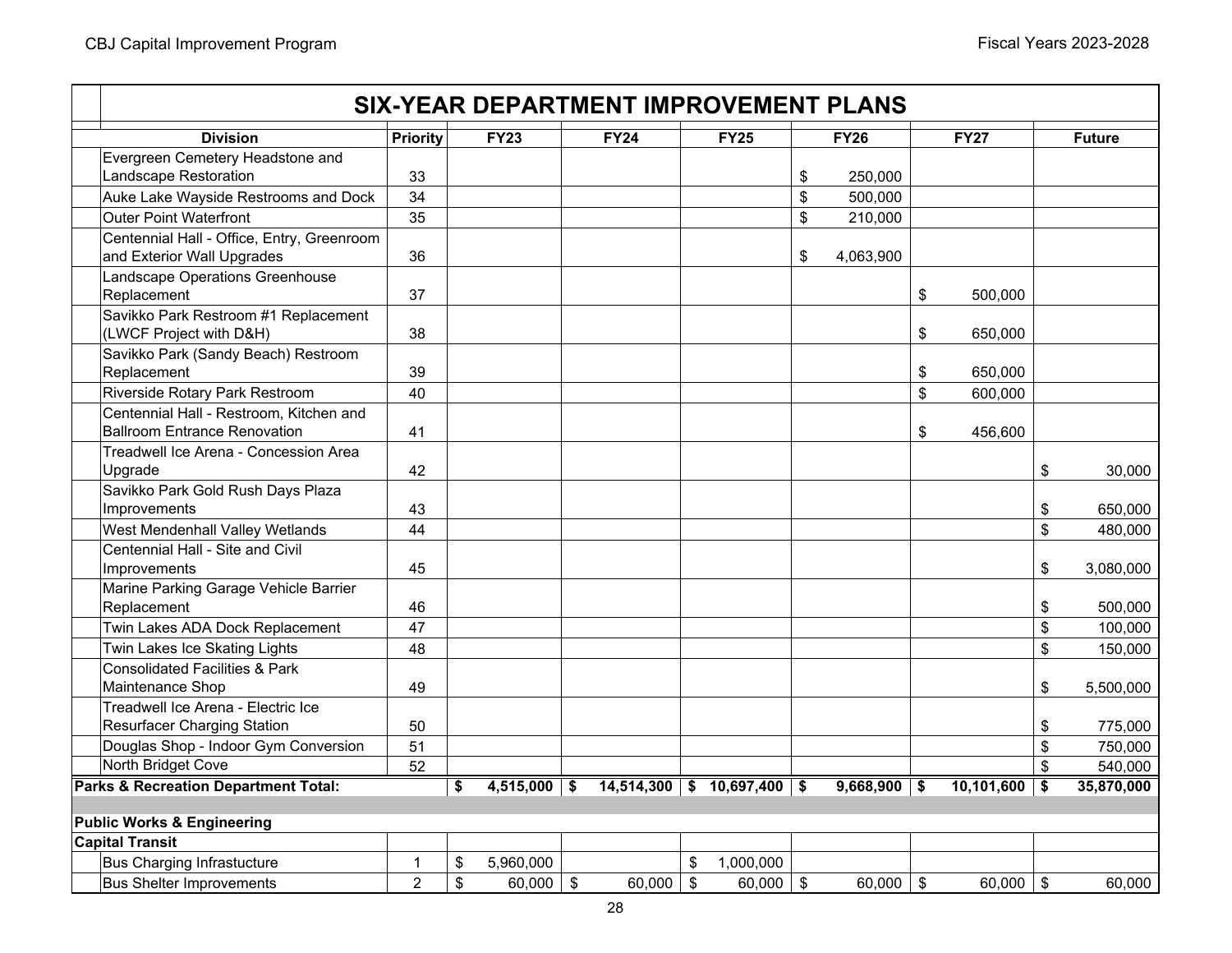|                                                                            |                 |    |                |               | <b>SIX-YEAR DEPARTMENT IMPROVEMENT PLANS</b> |                                 |                 |               |                           |               |
|----------------------------------------------------------------------------|-----------------|----|----------------|---------------|----------------------------------------------|---------------------------------|-----------------|---------------|---------------------------|---------------|
| <b>Division</b>                                                            | <b>Priority</b> |    | <b>FY23</b>    |               | <b>FY24</b>                                  | <b>FY25</b>                     | <b>FY26</b>     | <b>FY27</b>   |                           | <b>Future</b> |
| Evergreen Cemetery Headstone and                                           |                 |    |                |               |                                              |                                 |                 |               |                           |               |
| Landscape Restoration                                                      | 33              |    |                |               |                                              |                                 | \$<br>250,000   |               |                           |               |
| Auke Lake Wayside Restrooms and Dock                                       | 34              |    |                |               |                                              |                                 | \$<br>500,000   |               |                           |               |
| <b>Outer Point Waterfront</b>                                              | 35              |    |                |               |                                              |                                 | \$<br>210,000   |               |                           |               |
| Centennial Hall - Office, Entry, Greenroom<br>and Exterior Wall Upgrades   | 36              |    |                |               |                                              |                                 | \$<br>4,063,900 |               |                           |               |
| Landscape Operations Greenhouse                                            |                 |    |                |               |                                              |                                 |                 |               |                           |               |
| Replacement                                                                | 37              |    |                |               |                                              |                                 |                 | \$<br>500.000 |                           |               |
| Savikko Park Restroom #1 Replacement                                       |                 |    |                |               |                                              |                                 |                 |               |                           |               |
| (LWCF Project with D&H)                                                    | 38              |    |                |               |                                              |                                 |                 | \$<br>650,000 |                           |               |
| Savikko Park (Sandy Beach) Restroom                                        |                 |    |                |               |                                              |                                 |                 |               |                           |               |
| Replacement                                                                | 39              |    |                |               |                                              |                                 |                 | \$<br>650,000 |                           |               |
| Riverside Rotary Park Restroom                                             | 40              |    |                |               |                                              |                                 |                 | \$<br>600,000 |                           |               |
| Centennial Hall - Restroom, Kitchen and                                    |                 |    |                |               |                                              |                                 |                 |               |                           |               |
| <b>Ballroom Entrance Renovation</b>                                        | 41              |    |                |               |                                              |                                 |                 | \$<br>456,600 |                           |               |
| Treadwell Ice Arena - Concession Area                                      |                 |    |                |               |                                              |                                 |                 |               |                           |               |
| Upgrade                                                                    | 42              |    |                |               |                                              |                                 |                 |               | $\sqrt[6]{\frac{1}{2}}$   | 30,000        |
| Savikko Park Gold Rush Days Plaza                                          |                 |    |                |               |                                              |                                 |                 |               |                           |               |
| Improvements                                                               | 43              |    |                |               |                                              |                                 |                 |               | \$                        | 650,000       |
| West Mendenhall Valley Wetlands                                            | 44              |    |                |               |                                              |                                 |                 |               | $\boldsymbol{\mathsf{S}}$ | 480,000       |
| Centennial Hall - Site and Civil                                           |                 |    |                |               |                                              |                                 |                 |               |                           |               |
| Improvements                                                               | 45              |    |                |               |                                              |                                 |                 |               | \$                        | 3,080,000     |
| Marine Parking Garage Vehicle Barrier<br>Replacement                       | 46              |    |                |               |                                              |                                 |                 |               | \$                        | 500,000       |
| Twin Lakes ADA Dock Replacement                                            | 47              |    |                |               |                                              |                                 |                 |               | \$                        |               |
|                                                                            |                 |    |                |               |                                              |                                 |                 |               |                           | 100,000       |
| Twin Lakes Ice Skating Lights<br><b>Consolidated Facilities &amp; Park</b> | 48              |    |                |               |                                              |                                 |                 |               | $\boldsymbol{\mathsf{S}}$ | 150,000       |
| Maintenance Shop                                                           | 49              |    |                |               |                                              |                                 |                 |               | \$                        | 5,500,000     |
| Treadwell Ice Arena - Electric Ice                                         |                 |    |                |               |                                              |                                 |                 |               |                           |               |
| <b>Resurfacer Charging Station</b>                                         | 50              |    |                |               |                                              |                                 |                 |               | \$                        | 775,000       |
| Douglas Shop - Indoor Gym Conversion                                       | 51              |    |                |               |                                              |                                 |                 |               | \$                        | 750,000       |
| North Bridget Cove                                                         | 52              |    |                |               |                                              |                                 |                 |               | \$                        | 540,000       |
| <b>Parks &amp; Recreation Department Total:</b>                            |                 | S. | $4,515,000$ \$ |               |                                              | $14,514,300$ \$ $10,697,400$ \$ | $9,668,900$ \$  | 10,101,600    | \$                        | 35,870,000    |
|                                                                            |                 |    |                |               |                                              |                                 |                 |               |                           |               |
| <b>Public Works &amp; Engineering</b>                                      |                 |    |                |               |                                              |                                 |                 |               |                           |               |
| <b>Capital Transit</b>                                                     |                 |    |                |               |                                              |                                 |                 |               |                           |               |
| <b>Bus Charging Infrastucture</b>                                          | $\mathbf{1}$    | \$ | 5,960,000      |               |                                              | \$<br>1,000,000                 |                 |               |                           |               |
| <b>Bus Shelter Improvements</b>                                            | $\overline{2}$  | \$ | 60,000         | $\sqrt[6]{3}$ | 60,000                                       | \$<br>60,000                    | \$<br>60,000    | \$<br>60,000  | $\boldsymbol{\mathsf{S}}$ | 60,000        |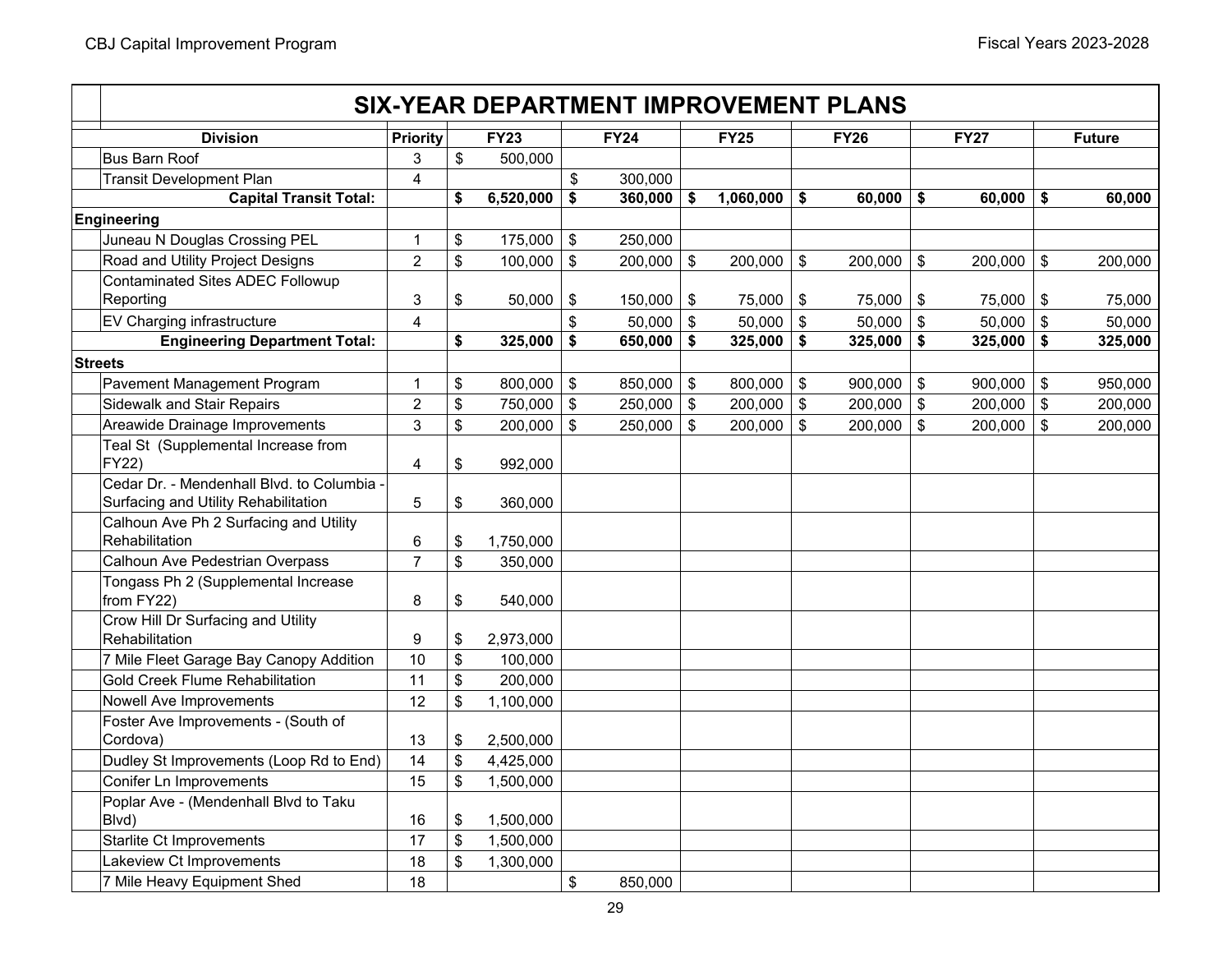# **Priority FY23 FY24 FY25 FY26 FY27 Future SIX-YEAR DEPARTMENT IMPROVEMENT PLANSDivision**Bus Barn Roof $3 \quad | \quad \$$  500,000 Transit Development Plan 1 300,000 **\$** 300,000 **\$ 360,000 6,520,000 \$ 1,060,000 \$ 60,000 \$ 60,000 \$ 60,000 \$**  Juneau N Douglas Crossing PEL 1 175,000 \$ 250,000 \$ Road and Utility Project Designs 200,000 | \$ 200,000 | \$ 200,000 | \$ 200,000 | \$ 200,000 | \$ 200,000 | \$ 200,000 \$ Contaminated Sites ADEC Followup Reporting | 3 | \$ 50,000 | \$ 150,000 | \$ 75,000 | \$ 75,000 | \$ 75,000 | \$ 75,000 EV Charging infrastructure 4 50,000 \$ 50,000 \$ 50,000 \$ 50,000 \$ 50,000 \$ **\$ 650,000 325,000 \$ 325,000 \$ 325,000 \$ 325,000 \$ 325,000 \$**  Pavement Management Program 1 800,000 \$ 850,000 \$ 800,000 \$ 900,000 \$ 900,000 \$ 950,000 \$ Sidewalk and Stair Repairs 2 750,000 \$ 250,000 \$ 200,000 \$ 200,000 \$ 200,000 \$ 200,000 \$ Areawide Drainage Improvements 3 \$ 200,000 | \$ 250,000 | \$ 200,000 | \$ 200,000 | \$ 200,000 | \$ Teal St (Supplemental Increase from FY22)  $4 \mid 3 \mid 992,000$ Cedar Dr. - Mendenhall Blvd. to Columbia - Surfacing and Utility Rehabilitation  $\begin{array}{|c|c|c|c|c|c|} \hline 5 & \; \; \$ & \; \; 360,000 \hline \end{array}$ Calhoun Ave Ph 2 Surfacing and Utility **Rehabilitation**  $6$  | \$ 1,750,000 Calhoun Ave Pedestrian Overpass  $\begin{array}{ccc} \n\begin{array}{ccc} \n\end{array} & 7 & 8 & 350,000\n\end{array}$ Tongass Ph 2 (Supplemental Increase from FY22)  $\begin{array}{|c|c|c|c|c|c|c|c|} \hline 8 & \text{ $540,000}\ \hline \end{array}$ Crow Hill Dr Surfacing and Utility **Rehabilitation**  $9$  \ \$ 2,973,000 7 Mile Fleet Garage Bay Canopy Addition 10 100,000 \$ Gold Creek Flume Rehabilitation 11 200,000 \$ Nowell Ave Improvements  $\begin{array}{|c|c|c|c|c|c|c|c|c|} \hline \text{12} & \text{12} & \text{15} & \text{1,100,000} \hline \end{array}$ Foster Ave Improvements - (South of  $Cordova)$  13  $\frac{1}{3}$  2,500,000 Dudley St Improvements (Loop Rd to End)  $\vert$  14  $\vert$  \$ 4,425,000 Conifer Ln Improvements  $\vert$  15  $\vert$  \$ 1.500,000 Poplar Ave - (Mendenhall Blvd to Taku Blvd)  $16 \t 1500,000$ Starlite Ct Improvements  $\begin{array}{ccc} | & 17 & | \ \ $ & 1,500,000 \end{array}$ Lakeview Ct Improvements  $\vert$  18  $\vert$  \$ 1,300,000 7 Mile Heavy Equipment Shed 18 850,000 **Capital Transit Total: Engineering Streets Engineering Department Total:**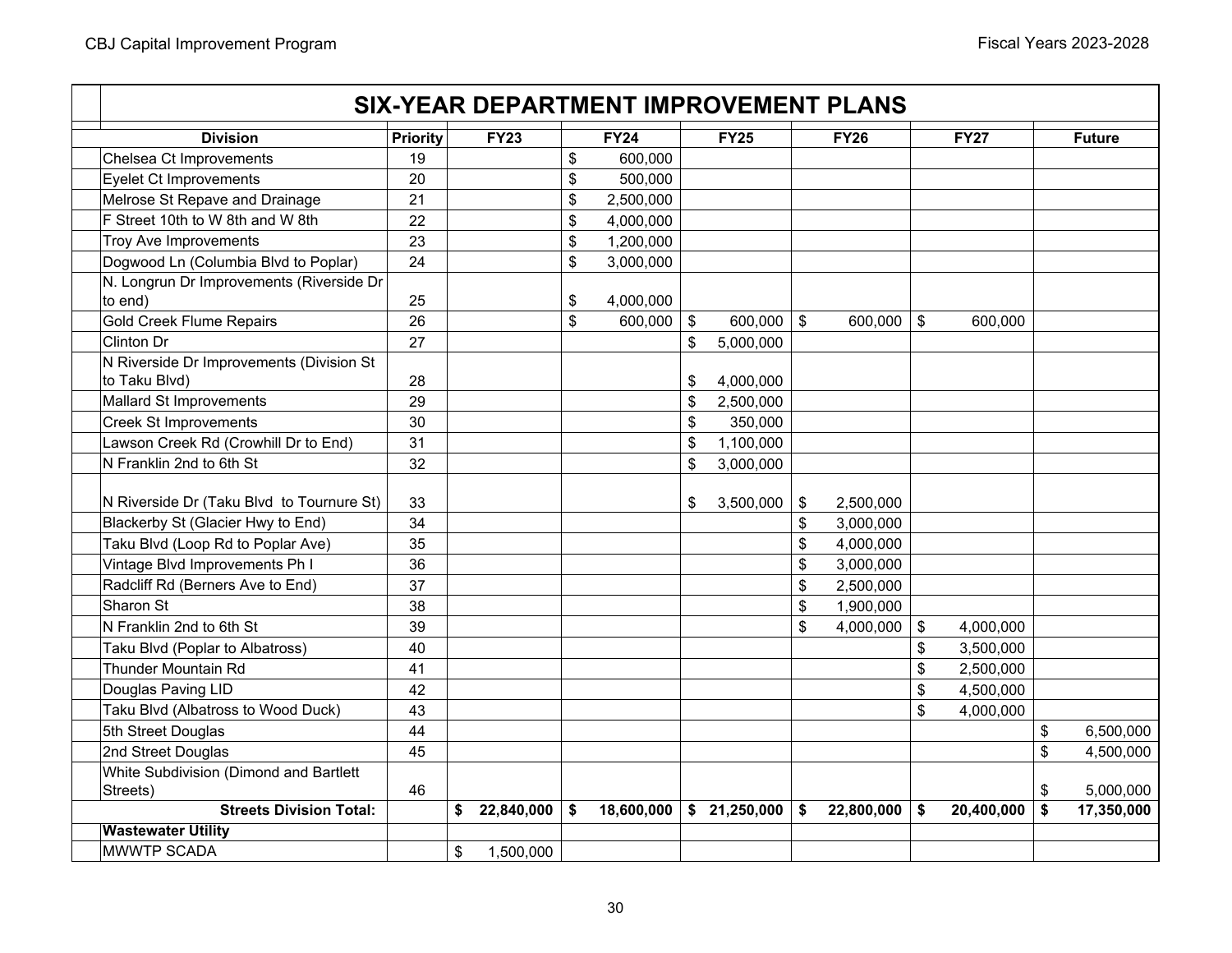### **Priority FY23 FY24 FY25 FY26 FY27 Future SIX-YEAR DEPARTMENT IMPROVEMENT PLANSDivision**Chelsea Ct Improvements  $\begin{array}{ccc} | & 19 & | & \hline \end{array}$   $\begin{array}{ccc} | & 19 & | & \hline \end{array}$  600,000 Eyelet Ct Improvements 20 500,000 \$ Melrose St Repave and Drainage 21 2,500,000 \$ F Street 10th to W 8th and W 8th 22 4,000,000 \$ Troy Ave Improvements 23 1,200,000 \$ Dogwood Ln (Columbia Blvd to Poplar)  $\begin{array}{|c|c|c|c|c|c|c|c|c|} \hline 24 & 3,000,000 \hline \end{array}$ N. Longrun Dr Improvements (Riverside Dr to end) 25 4,000,000 \$ Gold Creek Flume Repairs 26 600,000 \$ 600,000 \$ 600,000 \$ 600,000 \$ Clinton Dr 27 5,000,000 \$ N Riverside Dr Improvements (Division St to Taku Blvd)  $28$  28  $\pm$  28  $\pm$  29  $\pm$  29  $\pm$  29  $\pm$  29  $\pm$  3  $\pm$  4,000,000 Mallard St Improvements 29 2,500,000 \$ Creek St Improvements **30** 350,000 **\$** 350,000 Lawson Creek Rd (Crowhill Dr to End) 1 31 1,100,000 **1,100,000** 1,100,000 **1,100** N Franklin 2nd to 6th St $32$   $\uparrow$   $\uparrow$   $\uparrow$   $\uparrow$   $\uparrow$   $3,000,000$ N Riverside Dr (Taku Blvd to Tournure St)  $\vert$  33  $\vert$  3,500,000  $\vert$  \$ 3,500,000  $\vert$  \$ 3,500,000  $\vert$  \$ 3,500,000  $\vert$ Blackerby St (Glacier Hwy to End) 34 \$ 3,000,000 Taku Blvd (Loop Rd to Poplar Ave) 35 4,000,000 \$ Vintage Blvd Improvements Ph I  $\overline{36}$  36  $\overline{3000,000}$   $\overline{3000,000}$ Radcliff Rd (Berners Ave to End) 37 2,500,000 37 2,500,000 37 2,500,000 37 2,500,000 Sharon St 38 1,900,000 \$ N Franklin 2nd to 6th Stt | 39 | | | |\$ 4,000,000 | \$ 4,000,000 Taku Blvd (Poplar to Albatross) 40 \$ 3,500,000 Thunder Mountain Rdd 41 \$ 2,500,000 Douglas Paving LID 42 \$ 4,500,000 Taku Blvd (Albatross to Wood Duck) 43 \$ 4,000,000 5th Street Douglas 44 \$ 6,500,000 2nd Street Douglas 45 \$ 4,500,000 White Subdivision (Dimond and Bartlett Streets) 46 \$ 5,000,000 **\$ 18,600,000 22,840,000 \$ 21,250,000 \$ 22,800,000 \$ 20,400,000 \$ 17,350,000 \$ Wastewater Utility**  MWWTP SCADA \$ 1,500,000 **Streets Division Total:**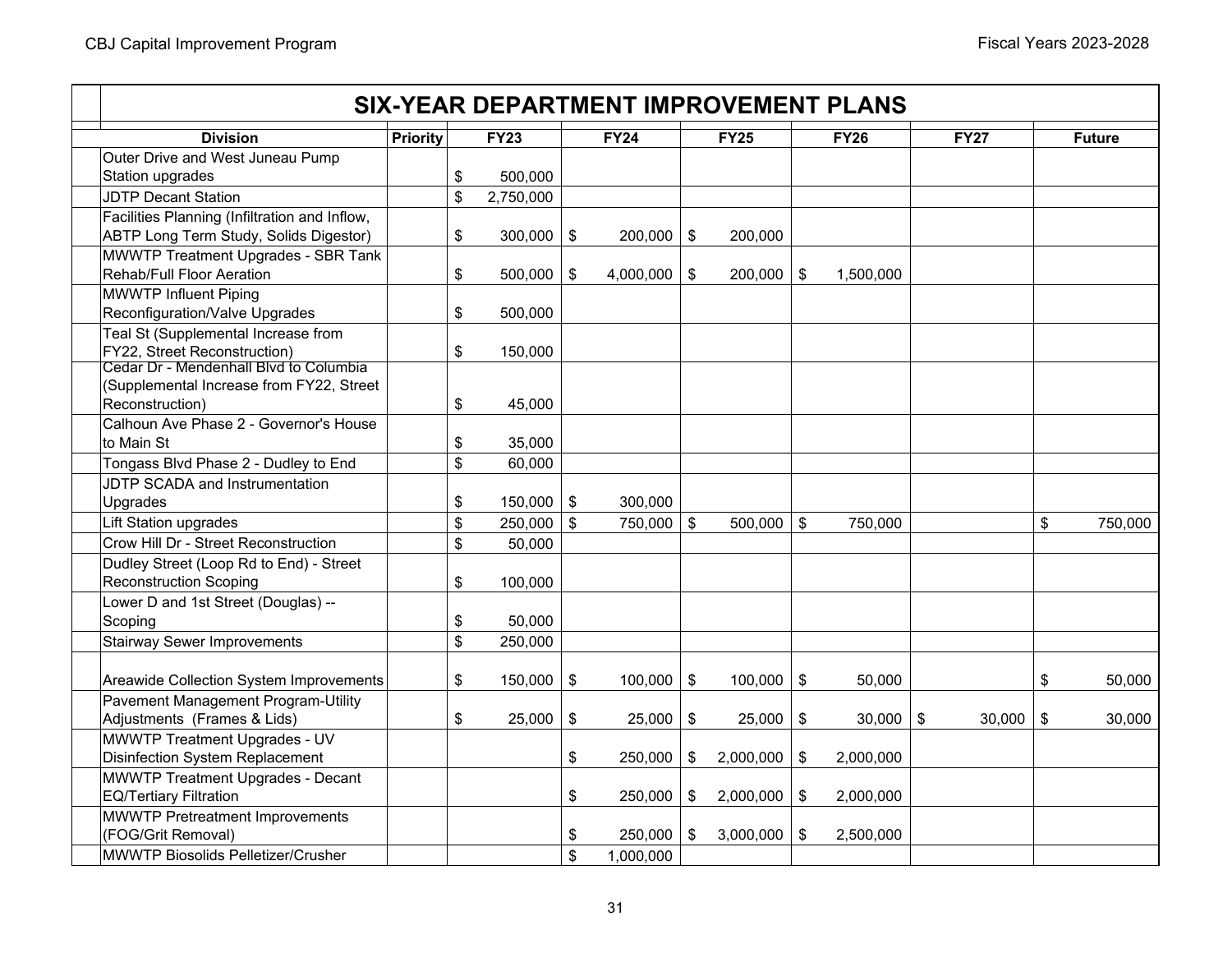|                                               |                 |                         |             | <b>SIX-YEAR DEPARTMENT IMPROVEMENT PLANS</b> |      |             |                         |             |             |                            |               |
|-----------------------------------------------|-----------------|-------------------------|-------------|----------------------------------------------|------|-------------|-------------------------|-------------|-------------|----------------------------|---------------|
| <b>Division</b>                               | <b>Priority</b> |                         | <b>FY23</b> | <b>FY24</b>                                  |      | <b>FY25</b> |                         | <b>FY26</b> | <b>FY27</b> |                            | <b>Future</b> |
| Outer Drive and West Juneau Pump              |                 |                         |             |                                              |      |             |                         |             |             |                            |               |
| Station upgrades                              |                 | $\sqrt[6]{\frac{1}{2}}$ | 500,000     |                                              |      |             |                         |             |             |                            |               |
| <b>JDTP Decant Station</b>                    |                 | \$                      | 2,750,000   |                                              |      |             |                         |             |             |                            |               |
| Facilities Planning (Infiltration and Inflow, |                 |                         |             |                                              |      |             |                         |             |             |                            |               |
| ABTP Long Term Study, Solids Digestor)        |                 | $\sqrt[6]{\frac{1}{2}}$ | 300,000     | \$<br>$200,000$ \$                           |      | 200,000     |                         |             |             |                            |               |
| MWWTP Treatment Upgrades - SBR Tank           |                 |                         |             |                                              |      |             |                         |             |             |                            |               |
| <b>Rehab/Full Floor Aeration</b>              |                 | \$                      | 500,000     | \$<br>4,000,000                              | \$   | 200,000     | \$                      | 1,500,000   |             |                            |               |
| <b>MWWTP Influent Piping</b>                  |                 |                         |             |                                              |      |             |                         |             |             |                            |               |
| Reconfiguration/Valve Upgrades                |                 | \$                      | 500,000     |                                              |      |             |                         |             |             |                            |               |
| Teal St (Supplemental Increase from           |                 |                         |             |                                              |      |             |                         |             |             |                            |               |
| FY22, Street Reconstruction)                  |                 | \$                      | 150,000     |                                              |      |             |                         |             |             |                            |               |
| Cedar Dr - Mendenhall Blvd to Columbia        |                 |                         |             |                                              |      |             |                         |             |             |                            |               |
| (Supplemental Increase from FY22, Street      |                 |                         |             |                                              |      |             |                         |             |             |                            |               |
| Reconstruction)                               |                 | \$                      | 45,000      |                                              |      |             |                         |             |             |                            |               |
| Calhoun Ave Phase 2 - Governor's House        |                 |                         |             |                                              |      |             |                         |             |             |                            |               |
| to Main St                                    |                 | \$                      | 35,000      |                                              |      |             |                         |             |             |                            |               |
| Tongass Blvd Phase 2 - Dudley to End          |                 | \$                      | 60,000      |                                              |      |             |                         |             |             |                            |               |
| JDTP SCADA and Instrumentation                |                 |                         |             |                                              |      |             |                         |             |             |                            |               |
| Upgrades                                      |                 | \$                      | 150,000     | \$<br>300,000                                |      |             |                         |             |             |                            |               |
| Lift Station upgrades                         |                 | $\boldsymbol{\$}$       | 250,000     | \$<br>750,000                                | \$   | 500,000     | $\sqrt[6]{\frac{1}{2}}$ | 750,000     |             | \$                         | 750,000       |
| Crow Hill Dr - Street Reconstruction          |                 | \$                      | 50,000      |                                              |      |             |                         |             |             |                            |               |
| Dudley Street (Loop Rd to End) - Street       |                 |                         |             |                                              |      |             |                         |             |             |                            |               |
| <b>Reconstruction Scoping</b>                 |                 | \$                      | 100,000     |                                              |      |             |                         |             |             |                            |               |
| Lower D and 1st Street (Douglas) --           |                 |                         |             |                                              |      |             |                         |             |             |                            |               |
| Scoping                                       |                 | \$                      | 50,000      |                                              |      |             |                         |             |             |                            |               |
| <b>Stairway Sewer Improvements</b>            |                 | \$                      | 250,000     |                                              |      |             |                         |             |             |                            |               |
|                                               |                 |                         |             |                                              |      |             |                         |             |             |                            |               |
| Areawide Collection System Improvements       |                 | \$                      | 150,000     | \$<br>100,000                                | \$   | 100,000     | \$                      | 50,000      |             | \$                         | 50,000        |
| Pavement Management Program-Utility           |                 |                         |             |                                              |      |             |                         |             |             |                            |               |
| Adjustments (Frames & Lids)                   |                 | \$                      | 25,000      | \$<br>$25,000$ \$                            |      | 25,000      | \$                      | $30,000$ \$ | 30,000      | $\boldsymbol{\mathsf{\$}}$ | 30,000        |
| MWWTP Treatment Upgrades - UV                 |                 |                         |             |                                              |      |             |                         |             |             |                            |               |
| Disinfection System Replacement               |                 |                         |             | \$<br>250,000                                | \$   | 2,000,000   | \$                      | 2,000,000   |             |                            |               |
| <b>MWWTP Treatment Upgrades - Decant</b>      |                 |                         |             |                                              |      |             |                         |             |             |                            |               |
| <b>EQ/Tertiary Filtration</b>                 |                 |                         |             | \$<br>$250,000$ \$                           |      | 2,000,000   | \$                      | 2,000,000   |             |                            |               |
| <b>MWWTP Pretreatment Improvements</b>        |                 |                         |             |                                              |      |             |                         |             |             |                            |               |
| (FOG/Grit Removal)                            |                 |                         |             | \$<br>250,000                                | l \$ | 3,000,000   | \$                      | 2,500,000   |             |                            |               |
| <b>MWWTP Biosolids Pelletizer/Crusher</b>     |                 |                         |             | \$<br>1,000,000                              |      |             |                         |             |             |                            |               |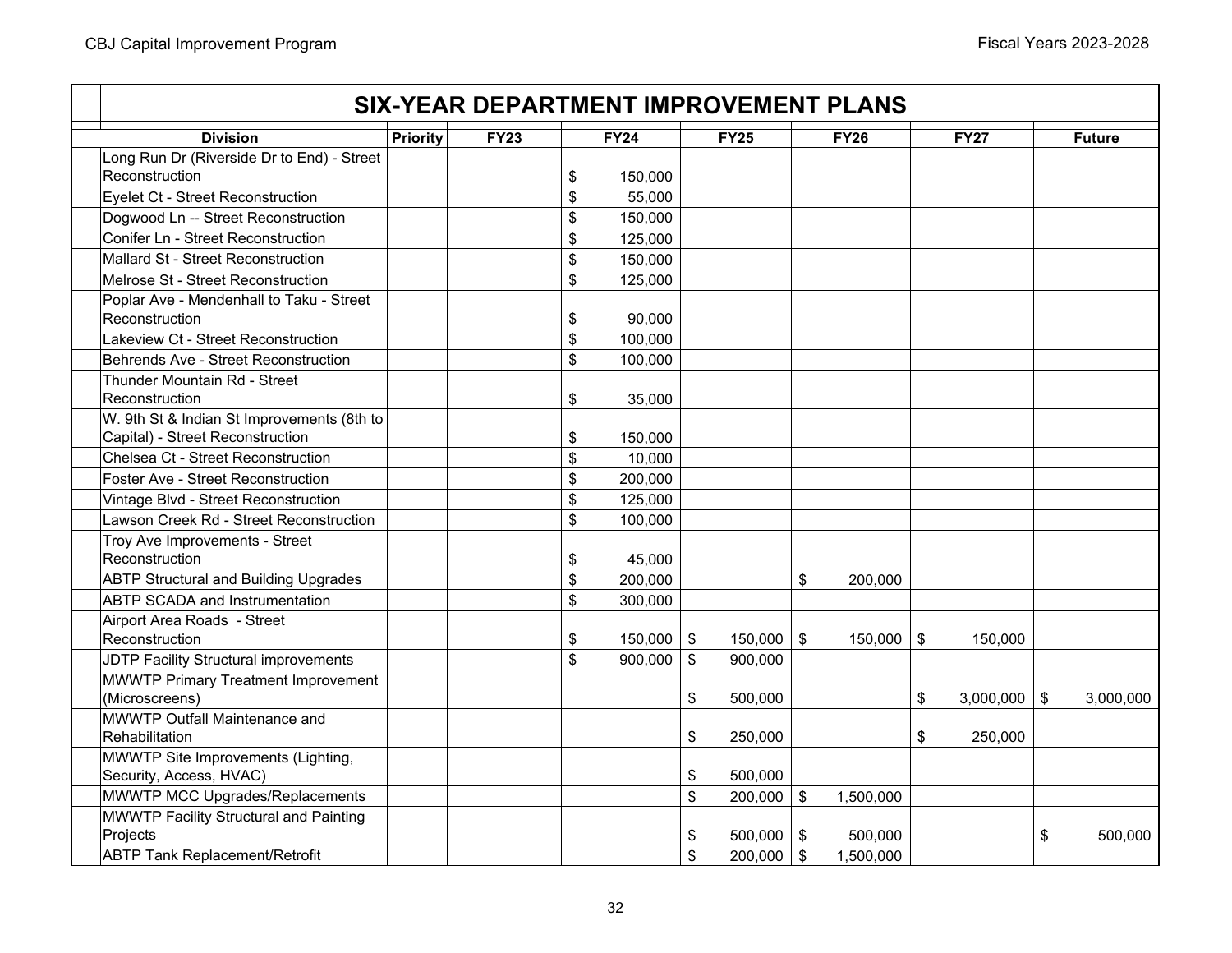| <b>Division</b>                                                                | <b>Priority</b> | <b>FY23</b> | <b>FY24</b>   | <b>FY25</b>          | <b>FY26</b>   | <b>FY27</b>          | <b>Future</b> |
|--------------------------------------------------------------------------------|-----------------|-------------|---------------|----------------------|---------------|----------------------|---------------|
| Long Run Dr (Riverside Dr to End) - Street                                     |                 |             |               |                      |               |                      |               |
| Reconstruction                                                                 |                 |             | \$<br>150,000 |                      |               |                      |               |
| Eyelet Ct - Street Reconstruction                                              |                 |             | \$<br>55,000  |                      |               |                      |               |
| Dogwood Ln -- Street Reconstruction                                            |                 |             | \$<br>150,000 |                      |               |                      |               |
| Conifer Ln - Street Reconstruction                                             |                 |             | \$<br>125,000 |                      |               |                      |               |
| Mallard St - Street Reconstruction                                             |                 |             | \$<br>150,000 |                      |               |                      |               |
| Melrose St - Street Reconstruction                                             |                 |             | \$<br>125,000 |                      |               |                      |               |
| Poplar Ave - Mendenhall to Taku - Street<br>Reconstruction                     |                 |             | \$<br>90,000  |                      |               |                      |               |
| Lakeview Ct - Street Reconstruction                                            |                 |             | \$<br>100,000 |                      |               |                      |               |
| Behrends Ave - Street Reconstruction                                           |                 |             | \$<br>100,000 |                      |               |                      |               |
| Thunder Mountain Rd - Street<br>Reconstruction                                 |                 |             | \$<br>35,000  |                      |               |                      |               |
| W. 9th St & Indian St Improvements (8th to<br>Capital) - Street Reconstruction |                 |             | \$<br>150,000 |                      |               |                      |               |
| Chelsea Ct - Street Reconstruction                                             |                 |             | \$<br>10,000  |                      |               |                      |               |
| Foster Ave - Street Reconstruction                                             |                 |             | \$<br>200,000 |                      |               |                      |               |
| Vintage Blvd - Street Reconstruction                                           |                 |             | \$<br>125,000 |                      |               |                      |               |
| Lawson Creek Rd - Street Reconstruction                                        |                 |             | \$<br>100,000 |                      |               |                      |               |
| Troy Ave Improvements - Street<br>Reconstruction                               |                 |             | \$<br>45,000  |                      |               |                      |               |
| <b>ABTP Structural and Building Upgrades</b>                                   |                 |             | \$<br>200,000 |                      | \$<br>200,000 |                      |               |
| <b>ABTP SCADA and Instrumentation</b>                                          |                 |             | \$<br>300,000 |                      |               |                      |               |
| Airport Area Roads - Street<br>Reconstruction                                  |                 |             | \$<br>150,000 | \$<br>$150,000$   \$ | 150,000       | \$<br>150,000        |               |
| JDTP Facility Structural improvements                                          |                 |             | \$<br>900,000 | \$<br>900,000        |               |                      |               |
| MWWTP Primary Treatment Improvement<br>(Microscreens)                          |                 |             |               | \$<br>500,000        |               | \$<br>$3,000,000$ \$ | 3,000,000     |
| MWWTP Outfall Maintenance and<br>Rehabilitation                                |                 |             |               | \$<br>250,000        |               | \$<br>250,000        |               |
| MWWTP Site Improvements (Lighting,<br>Security, Access, HVAC)                  |                 |             |               | \$<br>500,000        |               |                      |               |
| MWWTP MCC Upgrades/Replacements                                                |                 |             |               | \$<br>$200,000$ \$   | 1,500,000     |                      |               |
| MWWTP Facility Structural and Painting<br>Projects                             |                 |             |               | \$<br>$500,000$ \$   | 500,000       |                      | \$<br>500,000 |
| <b>ABTP Tank Replacement/Retrofit</b>                                          |                 |             |               | \$<br>$200,000$ \$   | 1,500,000     |                      |               |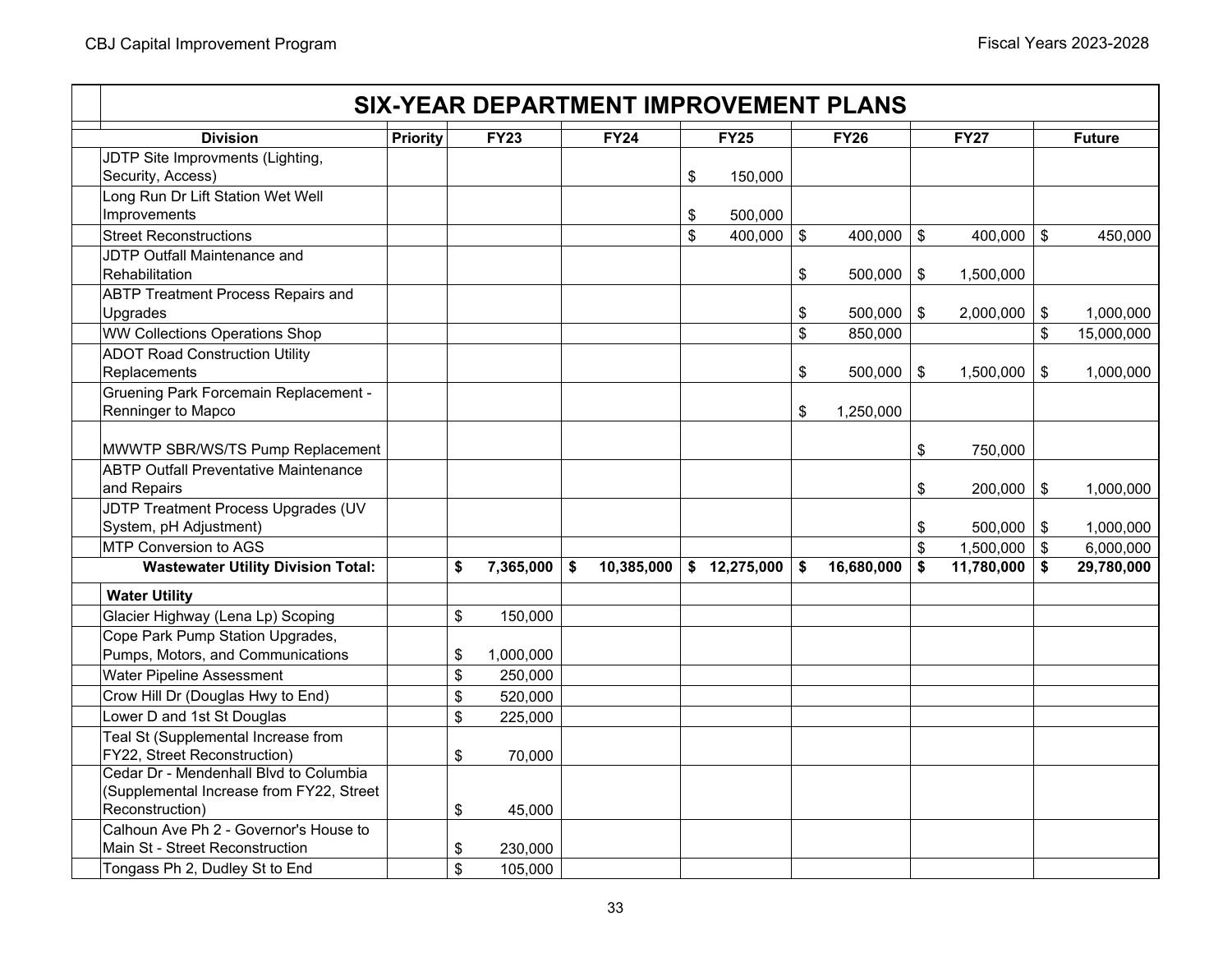|                                              |                 |                         |             |                  |               | <b>SIX-YEAR DEPARTMENT IMPROVEMENT PLANS</b> |                           |                    |                  |
|----------------------------------------------|-----------------|-------------------------|-------------|------------------|---------------|----------------------------------------------|---------------------------|--------------------|------------------|
| <b>Division</b>                              | <b>Priority</b> |                         | <b>FY23</b> | <b>FY24</b>      | <b>FY25</b>   | <b>FY26</b>                                  |                           | <b>FY27</b>        | <b>Future</b>    |
| JDTP Site Improvments (Lighting,             |                 |                         |             |                  |               |                                              |                           |                    |                  |
| Security, Access)                            |                 |                         |             |                  | \$<br>150,000 |                                              |                           |                    |                  |
| Long Run Dr Lift Station Wet Well            |                 |                         |             |                  |               |                                              |                           |                    |                  |
| Improvements                                 |                 |                         |             |                  | \$<br>500,000 |                                              |                           |                    |                  |
| <b>Street Reconstructions</b>                |                 |                         |             |                  | \$<br>400,000 | \$<br>400,000                                | $\boldsymbol{\mathsf{s}}$ | 400,000 $\vert$ \$ | 450,000          |
| JDTP Outfall Maintenance and                 |                 |                         |             |                  |               |                                              |                           |                    |                  |
| Rehabilitation                               |                 |                         |             |                  |               | \$<br>$500,000$   \$                         |                           | 1,500,000          |                  |
| <b>ABTP Treatment Process Repairs and</b>    |                 |                         |             |                  |               |                                              |                           |                    |                  |
| Upgrades                                     |                 |                         |             |                  |               | \$<br>$500,000$ \$                           |                           | $2,000,000$ \$     | 1,000,000        |
| <b>WW Collections Operations Shop</b>        |                 |                         |             |                  |               | \$<br>850,000                                |                           |                    | \$<br>15,000,000 |
| <b>ADOT Road Construction Utility</b>        |                 |                         |             |                  |               |                                              |                           |                    |                  |
| Replacements                                 |                 |                         |             |                  |               | \$<br>$500,000$ \$                           |                           | 1,500,000          | \$<br>1,000,000  |
| <b>Gruening Park Forcemain Replacement -</b> |                 |                         |             |                  |               |                                              |                           |                    |                  |
| Renninger to Mapco                           |                 |                         |             |                  |               | \$<br>1,250,000                              |                           |                    |                  |
|                                              |                 |                         |             |                  |               |                                              |                           |                    |                  |
| MWWTP SBR/WS/TS Pump Replacement             |                 |                         |             |                  |               |                                              | \$                        | 750,000            |                  |
| <b>ABTP Outfall Preventative Maintenance</b> |                 |                         |             |                  |               |                                              |                           |                    |                  |
| and Repairs                                  |                 |                         |             |                  |               |                                              | \$                        | $200,000$ \$       | 1,000,000        |
| JDTP Treatment Process Upgrades (UV          |                 |                         |             |                  |               |                                              |                           |                    |                  |
| System, pH Adjustment)                       |                 |                         |             |                  |               |                                              | \$                        | $500,000$ \$       | 1,000,000        |
| MTP Conversion to AGS                        |                 |                         |             |                  |               |                                              | \$                        | $1,500,000$ \$     | 6,000,000        |
| <b>Wastewater Utility Division Total:</b>    |                 | \$                      | 7,365,000   | \$<br>10,385,000 | \$12,275,000  | \$<br>16,680,000                             | \$                        | $11,780,000$ \$    | 29,780,000       |
| <b>Water Utility</b>                         |                 |                         |             |                  |               |                                              |                           |                    |                  |
| Glacier Highway (Lena Lp) Scoping            |                 | \$                      | 150,000     |                  |               |                                              |                           |                    |                  |
| Cope Park Pump Station Upgrades,             |                 |                         |             |                  |               |                                              |                           |                    |                  |
| Pumps, Motors, and Communications            |                 | \$                      | 1,000,000   |                  |               |                                              |                           |                    |                  |
| Water Pipeline Assessment                    |                 | \$                      | 250,000     |                  |               |                                              |                           |                    |                  |
| Crow Hill Dr (Douglas Hwy to End)            |                 | $\$\$                   | 520,000     |                  |               |                                              |                           |                    |                  |
| Lower D and 1st St Douglas                   |                 | \$                      | 225,000     |                  |               |                                              |                           |                    |                  |
| Teal St (Supplemental Increase from          |                 |                         |             |                  |               |                                              |                           |                    |                  |
| FY22, Street Reconstruction)                 |                 | \$                      | 70,000      |                  |               |                                              |                           |                    |                  |
| Cedar Dr - Mendenhall Blvd to Columbia       |                 |                         |             |                  |               |                                              |                           |                    |                  |
| (Supplemental Increase from FY22, Street     |                 |                         |             |                  |               |                                              |                           |                    |                  |
| Reconstruction)                              |                 | $\sqrt[6]{\frac{1}{2}}$ | 45,000      |                  |               |                                              |                           |                    |                  |
| Calhoun Ave Ph 2 - Governor's House to       |                 |                         |             |                  |               |                                              |                           |                    |                  |
| Main St - Street Reconstruction              |                 | \$                      | 230,000     |                  |               |                                              |                           |                    |                  |
| Tongass Ph 2, Dudley St to End               |                 | \$                      | 105,000     |                  |               |                                              |                           |                    |                  |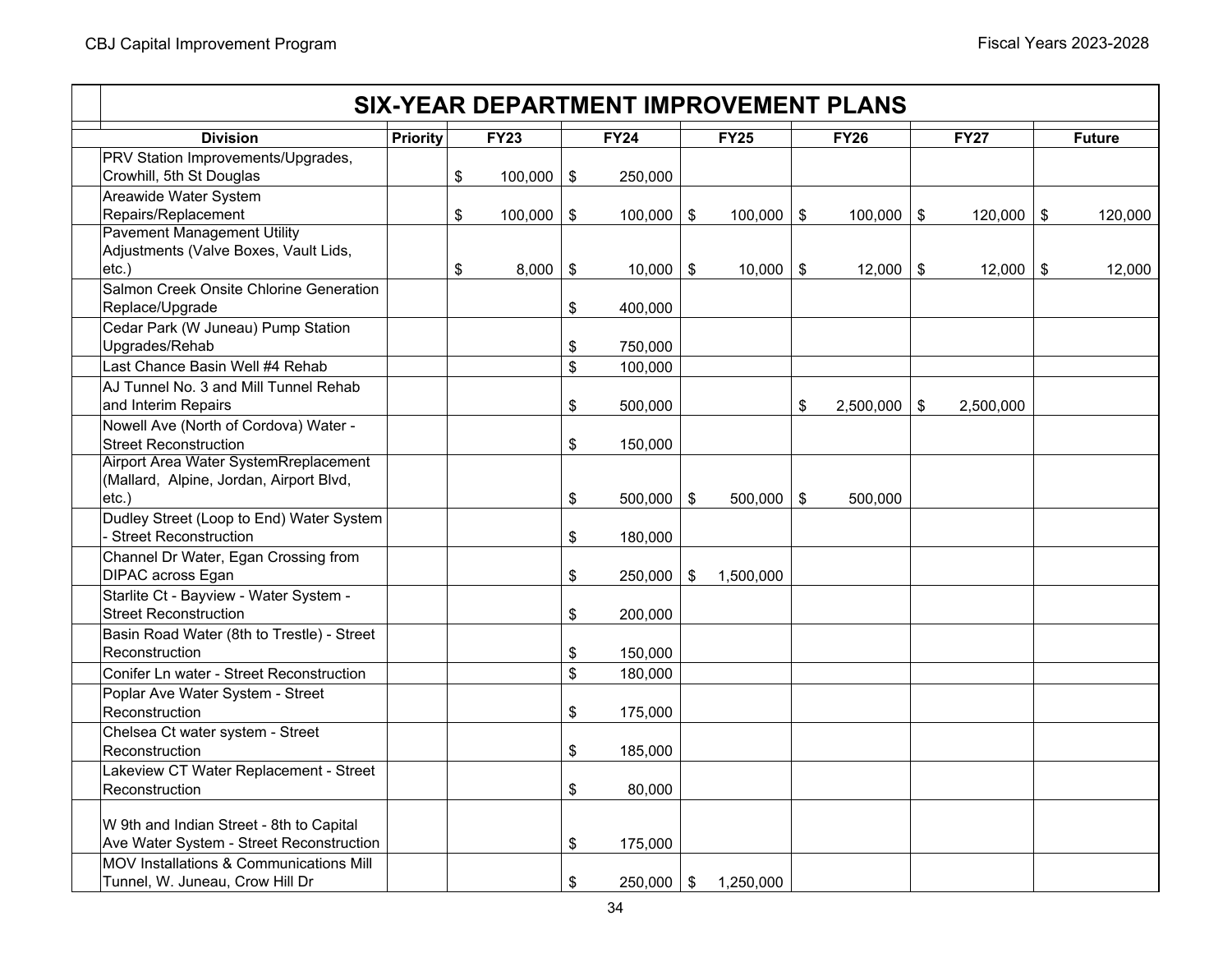|                                                                                      |                 |               |                            |                    |       |               | <b>SIX-YEAR DEPARTMENT IMPROVEMENT PLANS</b> |             |               |
|--------------------------------------------------------------------------------------|-----------------|---------------|----------------------------|--------------------|-------|---------------|----------------------------------------------|-------------|---------------|
| <b>Division</b>                                                                      | <b>Priority</b> | <b>FY23</b>   |                            | <b>FY24</b>        |       | <b>FY25</b>   | <b>FY26</b>                                  | <b>FY27</b> | <b>Future</b> |
| PRV Station Improvements/Upgrades,<br>Crowhill, 5th St Douglas                       |                 | \$<br>100,000 | $\frac{1}{2}$              | 250,000            |       |               |                                              |             |               |
| Areawide Water System<br>Repairs/Replacement<br><b>Pavement Management Utility</b>   |                 | \$<br>100,000 | $\boldsymbol{\mathsf{\$}}$ | 100,000            | $\$\$ | $100,000$ \$  | $100,000$ \$                                 | 120,000     | \$<br>120,000 |
| Adjustments (Valve Boxes, Vault Lids,<br>$etc.$ )                                    |                 | \$<br>8,000   | \$                         | 10,000             | \$    | $10,000$   \$ | $12,000$ \ \$                                | 12,000      | \$<br>12,000  |
| Salmon Creek Onsite Chlorine Generation<br>Replace/Upgrade                           |                 |               | \$                         | 400,000            |       |               |                                              |             |               |
| Cedar Park (W Juneau) Pump Station<br>Upgrades/Rehab                                 |                 |               | \$                         | 750,000            |       |               |                                              |             |               |
| Last Chance Basin Well #4 Rehab                                                      |                 |               | $\$\$                      | 100,000            |       |               |                                              |             |               |
| AJ Tunnel No. 3 and Mill Tunnel Rehab<br>and Interim Repairs                         |                 |               | \$                         | 500,000            |       |               | \$<br>$2,500,000$ \$                         | 2,500,000   |               |
| Nowell Ave (North of Cordova) Water -<br><b>Street Reconstruction</b>                |                 |               | \$                         | 150,000            |       |               |                                              |             |               |
| Airport Area Water SystemRreplacement<br>(Mallard, Alpine, Jordan, Airport Blvd,     |                 |               |                            |                    |       |               |                                              |             |               |
| $etc.$ )<br>Dudley Street (Loop to End) Water System<br><b>Street Reconstruction</b> |                 |               | \$<br>\$                   | 500,000<br>180,000 | \$    | $500,000$ \$  | 500,000                                      |             |               |
| Channel Dr Water, Egan Crossing from<br>DIPAC across Egan                            |                 |               | \$                         | 250,000            | \$    | 1,500,000     |                                              |             |               |
| Starlite Ct - Bayview - Water System -<br><b>Street Reconstruction</b>               |                 |               | \$                         | 200,000            |       |               |                                              |             |               |
| Basin Road Water (8th to Trestle) - Street<br>Reconstruction                         |                 |               | \$                         | 150,000            |       |               |                                              |             |               |
| Conifer Ln water - Street Reconstruction                                             |                 |               | \$                         | 180,000            |       |               |                                              |             |               |
| Poplar Ave Water System - Street<br>Reconstruction                                   |                 |               | \$                         | 175,000            |       |               |                                              |             |               |
| Chelsea Ct water system - Street<br>Reconstruction                                   |                 |               | \$                         | 185,000            |       |               |                                              |             |               |
| Lakeview CT Water Replacement - Street<br>Reconstruction                             |                 |               | \$                         | 80,000             |       |               |                                              |             |               |
| W 9th and Indian Street - 8th to Capital<br>Ave Water System - Street Reconstruction |                 |               | \$                         | 175,000            |       |               |                                              |             |               |
| MOV Installations & Communications Mill<br>Tunnel, W. Juneau, Crow Hill Dr           |                 |               | \$                         | 250,000            | \$    | 1.250.000     |                                              |             |               |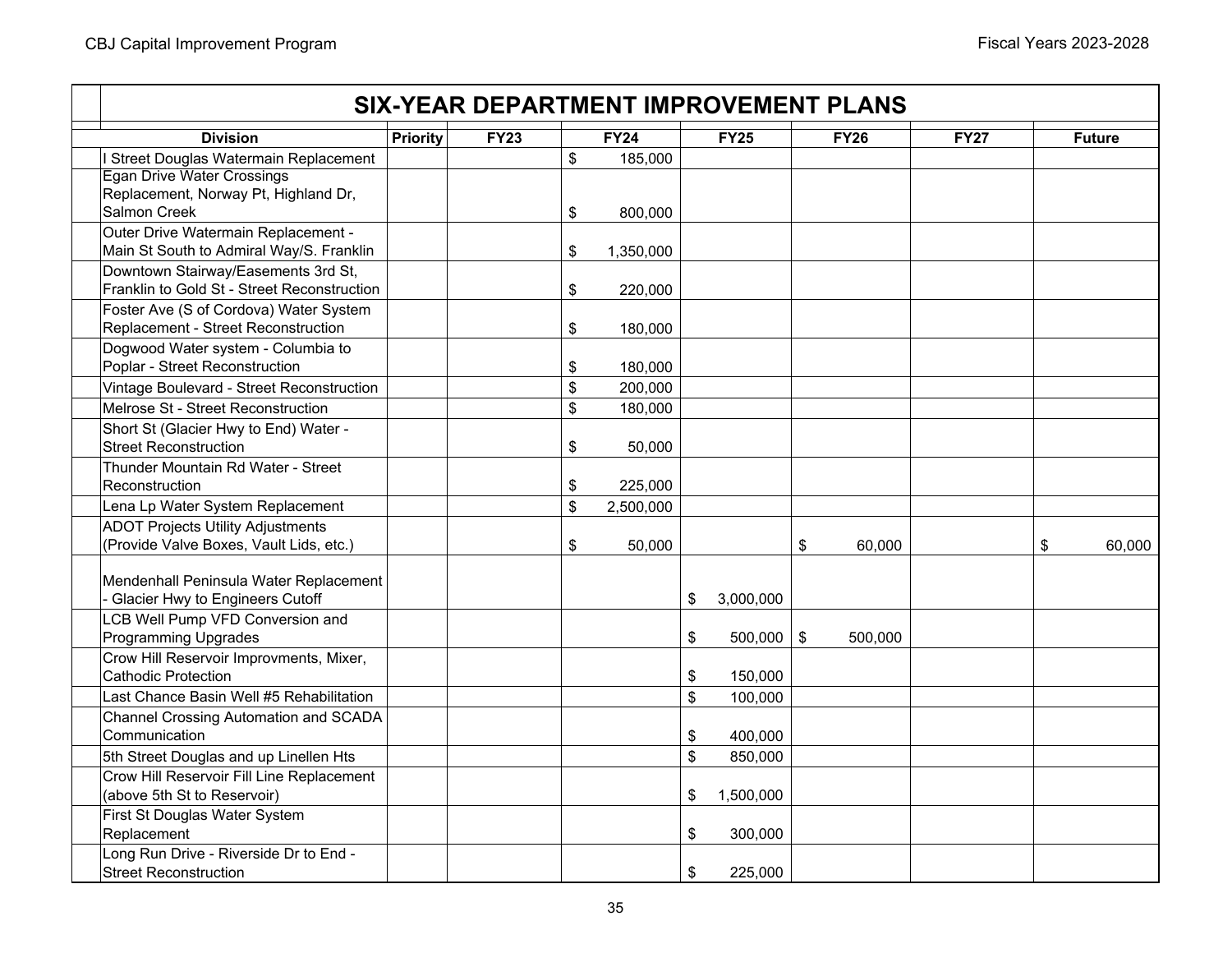|                                                                                     |                 |             | <b>SIX-YEAR DEPARTMENT IMPROVEMENT PLANS</b> |                    |             |         |             |               |
|-------------------------------------------------------------------------------------|-----------------|-------------|----------------------------------------------|--------------------|-------------|---------|-------------|---------------|
| <b>Division</b>                                                                     | <b>Priority</b> | <b>FY23</b> | <b>FY24</b>                                  | <b>FY25</b>        | <b>FY26</b> |         | <b>FY27</b> | <b>Future</b> |
| I Street Douglas Watermain Replacement                                              |                 |             | \$<br>185,000                                |                    |             |         |             |               |
| <b>Egan Drive Water Crossings</b>                                                   |                 |             |                                              |                    |             |         |             |               |
| Replacement, Norway Pt, Highland Dr,                                                |                 |             |                                              |                    |             |         |             |               |
| Salmon Creek                                                                        |                 |             | \$<br>800,000                                |                    |             |         |             |               |
| Outer Drive Watermain Replacement -                                                 |                 |             |                                              |                    |             |         |             |               |
| Main St South to Admiral Way/S. Franklin                                            |                 |             | \$<br>1,350,000                              |                    |             |         |             |               |
| Downtown Stairway/Easements 3rd St,                                                 |                 |             |                                              |                    |             |         |             |               |
| Franklin to Gold St - Street Reconstruction                                         |                 |             | \$<br>220,000                                |                    |             |         |             |               |
| Foster Ave (S of Cordova) Water System                                              |                 |             |                                              |                    |             |         |             |               |
| Replacement - Street Reconstruction                                                 |                 |             | \$<br>180,000                                |                    |             |         |             |               |
| Dogwood Water system - Columbia to                                                  |                 |             |                                              |                    |             |         |             |               |
| Poplar - Street Reconstruction                                                      |                 |             | \$<br>180,000                                |                    |             |         |             |               |
| Vintage Boulevard - Street Reconstruction                                           |                 |             | \$<br>200,000                                |                    |             |         |             |               |
| Melrose St - Street Reconstruction                                                  |                 |             | \$<br>180,000                                |                    |             |         |             |               |
| Short St (Glacier Hwy to End) Water -                                               |                 |             |                                              |                    |             |         |             |               |
| <b>Street Reconstruction</b>                                                        |                 |             | \$<br>50.000                                 |                    |             |         |             |               |
| Thunder Mountain Rd Water - Street<br>Reconstruction                                |                 |             |                                              |                    |             |         |             |               |
|                                                                                     |                 |             | \$<br>225,000                                |                    |             |         |             |               |
| Lena Lp Water System Replacement                                                    |                 |             | \$<br>2,500,000                              |                    |             |         |             |               |
| <b>ADOT Projects Utility Adjustments</b><br>(Provide Valve Boxes, Vault Lids, etc.) |                 |             |                                              |                    |             |         |             |               |
|                                                                                     |                 |             | \$<br>50,000                                 |                    | \$          | 60,000  |             | \$<br>60,000  |
| Mendenhall Peninsula Water Replacement                                              |                 |             |                                              |                    |             |         |             |               |
| - Glacier Hwy to Engineers Cutoff                                                   |                 |             |                                              | \$<br>3,000,000    |             |         |             |               |
| LCB Well Pump VFD Conversion and                                                    |                 |             |                                              |                    |             |         |             |               |
| <b>Programming Upgrades</b>                                                         |                 |             |                                              | \$<br>$500,000$ \$ |             | 500,000 |             |               |
| Crow Hill Reservoir Improvments, Mixer,                                             |                 |             |                                              |                    |             |         |             |               |
| <b>Cathodic Protection</b>                                                          |                 |             |                                              | \$<br>150,000      |             |         |             |               |
| Last Chance Basin Well #5 Rehabilitation                                            |                 |             |                                              | \$<br>100,000      |             |         |             |               |
| Channel Crossing Automation and SCADA                                               |                 |             |                                              |                    |             |         |             |               |
| Communication                                                                       |                 |             |                                              | \$<br>400,000      |             |         |             |               |
| 5th Street Douglas and up Linellen Hts                                              |                 |             |                                              | \$<br>850,000      |             |         |             |               |
| Crow Hill Reservoir Fill Line Replacement                                           |                 |             |                                              |                    |             |         |             |               |
| (above 5th St to Reservoir)                                                         |                 |             |                                              | \$<br>1,500,000    |             |         |             |               |
| First St Douglas Water System                                                       |                 |             |                                              |                    |             |         |             |               |
| Replacement                                                                         |                 |             |                                              | \$<br>300,000      |             |         |             |               |
| Long Run Drive - Riverside Dr to End -                                              |                 |             |                                              |                    |             |         |             |               |
| <b>Street Reconstruction</b>                                                        |                 |             |                                              | \$<br>225,000      |             |         |             |               |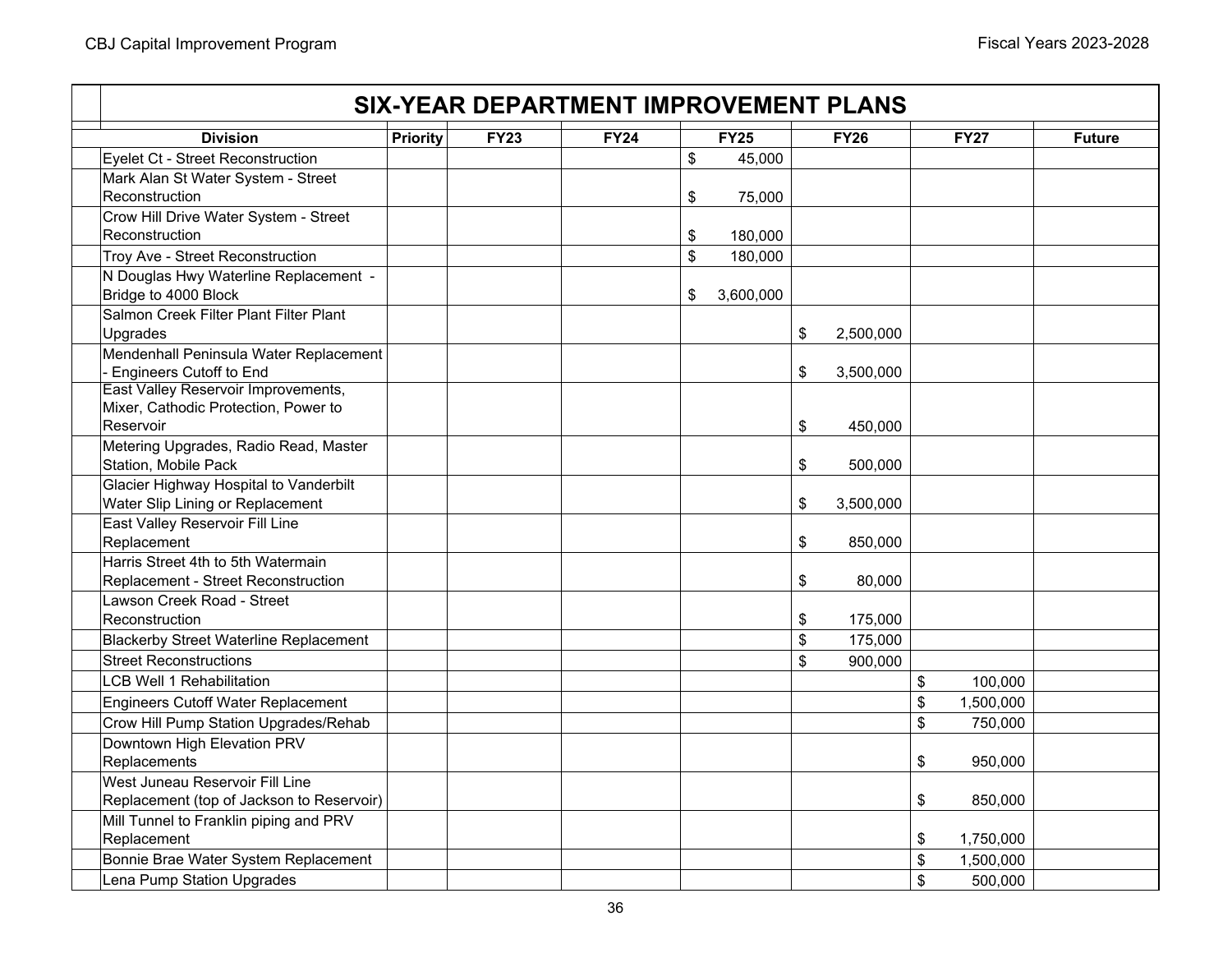| <b>SIX-YEAR DEPARTMENT IMPROVEMENT PLANS</b>                                |             |             |                           |           |               |             |    |                   |               |  |  |
|-----------------------------------------------------------------------------|-------------|-------------|---------------------------|-----------|---------------|-------------|----|-------------------|---------------|--|--|
| <b>Division</b><br>Priority                                                 | <b>FY23</b> | <b>FY24</b> |                           | FY25      |               | <b>FY26</b> |    | $\overline{FY27}$ | <b>Future</b> |  |  |
| Eyelet Ct - Street Reconstruction                                           |             |             | \$                        | 45,000    |               |             |    |                   |               |  |  |
| Mark Alan St Water System - Street                                          |             |             |                           |           |               |             |    |                   |               |  |  |
| Reconstruction                                                              |             |             | \$                        | 75,000    |               |             |    |                   |               |  |  |
| Crow Hill Drive Water System - Street                                       |             |             |                           |           |               |             |    |                   |               |  |  |
| Reconstruction                                                              |             |             | \$                        | 180,000   |               |             |    |                   |               |  |  |
| Troy Ave - Street Reconstruction                                            |             |             | $\boldsymbol{\mathsf{S}}$ | 180,000   |               |             |    |                   |               |  |  |
| N Douglas Hwy Waterline Replacement -                                       |             |             |                           |           |               |             |    |                   |               |  |  |
| Bridge to 4000 Block                                                        |             |             | \$                        | 3,600,000 |               |             |    |                   |               |  |  |
| Salmon Creek Filter Plant Filter Plant                                      |             |             |                           |           |               |             |    |                   |               |  |  |
| Upgrades                                                                    |             |             |                           |           | \$            | 2,500,000   |    |                   |               |  |  |
| Mendenhall Peninsula Water Replacement                                      |             |             |                           |           |               |             |    |                   |               |  |  |
| - Engineers Cutoff to End                                                   |             |             |                           |           | $\frac{2}{3}$ | 3,500,000   |    |                   |               |  |  |
| East Valley Reservoir Improvements,<br>Mixer, Cathodic Protection, Power to |             |             |                           |           |               |             |    |                   |               |  |  |
| Reservoir                                                                   |             |             |                           |           | \$            | 450,000     |    |                   |               |  |  |
| Metering Upgrades, Radio Read, Master                                       |             |             |                           |           |               |             |    |                   |               |  |  |
| Station, Mobile Pack                                                        |             |             |                           |           | \$            | 500,000     |    |                   |               |  |  |
| Glacier Highway Hospital to Vanderbilt                                      |             |             |                           |           |               |             |    |                   |               |  |  |
| Water Slip Lining or Replacement                                            |             |             |                           |           | \$            | 3,500,000   |    |                   |               |  |  |
| East Valley Reservoir Fill Line                                             |             |             |                           |           |               |             |    |                   |               |  |  |
| Replacement                                                                 |             |             |                           |           | \$            | 850,000     |    |                   |               |  |  |
| Harris Street 4th to 5th Watermain                                          |             |             |                           |           |               |             |    |                   |               |  |  |
| Replacement - Street Reconstruction                                         |             |             |                           |           | \$            | 80,000      |    |                   |               |  |  |
| Lawson Creek Road - Street                                                  |             |             |                           |           |               |             |    |                   |               |  |  |
| Reconstruction                                                              |             |             |                           |           | \$            | 175,000     |    |                   |               |  |  |
| <b>Blackerby Street Waterline Replacement</b>                               |             |             |                           |           | \$            | 175,000     |    |                   |               |  |  |
| <b>Street Reconstructions</b>                                               |             |             |                           |           | \$            | 900,000     |    |                   |               |  |  |
| <b>LCB Well 1 Rehabilitation</b>                                            |             |             |                           |           |               |             | \$ | 100,000           |               |  |  |
| <b>Engineers Cutoff Water Replacement</b>                                   |             |             |                           |           |               |             | \$ | 1,500,000         |               |  |  |
| Crow Hill Pump Station Upgrades/Rehab                                       |             |             |                           |           |               |             | \$ | 750,000           |               |  |  |
| Downtown High Elevation PRV                                                 |             |             |                           |           |               |             |    |                   |               |  |  |
| Replacements                                                                |             |             |                           |           |               |             | \$ | 950,000           |               |  |  |
| West Juneau Reservoir Fill Line                                             |             |             |                           |           |               |             |    |                   |               |  |  |
| Replacement (top of Jackson to Reservoir)                                   |             |             |                           |           |               |             | \$ | 850,000           |               |  |  |
| Mill Tunnel to Franklin piping and PRV                                      |             |             |                           |           |               |             |    |                   |               |  |  |
| Replacement                                                                 |             |             |                           |           |               |             | \$ | 1,750,000         |               |  |  |
| Bonnie Brae Water System Replacement                                        |             |             |                           |           |               |             | \$ | 1,500,000         |               |  |  |
| Lena Pump Station Upgrades                                                  |             |             |                           |           |               |             | \$ | 500,000           |               |  |  |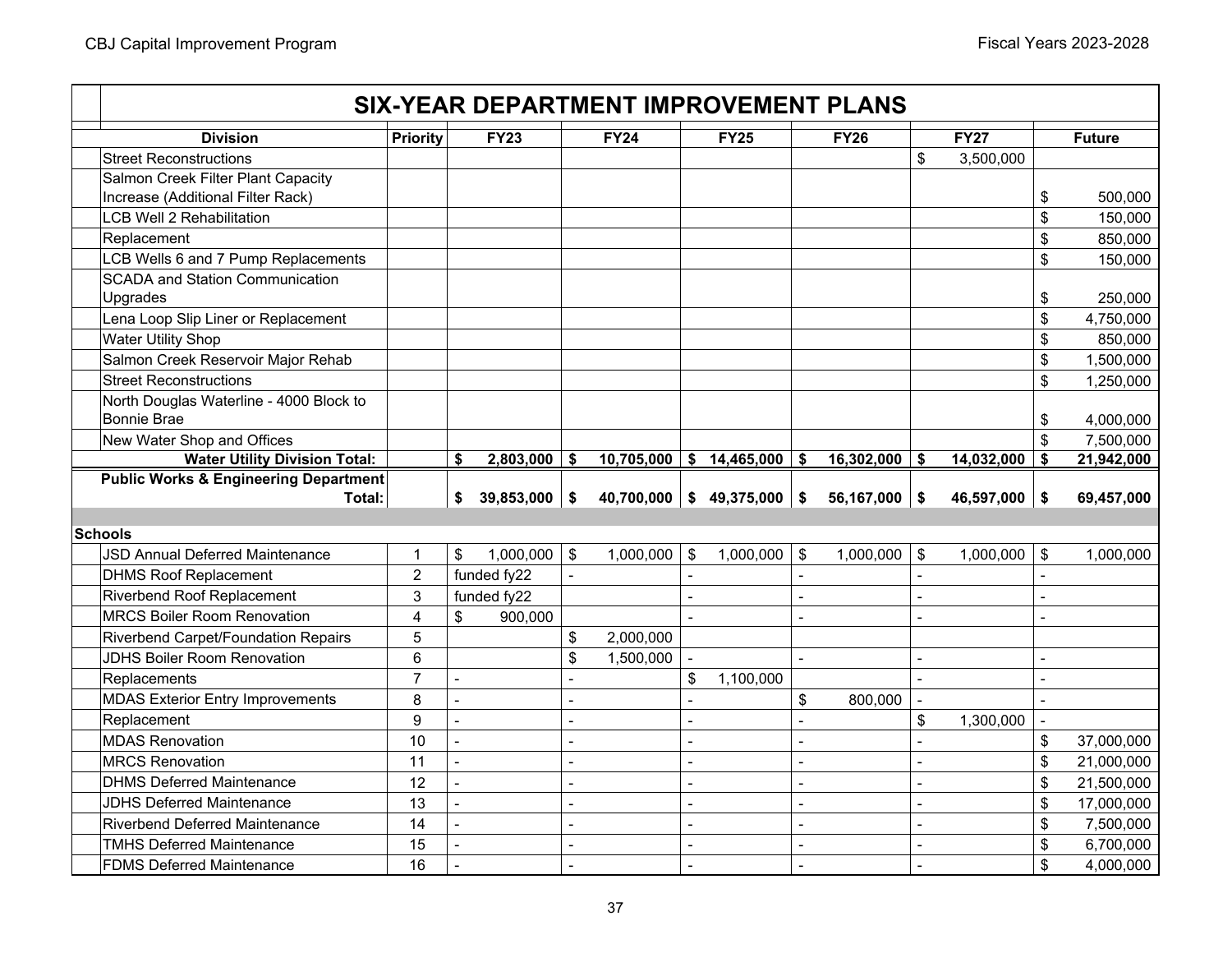|                                                                      |                |                |                 |                          | <b>SIX-YEAR DEPARTMENT IMPROVEMENT PLANS</b> |                          |                            |           |                 |                 |                |                        |
|----------------------------------------------------------------------|----------------|----------------|-----------------|--------------------------|----------------------------------------------|--------------------------|----------------------------|-----------|-----------------|-----------------|----------------|------------------------|
| <b>Division</b>                                                      | Priority       |                | <b>FY23</b>     |                          | <b>FY24</b>                                  |                          | <b>FY25</b>                |           | <b>FY26</b>     | <b>FY27</b>     |                | <b>Future</b>          |
| <b>Street Reconstructions</b>                                        |                |                |                 |                          |                                              |                          |                            |           |                 | \$<br>3,500,000 |                |                        |
| Salmon Creek Filter Plant Capacity                                   |                |                |                 |                          |                                              |                          |                            |           |                 |                 |                |                        |
| Increase (Additional Filter Rack)                                    |                |                |                 |                          |                                              |                          |                            |           |                 |                 | \$             | 500,000                |
| <b>LCB Well 2 Rehabilitation</b>                                     |                |                |                 |                          |                                              |                          |                            |           |                 |                 | \$             | 150,000                |
| Replacement                                                          |                |                |                 |                          |                                              |                          |                            |           |                 |                 | \$             | 850,000                |
| LCB Wells 6 and 7 Pump Replacements                                  |                |                |                 |                          |                                              |                          |                            |           |                 |                 | \$             | 150,000                |
| <b>SCADA and Station Communication</b><br>Upgrades                   |                |                |                 |                          |                                              |                          |                            |           |                 |                 | \$             | 250,000                |
| Lena Loop Slip Liner or Replacement                                  |                |                |                 |                          |                                              |                          |                            |           |                 |                 | \$             | 4,750,000              |
| Water Utility Shop                                                   |                |                |                 |                          |                                              |                          |                            |           |                 |                 | \$             | 850,000                |
| Salmon Creek Reservoir Major Rehab                                   |                |                |                 |                          |                                              |                          |                            |           |                 |                 | \$             | 1,500,000              |
| <b>Street Reconstructions</b>                                        |                |                |                 |                          |                                              |                          |                            |           |                 |                 | \$             | 1,250,000              |
| North Douglas Waterline - 4000 Block to                              |                |                |                 |                          |                                              |                          |                            |           |                 |                 |                |                        |
| Bonnie Brae                                                          |                |                |                 |                          |                                              |                          |                            |           |                 |                 | \$             | 4,000,000              |
| New Water Shop and Offices                                           |                |                |                 |                          |                                              |                          |                            |           |                 |                 | $\mathfrak{S}$ | 7,500,000              |
| <b>Water Utility Division Total:</b>                                 |                | \$             | $2,803,000$ \$  |                          |                                              |                          | $10,705,000$ \$ 14,465,000 | \$        | $16,302,000$ \$ | 14,032,000      | \$             | 21,942,000             |
| <b>Public Works &amp; Engineering Department</b>                     |                |                |                 |                          |                                              |                          |                            |           |                 |                 |                |                        |
|                                                                      |                |                |                 |                          |                                              |                          |                            |           |                 |                 |                |                        |
| Total:                                                               |                | \$             | $39,853,000$ \$ |                          | $40,700,000$ \$ 49,375,000                   |                          |                            | <b>\$</b> | $56,167,000$ \$ | 46,597,000      | $\sqrt{3}$     | 69,457,000             |
|                                                                      |                |                |                 |                          |                                              |                          |                            |           |                 |                 |                |                        |
| <b>Schools</b>                                                       |                |                |                 |                          |                                              |                          |                            |           |                 |                 |                |                        |
| <b>JSD Annual Deferred Maintenance</b>                               | $\mathbf{1}$   | \$             | $1,000,000$ \$  |                          | 1,000,000                                    | $\sqrt[6]{\frac{1}{2}}$  | 1,000,000                  | $\$\$     | 1,000,000       | \$<br>1,000,000 | \$             | 1,000,000              |
| <b>DHMS Roof Replacement</b>                                         | $\overline{c}$ |                | funded fy22     | ÷,                       |                                              |                          |                            |           |                 |                 |                |                        |
| <b>Riverbend Roof Replacement</b>                                    | 3              |                | funded fy22     |                          |                                              | $\blacksquare$           |                            |           |                 |                 | $\blacksquare$ |                        |
| <b>MRCS Boiler Room Renovation</b>                                   | 4              | \$             | 900.000         |                          |                                              | $\overline{a}$           |                            |           |                 |                 | $\blacksquare$ |                        |
| <b>Riverbend Carpet/Foundation Repairs</b>                           | 5              |                |                 | \$                       | 2,000,000                                    |                          |                            |           |                 |                 |                |                        |
| <b>JDHS Boiler Room Renovation</b>                                   | 6              |                |                 | \$                       | 1,500,000                                    |                          |                            |           |                 |                 | $\blacksquare$ |                        |
| Replacements                                                         | $\overline{7}$ | $\sim$         |                 | $\sim$                   |                                              | \$                       | 1,100,000                  |           |                 |                 | $\overline{a}$ |                        |
| <b>MDAS Exterior Entry Improvements</b>                              | 8              | $\blacksquare$ |                 | $\blacksquare$           |                                              | $\blacksquare$           |                            | \$        | 800,000         |                 | $\blacksquare$ |                        |
| Replacement                                                          | 9              | $\blacksquare$ |                 | $\overline{\phantom{a}}$ |                                              | $\overline{a}$           |                            |           |                 | \$<br>1,300,000 | $\blacksquare$ |                        |
| <b>MDAS Renovation</b>                                               | 10             | $\blacksquare$ |                 | $\sim$                   |                                              | $\overline{a}$           |                            |           |                 |                 | \$             | 37,000,000             |
| <b>MRCS Renovation</b>                                               | 11             | $\blacksquare$ |                 | $\blacksquare$           |                                              | $\overline{\phantom{a}}$ |                            |           |                 |                 | \$             | 21,000,000             |
| <b>DHMS Deferred Maintenance</b>                                     | 12             | $\blacksquare$ |                 | $\blacksquare$           |                                              | $\blacksquare$           |                            |           |                 |                 | \$             | 21,500,000             |
| <b>JDHS Deferred Maintenance</b>                                     | 13             | $\blacksquare$ |                 | $\blacksquare$           |                                              | $\blacksquare$           |                            |           |                 |                 | \$             | 17,000,000             |
| <b>Riverbend Deferred Maintenance</b>                                | 14             | $\blacksquare$ |                 | $\blacksquare$           |                                              | $\blacksquare$           |                            |           |                 |                 | \$             | 7,500,000              |
| <b>TMHS Deferred Maintenance</b><br><b>FDMS Deferred Maintenance</b> | 15<br>16       |                |                 | $\overline{a}$           |                                              | $\blacksquare$           |                            |           |                 |                 | \$<br>\$       | 6,700,000<br>4,000,000 |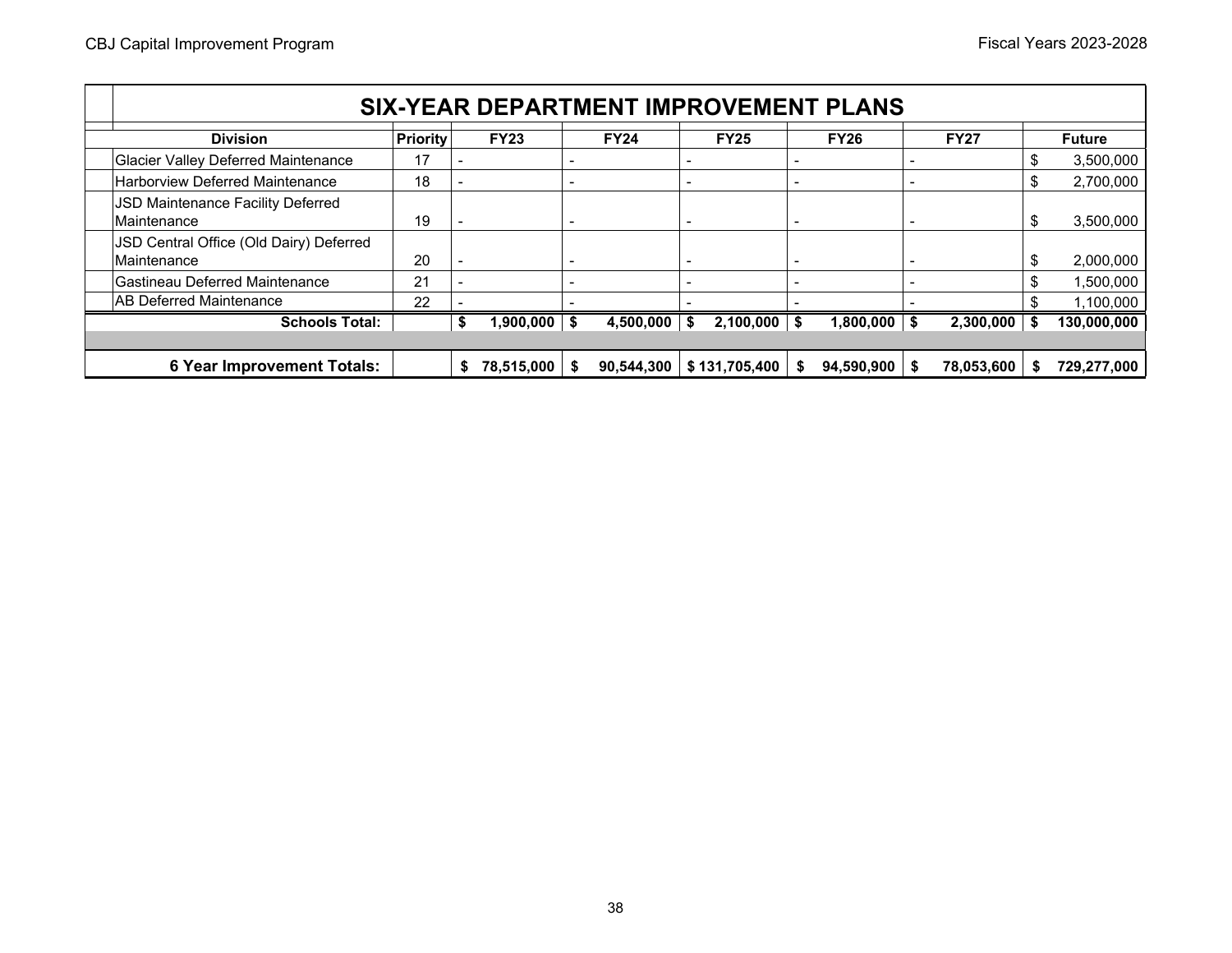| <b>SIX-YEAR DEPARTMENT IMPROVEMENT PLANS</b>           |                       |  |             |                          |             |                          |               |   |             |      |             |     |               |
|--------------------------------------------------------|-----------------------|--|-------------|--------------------------|-------------|--------------------------|---------------|---|-------------|------|-------------|-----|---------------|
| <b>Division</b>                                        | <b>Priority</b>       |  | <b>FY23</b> |                          | <b>FY24</b> |                          | <b>FY25</b>   |   | <b>FY26</b> |      | <b>FY27</b> |     | <b>Future</b> |
| <b>Glacier Valley Deferred Maintenance</b>             | 17                    |  |             |                          |             |                          |               |   |             |      |             |     | 3,500,000     |
| Harborview Deferred Maintenance                        | 18                    |  |             | $\blacksquare$           |             | $\overline{\phantom{a}}$ |               | ٠ |             |      |             | \$. | 2,700,000     |
| JSD Maintenance Facility Deferred<br>Maintenance       | 19                    |  |             | $\overline{\phantom{0}}$ |             | $\overline{\phantom{0}}$ |               | ٠ |             |      |             | S   | 3,500,000     |
| JSD Central Office (Old Dairy) Deferred<br>Maintenance | 20                    |  |             |                          |             |                          |               |   |             |      |             |     | 2,000,000     |
| Gastineau Deferred Maintenance                         | 21                    |  |             |                          |             |                          |               |   |             |      |             |     | 1,500,000     |
| AB Deferred Maintenance                                | 22                    |  |             |                          |             |                          |               |   |             |      |             |     | 1,100,000     |
|                                                        | <b>Schools Total:</b> |  | 1,900,000   | \$                       | 4,500,000   | S                        | 2,100,000     |   | 1,800,000   | - \$ | 2,300,000   |     | 130,000,000   |
|                                                        |                       |  |             |                          |             |                          |               |   |             |      |             |     |               |
| <b>6 Year Improvement Totals:</b>                      |                       |  | 78,515,000  |                          | 90,544,300  |                          | \$131,705,400 |   | 94,590,900  | - \$ | 78,053,600  | S   | 729,277,000   |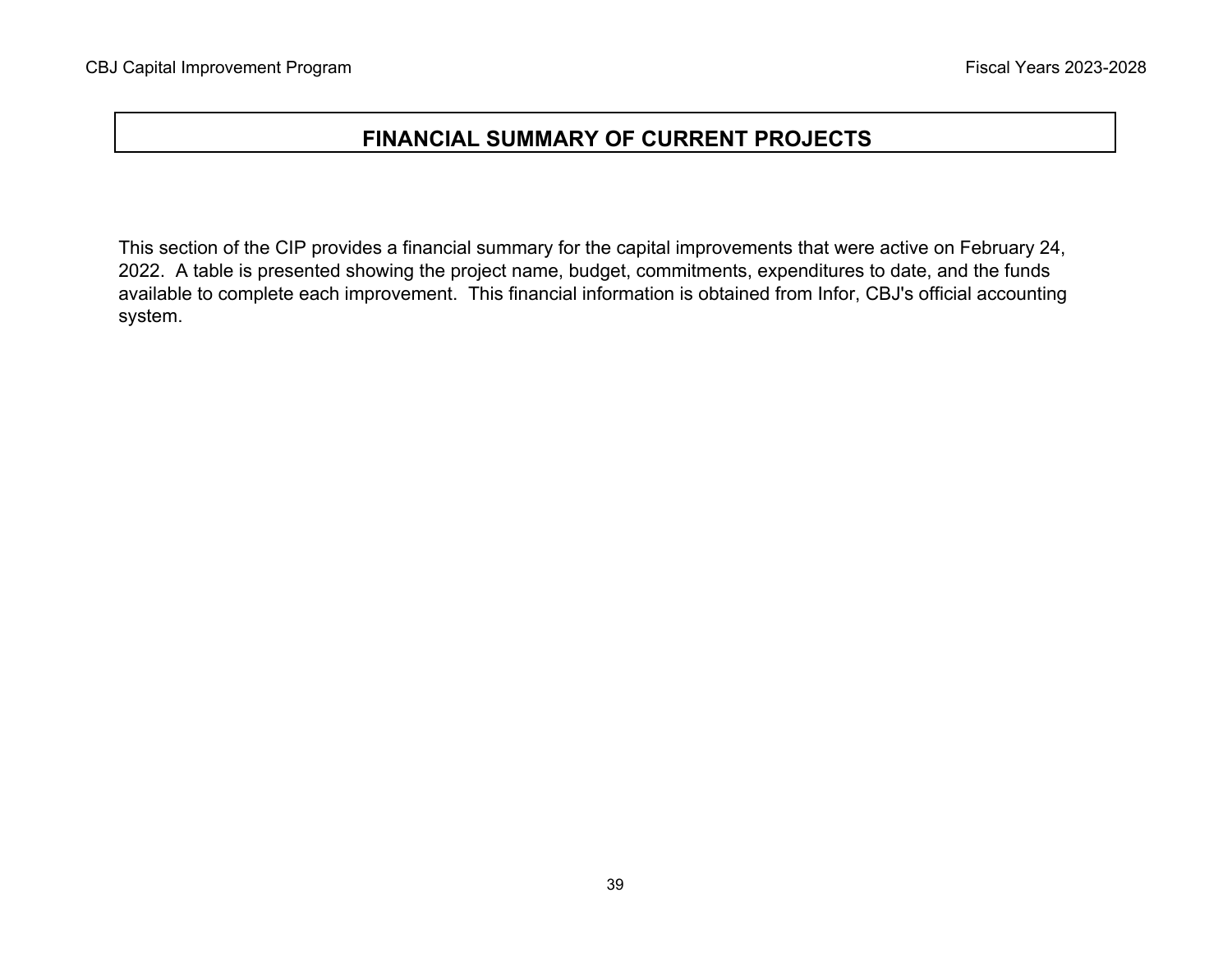# **FINANCIAL SUMMARY OF CURRENT PROJECTS**

This section of the CIP provides a financial summary for the capital improvements that were active on February 24, 2022. A table is presented showing the project name, budget, commitments, expenditures to date, and the funds available to complete each improvement. This financial information is obtained from Infor, CBJ's official accounting system.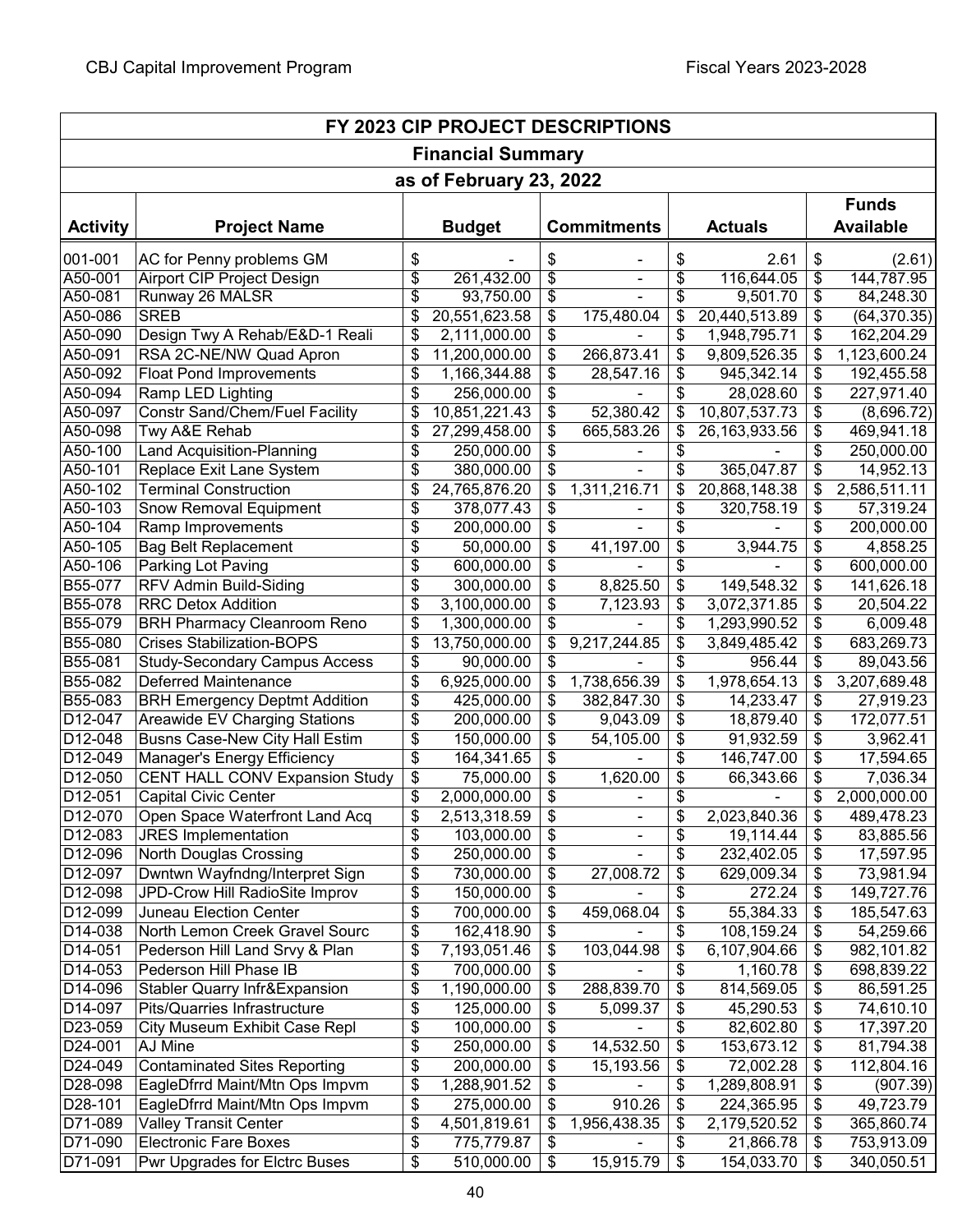| FY 2023 CIP PROJECT DESCRIPTIONS |                                                    |          |                          |          |                    |                                  |                  |          |                                  |  |  |
|----------------------------------|----------------------------------------------------|----------|--------------------------|----------|--------------------|----------------------------------|------------------|----------|----------------------------------|--|--|
| <b>Financial Summary</b>         |                                                    |          |                          |          |                    |                                  |                  |          |                                  |  |  |
|                                  |                                                    |          | as of February 23, 2022  |          |                    |                                  |                  |          |                                  |  |  |
| <b>Activity</b>                  | <b>Project Name</b>                                |          | <b>Budget</b>            |          | <b>Commitments</b> |                                  | <b>Actuals</b>   |          | <b>Funds</b><br><b>Available</b> |  |  |
| 001-001                          | AC for Penny problems GM                           | \$       |                          | \$       |                    | \$                               | 2.61             | \$       | (2.61)                           |  |  |
| A50-001                          | <b>Airport CIP Project Design</b>                  | \$       | 261,432.00               | \$       | $\blacksquare$     | $\overline{\boldsymbol{\theta}}$ | 116,644.05       | \$       | 144,787.95                       |  |  |
| A50-081                          | Runway 26 MALSR                                    | \$       | 93,750.00                | \$       |                    | \$                               | 9,501.70         | \$       | 84,248.30                        |  |  |
| A50-086                          | <b>SREB</b>                                        | \$       | 20,551,623.58            | \$       | 175,480.04         | \$                               | 20,440,513.89    | \$       | (64, 370.35)                     |  |  |
| A50-090                          | Design Twy A Rehab/E&D-1 Reali                     | \$       | 2,111,000.00             | \$       |                    | \$                               | 1,948,795.71     | \$       | 162,204.29                       |  |  |
| A50-091                          | RSA 2C-NE/NW Quad Apron                            | \$       | 11,200,000.00            | \$       | 266,873.41         | \$                               | 9,809,526.35     | \$       | 1,123,600.24                     |  |  |
| A50-092                          | <b>Float Pond Improvements</b>                     | \$       | 1,166,344.88             | \$       | 28,547.16          | \$                               | 945,342.14       | \$       | 192,455.58                       |  |  |
| A50-094                          | Ramp LED Lighting                                  | \$       | 256,000.00               | \$       |                    | \$                               | 28,028.60        | \$       | 227,971.40                       |  |  |
| A50-097                          | <b>Constr Sand/Chem/Fuel Facility</b>              | \$       | 10,851,221.43            | \$       | 52,380.42          | \$                               | 10,807,537.73    | \$       | (8,696.72)                       |  |  |
| A50-098                          | Twy A&E Rehab                                      | \$       | 27,299,458.00            | \$       | 665,583.26         | \$                               | 26, 163, 933. 56 | \$       | 469,941.18                       |  |  |
| A50-100                          | <b>Land Acquisition-Planning</b>                   | \$       | 250,000.00               | \$       |                    | \$                               |                  | \$       | 250,000.00                       |  |  |
| A50-101                          | Replace Exit Lane System                           | \$       | 380,000.00               | \$       |                    | \$                               | 365,047.87       | \$       | 14,952.13                        |  |  |
| A50-102<br>A50-103               | <b>Terminal Construction</b>                       | \$       | 24,765,876.20            | \$<br>\$ | 1,311,216.71       | \$                               | 20,868,148.38    | \$<br>\$ | 2,586,511.11                     |  |  |
| A50-104                          | <b>Snow Removal Equipment</b><br>Ramp Improvements | \$<br>\$ | 378,077.43<br>200,000.00 | \$       |                    | \$<br>\$                         | 320,758.19       | \$       | 57,319.24<br>200,000.00          |  |  |
| A50-105                          | <b>Bag Belt Replacement</b>                        | \$       | 50,000.00                | \$       | 41,197.00          | \$                               | 3,944.75         | \$       | 4,858.25                         |  |  |
| A50-106                          | Parking Lot Paving                                 | \$       | 600,000.00               | \$       |                    | \$                               |                  | \$       | 600,000.00                       |  |  |
| B55-077                          | RFV Admin Build-Siding                             | \$       | 300,000.00               | \$       | 8,825.50           | \$                               | 149,548.32       | \$       | 141,626.18                       |  |  |
| B55-078                          | <b>RRC Detox Addition</b>                          | \$       | 3,100,000.00             | \$       | 7,123.93           | \$                               | 3,072,371.85     | \$       | 20,504.22                        |  |  |
| B55-079                          | <b>BRH Pharmacy Cleanroom Reno</b>                 | \$       | 1,300,000.00             | \$       |                    | \$                               | 1,293,990.52     | \$       | 6,009.48                         |  |  |
| B55-080                          | <b>Crises Stabilization-BOPS</b>                   | \$       | 13,750,000.00            | \$       | 9,217,244.85       | \$                               | 3,849,485.42     | \$       | 683,269.73                       |  |  |
| B55-081                          | <b>Study-Secondary Campus Access</b>               | \$       | 90,000.00                | \$       |                    | \$                               | 956.44           | \$       | 89,043.56                        |  |  |
| B55-082                          | Deferred Maintenance                               | \$       | 6,925,000.00             | \$       | 1,738,656.39       | \$                               | 1,978,654.13     | \$       | 3,207,689.48                     |  |  |
| B55-083                          | <b>BRH Emergency Deptmt Addition</b>               | \$       | 425,000.00               | \$       | 382,847.30         | $\boldsymbol{\mathsf{\$}}$       | 14,233.47        | \$       | 27,919.23                        |  |  |
| D12-047                          | Areawide EV Charging Stations                      | \$       | 200,000.00               | \$       | 9,043.09           | \$                               | 18,879.40        | \$       | 172,077.51                       |  |  |
| D12-048                          | Busns Case-New City Hall Estim                     | \$       | 150,000.00               | \$       | 54,105.00          | $\frac{1}{2}$                    | 91,932.59        | \$       | 3,962.41                         |  |  |
| D12-049                          | Manager's Energy Efficiency                        | \$       | 164,341.65               | \$       |                    | \$                               | 146,747.00       | \$       | 17,594.65                        |  |  |
| D12-050                          | <b>CENT HALL CONV Expansion Study</b>              | \$       | 75,000.00                | \$       | 1,620.00           | \$                               | 66,343.66        | \$       | 7,036.34                         |  |  |
| D12-051                          | <b>Capital Civic Center</b>                        | \$       | 2,000,000.00             | \$       |                    | \$                               |                  | \$       | 2,000,000.00                     |  |  |
| D12-070                          | Open Space Waterfront Land Acq                     | \$       | 2,513,318.59             | \$       |                    | $\bar{\$}$                       | 2,023,840.36     | \$       | 489,478.23                       |  |  |
| D12-083                          | <b>JRES</b> Implementation                         | \$       | 103,000.00               | \$       |                    | \$                               | 19,114.44        | \$       | 83,885.56                        |  |  |
| $D12-096$                        | North Douglas Crossing                             | \$       | 250,000.00               | \$       |                    | \$                               | 232,402.05       | \$       | 17,597.95                        |  |  |
| D12-097                          | Dwntwn Wayfndng/Interpret Sign                     | \$       | 730,000.00               | \$       | 27,008.72          | \$                               | 629,009.34       | \$       | 73,981.94                        |  |  |
| D12-098                          | JPD-Crow Hill RadioSite Improv                     | \$       | 150,000.00               | \$       |                    | \$                               | 272.24           | \$       | 149,727.76                       |  |  |
| D12-099                          | Juneau Election Center                             | \$       | 700,000.00               | \$       | 459,068.04         | \$                               | 55,384.33        | \$       | 185,547.63                       |  |  |
| D14-038                          | North Lemon Creek Gravel Sourc                     | \$       | 162,418.90               | \$       |                    | \$                               | 108,159.24       | \$       | 54,259.66                        |  |  |
| D14-051                          | Pederson Hill Land Srvy & Plan                     | \$       | 7,193,051.46             | \$       | 103,044.98         | \$                               | 6,107,904.66     | \$       | 982,101.82                       |  |  |
| D14-053                          | Pederson Hill Phase IB                             | \$       | 700,000.00               | \$       |                    | \$                               | 1,160.78         | \$       | 698,839.22                       |  |  |
| D14-096                          | <b>Stabler Quarry Infr&amp;Expansion</b>           | \$       | 1,190,000.00             | \$       | 288,839.70         | $\boldsymbol{\mathsf{S}}$        | 814,569.05       | \$       | 86,591.25                        |  |  |
| D14-097                          | Pits/Quarries Infrastructure                       | \$       | 125,000.00               | \$       | 5,099.37           | \$                               | 45,290.53        | \$       | 74,610.10                        |  |  |
| D23-059                          | City Museum Exhibit Case Repl                      | \$       | 100,000.00               | \$       |                    | \$                               | 82,602.80        | \$       | 17,397.20                        |  |  |
| D24-001                          | AJ Mine                                            | \$       | 250,000.00               | \$       | 14,532.50          | $\boldsymbol{\mathsf{\$}}$       | 153,673.12       | \$       | 81,794.38                        |  |  |
| D24-049                          | <b>Contaminated Sites Reporting</b>                | \$       | 200,000.00               | \$       | 15,193.56          | \$                               | 72,002.28        | \$       | 112,804.16                       |  |  |
| D28-098                          | EagleDfrrd Maint/Mtn Ops Impvm                     | \$       | 1,288,901.52             | \$       |                    | \$                               | 1,289,808.91     | \$       | (907.39)                         |  |  |
| D28-101                          | EagleDfrrd Maint/Mtn Ops Impvm                     | \$       | 275,000.00               | \$       | 910.26             | $\boldsymbol{\theta}$            | 224,365.95       | \$       | 49,723.79                        |  |  |
| D71-089                          | <b>Valley Transit Center</b>                       | \$       | 4,501,819.61             | \$       | 1,956,438.35       | \$                               | 2,179,520.52     | \$       | 365,860.74                       |  |  |
| D71-090                          | <b>Electronic Fare Boxes</b>                       | \$       | 775,779.87               | \$       |                    | \$                               | 21,866.78        | \$       | 753,913.09                       |  |  |
| D71-091                          | Pwr Upgrades for Elctrc Buses                      | \$       | 510,000.00               | \$       | 15,915.79          | \$                               | 154,033.70       | \$       | 340,050.51                       |  |  |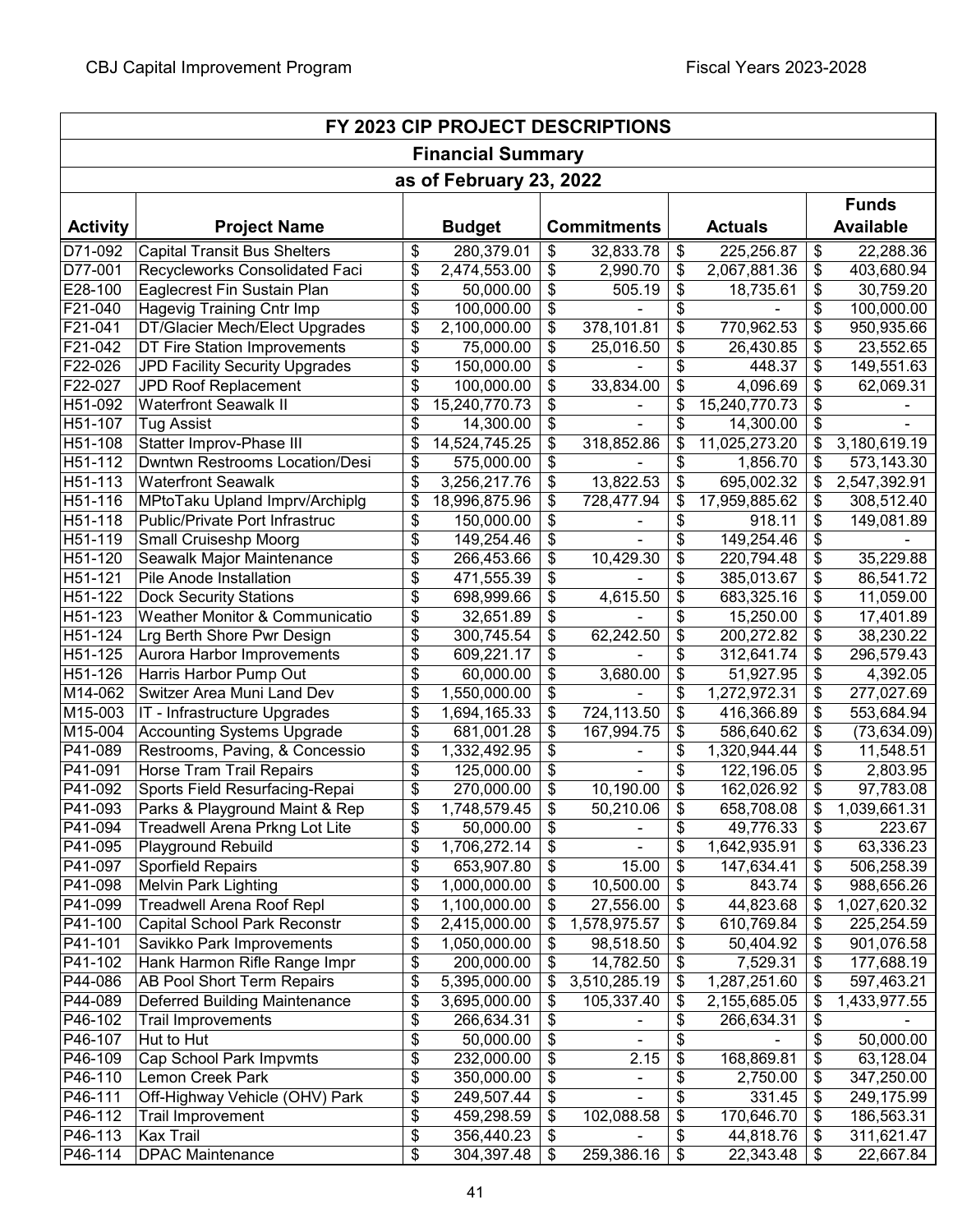| FY 2023 CIP PROJECT DESCRIPTIONS |                                     |    |                         |    |                    |    |                |    |                  |  |
|----------------------------------|-------------------------------------|----|-------------------------|----|--------------------|----|----------------|----|------------------|--|
| <b>Financial Summary</b>         |                                     |    |                         |    |                    |    |                |    |                  |  |
|                                  |                                     |    | as of February 23, 2022 |    |                    |    |                |    |                  |  |
|                                  |                                     |    |                         |    |                    |    |                |    | <b>Funds</b>     |  |
| <b>Activity</b>                  | <b>Project Name</b>                 |    | <b>Budget</b>           |    | <b>Commitments</b> |    | <b>Actuals</b> |    | <b>Available</b> |  |
| D71-092                          | <b>Capital Transit Bus Shelters</b> | \$ | 280,379.01              | \$ | 32,833.78          | \$ | 225,256.87     | \$ | 22,288.36        |  |
| D77-001                          | Recycleworks Consolidated Faci      | \$ | 2,474,553.00            | \$ | 2,990.70           | \$ | 2,067,881.36   | \$ | 403,680.94       |  |
| E28-100                          | Eaglecrest Fin Sustain Plan         | \$ | 50,000.00               | \$ | 505.19             | \$ | 18,735.61      | \$ | 30,759.20        |  |
| F21-040                          | Hagevig Training Cntr Imp           | \$ | 100,000.00              | \$ |                    | \$ |                | \$ | 100,000.00       |  |
| F21-041                          | DT/Glacier Mech/Elect Upgrades      | \$ | 2,100,000.00            | \$ | 378,101.81         | \$ | 770,962.53     | \$ | 950,935.66       |  |
| F21-042                          | DT Fire Station Improvements        | \$ | 75,000.00               | \$ | 25,016.50          | \$ | 26,430.85      | \$ | 23,552.65        |  |
| F22-026                          | JPD Facility Security Upgrades      | \$ | 150,000.00              | \$ |                    | \$ | 448.37         | \$ | 149,551.63       |  |
| F22-027                          | JPD Roof Replacement                | \$ | 100,000.00              | \$ | 33,834.00          | \$ | 4,096.69       | \$ | 62,069.31        |  |
| H51-092                          | <b>Waterfront Seawalk II</b>        | \$ | 15,240,770.73           | \$ |                    | \$ | 15,240,770.73  | \$ |                  |  |
| H51-107                          | <b>Tug Assist</b>                   | \$ | 14,300.00               | \$ |                    | \$ | 14,300.00      | \$ |                  |  |
| H51-108                          | Statter Improv-Phase III            | \$ | 14,524,745.25           | \$ | 318,852.86         | \$ | 11,025,273.20  | \$ | 3,180,619.19     |  |
| H51-112                          | Dwntwn Restrooms Location/Desi      | \$ | 575,000.00              | \$ |                    | \$ | 1,856.70       | \$ | 573,143.30       |  |
| H51-113                          | <b>Waterfront Seawalk</b>           | \$ | 3,256,217.76            | \$ | 13,822.53          | \$ | 695,002.32     | \$ | 2,547,392.91     |  |
| H51-116                          | MPtoTaku Upland Imprv/Archiplg      | \$ | 18,996,875.96           | \$ | 728,477.94         | \$ | 17,959,885.62  | \$ | 308,512.40       |  |
| H51-118                          | Public/Private Port Infrastruc      | \$ | 150,000.00              | \$ |                    | \$ | 918.11         | \$ | 149,081.89       |  |
| H51-119                          | Small Cruiseshp Moorg               | \$ | 149,254.46              | \$ |                    | \$ | 149,254.46     | \$ |                  |  |
| H51-120                          | Seawalk Major Maintenance           | \$ | 266,453.66              | \$ | 10,429.30          | \$ | 220,794.48     | \$ | 35,229.88        |  |
| H51-121                          | Pile Anode Installation             | \$ | 471,555.39              | \$ |                    | \$ | 385,013.67     | \$ | 86,541.72        |  |
| H51-122                          | <b>Dock Security Stations</b>       | \$ | 698,999.66              | \$ | 4,615.50           | \$ | 683,325.16     | \$ | 11,059.00        |  |
| H51-123                          | Weather Monitor & Communicatio      | \$ | 32,651.89               | \$ |                    | \$ | 15,250.00      | \$ | 17,401.89        |  |
| H51-124                          | Lrg Berth Shore Pwr Design          | \$ | 300,745.54              | \$ | 62,242.50          | \$ | 200,272.82     | \$ | 38,230.22        |  |
| H51-125                          | Aurora Harbor Improvements          | \$ | 609,221.17              | \$ |                    | \$ | 312,641.74     | \$ | 296,579.43       |  |
| H51-126                          | Harris Harbor Pump Out              | \$ | 60,000.00               | \$ | 3,680.00           | \$ | 51,927.95      | \$ | 4,392.05         |  |
| M14-062                          | Switzer Area Muni Land Dev          | \$ | 1,550,000.00            | \$ |                    | \$ | 1,272,972.31   | \$ | 277,027.69       |  |
| M15-003                          | IT - Infrastructure Upgrades        | \$ | 1,694,165.33            | \$ | 724,113.50         | \$ | 416,366.89     | \$ | 553,684.94       |  |
| M15-004                          | <b>Accounting Systems Upgrade</b>   | \$ | 681,001.28              | \$ | 167,994.75         | \$ | 586,640.62     | \$ | (73, 634.09)     |  |
| P41-089                          | Restrooms, Paving, & Concessio      | \$ | 1,332,492.95            | \$ |                    | \$ | 1,320,944.44   | \$ | 11,548.51        |  |
| P41-091                          | Horse Tram Trail Repairs            | \$ | 125,000.00              | \$ |                    | \$ | 122,196.05     | \$ | 2,803.95         |  |
| P41-092                          | Sports Field Resurfacing-Repai      | \$ | 270,000.00              | \$ | 10,190.00          | \$ | 162,026.92     | \$ | 97,783.08        |  |
| P41-093                          | Parks & Playground Maint & Rep      | \$ | 1,748,579.45            | \$ | 50,210.06          | \$ | 658,708.08     | \$ | 1,039,661.31     |  |
| P41-094                          | Treadwell Arena Prkng Lot Lite      | \$ | 50,000.00               | \$ |                    | \$ | 49,776.33      | \$ | 223.67           |  |
| P41-095                          | Playground Rebuild                  | \$ | 1,706,272.14            | \$ |                    | \$ | 1,642,935.91   | \$ | 63,336.23        |  |
| P41-097                          | Sporfield Repairs                   | \$ | 653,907.80              | \$ | 15.00              | \$ | 147,634.41     | \$ | 506,258.39       |  |
| P41-098                          | <b>Melvin Park Lighting</b>         | \$ | 1,000,000.00            | \$ | 10,500.00          | \$ | 843.74         | \$ | 988,656.26       |  |
| P41-099                          | <b>Treadwell Arena Roof Repl</b>    | \$ | 1,100,000.00            | \$ | 27,556.00          | \$ | 44,823.68      | \$ | 1,027,620.32     |  |
| P41-100                          | <b>Capital School Park Reconstr</b> | \$ | 2,415,000.00            | \$ | 1,578,975.57       | \$ | 610,769.84     | \$ | 225,254.59       |  |
| P41-101                          | Savikko Park Improvements           | \$ | 1,050,000.00            | \$ | 98,518.50          | \$ | 50,404.92      | \$ | 901,076.58       |  |
| P41-102                          | Hank Harmon Rifle Range Impr        | \$ | 200,000.00              | \$ | 14,782.50          | \$ | 7,529.31       | \$ | 177,688.19       |  |
| P44-086                          | <b>AB Pool Short Term Repairs</b>   | \$ | 5,395,000.00            | \$ | 3,510,285.19       | \$ | 1,287,251.60   | \$ | 597,463.21       |  |
| P44-089                          | Deferred Building Maintenance       | \$ | 3,695,000.00            | \$ | 105,337.40         | \$ | 2,155,685.05   | \$ | 1,433,977.55     |  |
| P46-102                          | <b>Trail Improvements</b>           | \$ | 266,634.31              | \$ |                    | \$ | 266,634.31     | \$ |                  |  |
| P46-107                          | Hut to Hut                          | \$ | 50,000.00               | \$ |                    | \$ |                | \$ | 50,000.00        |  |
| P46-109                          | Cap School Park Impvmts             | \$ | 232,000.00              | \$ | 2.15               | \$ | 168,869.81     | \$ | 63,128.04        |  |
| P46-110                          | Lemon Creek Park                    | \$ | 350,000.00              | \$ |                    | \$ | 2,750.00       | \$ | 347,250.00       |  |
| P46-111                          | Off-Highway Vehicle (OHV) Park      | \$ | 249,507.44              | \$ |                    | \$ | 331.45         | \$ | 249,175.99       |  |
| P46-112                          | Trail Improvement                   | \$ | 459,298.59              | \$ | 102,088.58         | \$ | 170,646.70     | \$ | 186,563.31       |  |
| P46-113                          | <b>Kax Trail</b>                    | \$ | 356,440.23              | \$ |                    | \$ | 44,818.76      | \$ | 311,621.47       |  |
| P46-114                          | <b>DPAC Maintenance</b>             | \$ | 304,397.48              | \$ | 259,386.16         | \$ | 22,343.48      | \$ | 22,667.84        |  |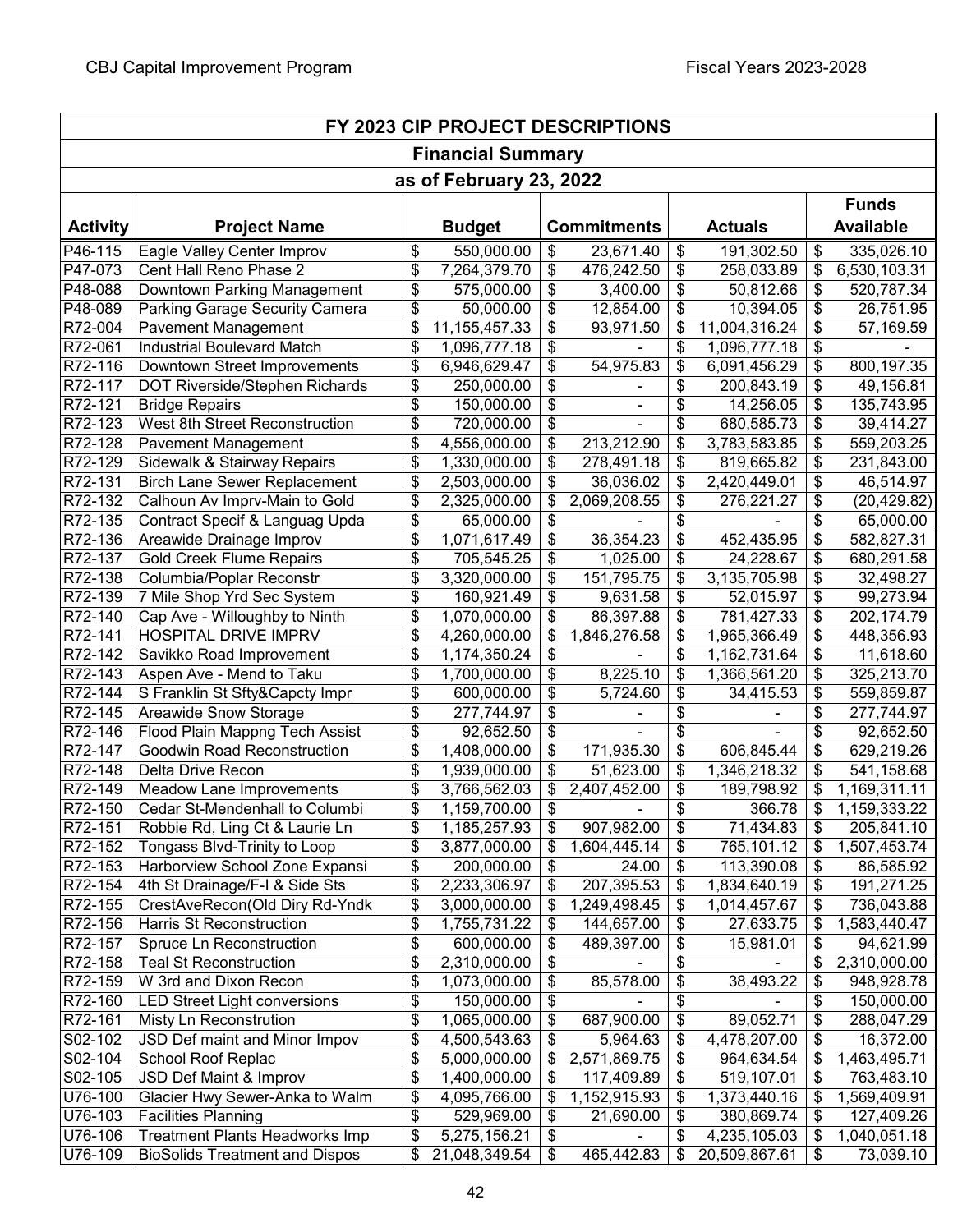| FY 2023 CIP PROJECT DESCRIPTIONS |                                       |    |               |    |                    |    |                |               |                  |  |  |  |
|----------------------------------|---------------------------------------|----|---------------|----|--------------------|----|----------------|---------------|------------------|--|--|--|
| <b>Financial Summary</b>         |                                       |    |               |    |                    |    |                |               |                  |  |  |  |
| as of February 23, 2022          |                                       |    |               |    |                    |    |                |               |                  |  |  |  |
|                                  | <b>Funds</b>                          |    |               |    |                    |    |                |               |                  |  |  |  |
| <b>Activity</b>                  | <b>Project Name</b>                   |    | <b>Budget</b> |    | <b>Commitments</b> |    | <b>Actuals</b> |               | <b>Available</b> |  |  |  |
| P46-115                          | Eagle Valley Center Improv            | \$ | 550,000.00    | \$ | 23,671.40          | \$ | 191,302.50     | \$            | 335,026.10       |  |  |  |
| P47-073                          | Cent Hall Reno Phase 2                | \$ | 7,264,379.70  | \$ | 476,242.50         | \$ | 258,033.89     | \$            | 6,530,103.31     |  |  |  |
| P48-088                          | Downtown Parking Management           | \$ | 575,000.00    | \$ | 3,400.00           | \$ | 50,812.66      | \$            | 520,787.34       |  |  |  |
| P48-089                          | Parking Garage Security Camera        | \$ | 50,000.00     | \$ | 12,854.00          | \$ | 10,394.05      | \$            | 26,751.95        |  |  |  |
| R72-004                          | <b>Pavement Management</b>            | \$ | 11,155,457.33 | \$ | 93,971.50          | \$ | 11,004,316.24  | \$            | 57,169.59        |  |  |  |
| R72-061                          | <b>Industrial Boulevard Match</b>     | \$ | 1,096,777.18  | \$ |                    | \$ | 1,096,777.18   | \$            |                  |  |  |  |
| R72-116                          | Downtown Street Improvements          | \$ | 6,946,629.47  | \$ | 54,975.83          | \$ | 6,091,456.29   | \$            | 800,197.35       |  |  |  |
| R72-117                          | DOT Riverside/Stephen Richards        | \$ | 250,000.00    | \$ |                    | \$ | 200,843.19     | \$            | 49,156.81        |  |  |  |
| R72-121                          | <b>Bridge Repairs</b>                 | \$ | 150,000.00    | \$ |                    | \$ | 14,256.05      | \$            | 135,743.95       |  |  |  |
| R72-123                          | West 8th Street Reconstruction        | \$ | 720,000.00    | \$ |                    | \$ | 680,585.73     | \$            | 39,414.27        |  |  |  |
| R72-128                          | <b>Pavement Management</b>            | \$ | 4,556,000.00  | \$ | 213,212.90         | \$ | 3,783,583.85   | \$            | 559,203.25       |  |  |  |
| R72-129                          | Sidewalk & Stairway Repairs           | \$ | 1,330,000.00  | \$ | 278,491.18         | \$ | 819,665.82     | \$            | 231,843.00       |  |  |  |
| R72-131                          | <b>Birch Lane Sewer Replacement</b>   | \$ | 2,503,000.00  | \$ | 36,036.02          | \$ | 2,420,449.01   | \$            | 46,514.97        |  |  |  |
| R72-132                          | Calhoun Av Imprv-Main to Gold         | \$ | 2,325,000.00  | \$ | 2,069,208.55       | \$ | 276,221.27     | \$            | (20, 429.82)     |  |  |  |
| R72-135                          | Contract Specif & Languag Upda        | \$ | 65,000.00     | \$ |                    | \$ |                | \$            | 65,000.00        |  |  |  |
| R72-136                          | Areawide Drainage Improv              | \$ | 1,071,617.49  | \$ | 36,354.23          | \$ | 452,435.95     | \$            | 582,827.31       |  |  |  |
| R72-137                          | <b>Gold Creek Flume Repairs</b>       | \$ | 705,545.25    | \$ | 1,025.00           | \$ | 24,228.67      | \$            | 680,291.58       |  |  |  |
| R72-138                          | Columbia/Poplar Reconstr              | \$ | 3,320,000.00  | \$ | 151,795.75         | \$ | 3,135,705.98   | \$            | 32,498.27        |  |  |  |
| R72-139                          | 7 Mile Shop Yrd Sec System            | \$ | 160,921.49    | \$ | 9,631.58           | \$ | 52,015.97      | \$            | 99,273.94        |  |  |  |
| R72-140                          | Cap Ave - Willoughby to Ninth         | \$ | 1,070,000.00  | \$ | 86,397.88          | \$ | 781,427.33     | \$            | 202,174.79       |  |  |  |
| R72-141                          | <b>HOSPITAL DRIVE IMPRV</b>           | \$ | 4,260,000.00  | \$ | 1,846,276.58       | \$ | 1,965,366.49   | \$            | 448,356.93       |  |  |  |
| R72-142                          | Savikko Road Improvement              | \$ | 1,174,350.24  | \$ |                    | \$ | 1,162,731.64   | \$            | 11,618.60        |  |  |  |
| R72-143                          | Aspen Ave - Mend to Taku              | \$ | 1,700,000.00  | \$ | 8,225.10           | \$ | 1,366,561.20   | \$            | 325,213.70       |  |  |  |
| R72-144                          | S Franklin St Sfty&Capcty Impr        | \$ | 600,000.00    | \$ | 5,724.60           | \$ | 34,415.53      | \$            | 559,859.87       |  |  |  |
| R72-145                          | Areawide Snow Storage                 | \$ | 277,744.97    | \$ |                    | \$ |                | \$            | 277,744.97       |  |  |  |
| R72-146                          | Flood Plain Mappng Tech Assist        | \$ | 92,652.50     | \$ |                    | \$ |                | \$            | 92,652.50        |  |  |  |
| R72-147                          | Goodwin Road Reconstruction           | \$ | 1,408,000.00  | \$ | 171,935.30         | \$ | 606,845.44     | \$            | 629,219.26       |  |  |  |
| R72-148                          | Delta Drive Recon                     | \$ | 1,939,000.00  | \$ | 51,623.00          | \$ | 1,346,218.32   | \$            | 541,158.68       |  |  |  |
| R72-149                          | Meadow Lane Improvements              | \$ | 3,766,562.03  | \$ | 2,407,452.00       | \$ | 189,798.92     | \$            | 1,169,311.11     |  |  |  |
| R72-150                          | Cedar St-Mendenhall to Columbi        | \$ | 1,159,700.00  | \$ |                    | \$ | 366.78         | $\frac{1}{2}$ | 1,159,333.22     |  |  |  |
| R72-151                          | Robbie Rd, Ling Ct & Laurie Ln        | \$ | 1,185,257.93  | \$ | 907,982.00         | \$ | 71,434.83      | \$            | 205,841.10       |  |  |  |
| $R72 - 152$                      | Tongass Blvd-Trinity to Loop          | \$ | 3,877,000.00  | \$ | 1,604,445.14       | \$ | 765,101.12     | \$            | 1,507,453.74     |  |  |  |
| R72-153                          | Harborview School Zone Expansi        | \$ | 200,000.00    | \$ | 24.00              | \$ | 113,390.08     | \$            | 86,585.92        |  |  |  |
| R72-154                          | 4th St Drainage/F-I & Side Sts        | \$ | 2,233,306.97  | \$ | 207,395.53         | \$ | 1,834,640.19   | \$            | 191,271.25       |  |  |  |
| R72-155                          | CrestAveRecon(Old Diry Rd-Yndk        | \$ | 3,000,000.00  | \$ | 1,249,498.45       | \$ | 1,014,457.67   | \$            | 736,043.88       |  |  |  |
| R72-156                          | <b>Harris St Reconstruction</b>       | \$ | 1,755,731.22  | \$ | 144,657.00         | \$ | 27,633.75      | \$            | 1,583,440.47     |  |  |  |
| R72-157                          | Spruce Ln Reconstruction              | \$ | 600,000.00    | \$ | 489,397.00         | \$ | 15,981.01      | \$            | 94,621.99        |  |  |  |
| R72-158                          | <b>Teal St Reconstruction</b>         | \$ | 2,310,000.00  | \$ |                    | \$ |                | \$            | 2,310,000.00     |  |  |  |
| R72-159                          | W 3rd and Dixon Recon                 | \$ | 1,073,000.00  | \$ | 85,578.00          | \$ | 38,493.22      | \$            | 948,928.78       |  |  |  |
| R72-160                          | <b>LED Street Light conversions</b>   | \$ | 150,000.00    | \$ |                    | \$ |                | \$            | 150,000.00       |  |  |  |
| R72-161                          | Misty Ln Reconstrution                | \$ | 1,065,000.00  | \$ | 687,900.00         | \$ | 89,052.71      | \$            | 288,047.29       |  |  |  |
| S02-102                          | JSD Def maint and Minor Impov         | \$ | 4,500,543.63  | \$ | 5,964.63           | \$ | 4,478,207.00   | \$            | 16,372.00        |  |  |  |
| S02-104                          | School Roof Replac                    | \$ | 5,000,000.00  | \$ | 2,571,869.75       | \$ | 964,634.54     | \$            | 1,463,495.71     |  |  |  |
| S02-105                          | JSD Def Maint & Improv                | \$ | 1,400,000.00  | \$ | 117,409.89         | \$ | 519,107.01     | \$            | 763,483.10       |  |  |  |
| U76-100                          | Glacier Hwy Sewer-Anka to Walm        | \$ | 4,095,766.00  | \$ | 1,152,915.93       | \$ | 1,373,440.16   | \$            | 1,569,409.91     |  |  |  |
| U76-103                          | <b>Facilities Planning</b>            | \$ | 529,969.00    | \$ | 21,690.00          | \$ | 380,869.74     | \$            | 127,409.26       |  |  |  |
| U76-106                          | <b>Treatment Plants Headworks Imp</b> | \$ | 5,275,156.21  | \$ |                    | \$ | 4,235,105.03   | \$            | 1,040,051.18     |  |  |  |
| U76-109                          | <b>BioSolids Treatment and Dispos</b> | \$ | 21,048,349.54 | \$ | 465,442.83         | \$ | 20,509,867.61  | \$            | 73,039.10        |  |  |  |